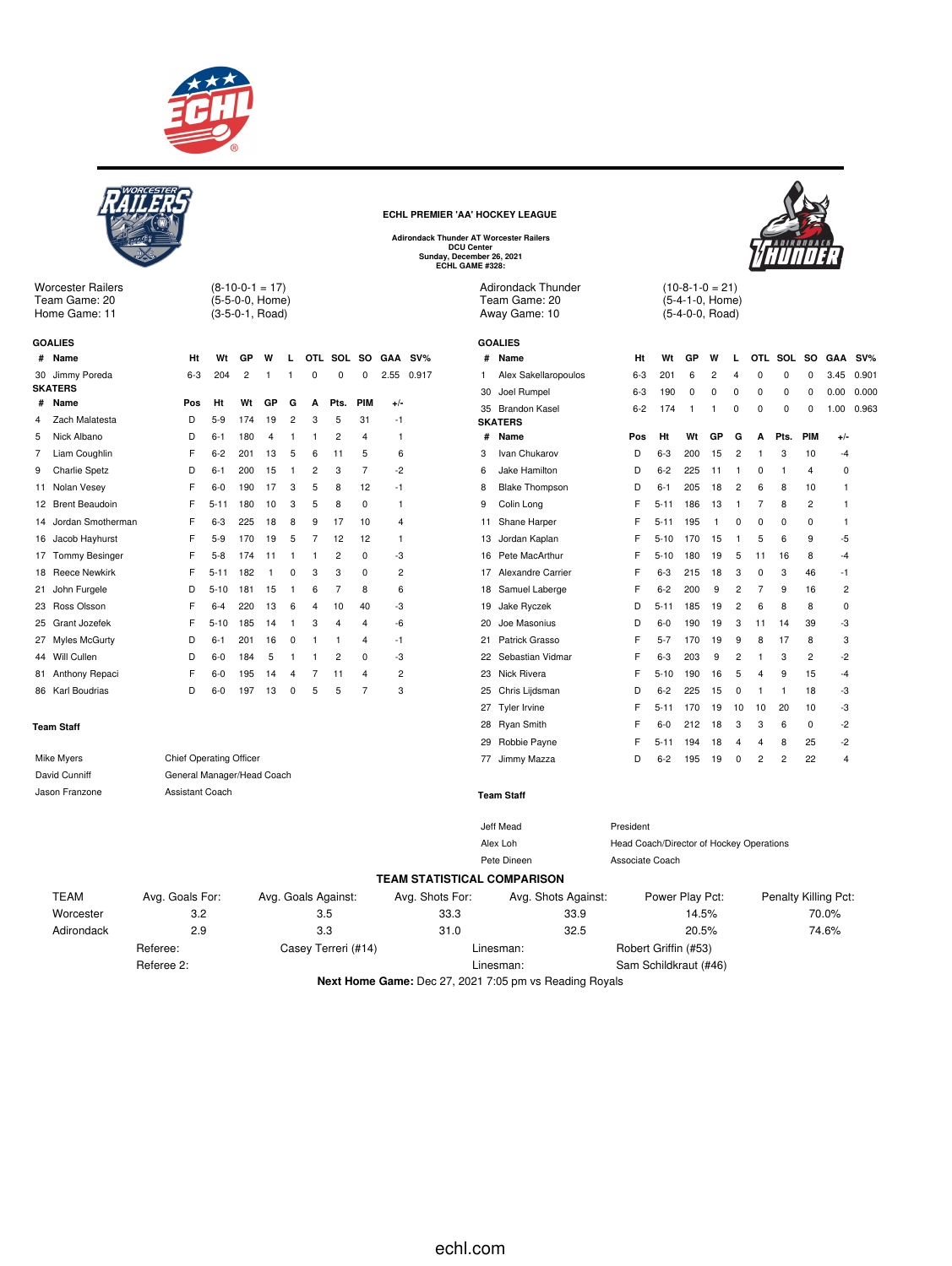

 $(8-10-0-1 = 17)$ (5-5-0-0, Home) (3-5-0-1, Road)



Worcester Railers Team Game: 20 Home Game: 11

**GOALIES**

**ECHL PREMIER 'AA' HOCKEY LEAGUE**

Adirondack Thunder AT Worcester Railers<br>DCU Center<br>Sunday, December 26, 2021<br>ECHL GAME #328:

Adirondack Thunder Team Game: 20 Away Game: 10

**GOALIES**



 $(10-8-1-0=21)$ (5-4-1-0, Home) (5-4-0-0, Road)

| # | Name                 |            | Ht                             | Wt       | GP  | W            | L              |                | OTL SOL SO          |                | GAA            | $SV\%$                                                                            | #  | Name                                               | Ht                                       | Wt              | GР    | w            | L              |                | OTL SOL              | so             | <b>GAA</b> | $SV\%$ |
|---|----------------------|------------|--------------------------------|----------|-----|--------------|----------------|----------------|---------------------|----------------|----------------|-----------------------------------------------------------------------------------|----|----------------------------------------------------|------------------------------------------|-----------------|-------|--------------|----------------|----------------|----------------------|----------------|------------|--------|
|   | 30 Jimmy Poreda      |            | $6-3$                          | 204      | 2   | 1            |                | 0              | 0                   | 0              | 2.55           | 0.917                                                                             | 1  | Alex Sakellaropoulos                               | $6 - 3$                                  | 201             | 6     | 2            |                | 0              | 0                    | 0              | 3.45       | 0.901  |
|   | <b>SKATERS</b>       |            |                                |          |     |              |                |                |                     |                |                |                                                                                   | 30 | Joel Rumpel                                        | $6 - 3$                                  | 190             | 0     | 0            | 0              | $\Omega$       | 0                    | 0              | 0.00       | 0.000  |
| # | Name                 |            | Pos                            | Ht       | Wt  | GP           | G              | A              | Pts.                | PIM            | $+/-$          |                                                                                   |    | 35 Brandon Kasel                                   | $6 - 2$                                  | 174             | -1    | -1           | 0              | 0              | 0                    | 0              | 1.00       | 0.963  |
| 4 | Zach Malatesta       |            | D                              | $5-9$    | 174 | 19           | $\overline{2}$ | 3              | 5                   | 31             | -1             |                                                                                   |    | <b>SKATERS</b>                                     |                                          |                 |       |              |                |                |                      |                |            |        |
| 5 | Nick Albano          |            | D                              | $6 - 1$  | 180 | 4            | 1              | $\mathbf{1}$   | $\overline{c}$      | 4              | $\mathbf{1}$   |                                                                                   | #  | Name                                               | Pos                                      | Ht              | Wt    | GP           | G              | A              | Pts.                 | <b>PIM</b>     | $+/-$      |        |
| 7 | Liam Coughlin        |            | F                              | $6 - 2$  | 201 | 13           | 5              | 6              | 11                  | 5              | 6              |                                                                                   | 3  | Ivan Chukarov                                      | D                                        | $6 - 3$         | 200   | 15           | $\overline{c}$ | -1             | 3                    | 10             | $-4$       |        |
| 9 | <b>Charlie Spetz</b> |            | D                              | $6 - 1$  | 200 | 15           | $\mathbf{1}$   | $\overline{2}$ | 3                   | $\overline{7}$ | $-2$           |                                                                                   | 6  | Jake Hamilton                                      | D                                        | $6 - 2$         | 225   | 11           | $\overline{1}$ | 0              | 1                    | 4              | 0          |        |
|   | 11 Nolan Vesey       |            | F                              | $6-0$    | 190 | 17           | 3              | 5              | 8                   | 12             | -1             |                                                                                   | 8  | <b>Blake Thompson</b>                              | D                                        | $6 - 1$         | 205   | 18           | $\overline{c}$ | 6              | 8                    | 10             | 1          |        |
|   | 12 Brent Beaudoin    |            | F                              | $5 - 11$ | 180 | 10           | 3              | 5              | 8                   | 0              | $\mathbf{1}$   |                                                                                   | 9  | Colin Long                                         | F                                        | $5 - 11$        | 186   | 13           | $\mathbf{1}$   | 7              | 8                    | $\overline{2}$ | 1          |        |
|   | 14 Jordan Smotherman |            | F                              | $6 - 3$  | 225 | 18           | 8              | 9              | 17                  | 10             | 4              |                                                                                   | 11 | Shane Harper                                       | F                                        | $5 - 11$        | 195   | $\mathbf{1}$ | 0              | 0              | 0                    | $\mathbf 0$    | 1          |        |
|   | 16 Jacob Hayhurst    |            | F                              | $5-9$    | 170 | 19           | 5              | $\overline{7}$ | 12                  | 12             | $\overline{1}$ |                                                                                   | 13 | Jordan Kaplan                                      | F                                        | $5 - 10$        | 170   | 15           | $\mathbf{1}$   | 5              | 6                    | 9              | $-5$       |        |
|   | 17 Tommy Besinger    |            | F                              | $5 - 8$  | 174 | 11           | 1              | $\mathbf{1}$   | $\overline{2}$      | 0              | -3             |                                                                                   | 16 | Pete MacArthur                                     | F                                        | $5 - 10$        | 180   | 19           | 5              | 11             | 16                   | 8              | -4         |        |
|   | 18 Reece Newkirk     |            | F                              | $5 - 11$ | 182 | $\mathbf{1}$ | 0              | 3              | 3                   | 0              | $\overline{c}$ |                                                                                   |    | 17 Alexandre Carrier                               | F                                        | $6 - 3$         | 215   | 18           | 3              | 0              | 3                    | 46             | -1         |        |
|   | 21 John Furgele      |            | D                              | $5 - 10$ | 181 | 15           | 1              | 6              | $\overline{7}$      | 8              | 6              |                                                                                   |    | 18 Samuel Laberge                                  | F                                        | $6 - 2$         | 200   | 9            | 2              | $\overline{7}$ | 9                    | 16             | 2          |        |
|   | 23 Ross Olsson       |            | F                              | $6 - 4$  | 220 | 13           | 6              | $\overline{4}$ | 10                  | 40             | -3             |                                                                                   | 19 | Jake Ryczek                                        | D                                        | $5 - 11$        | 185   | 19           | 2              | 6              | 8                    | 8              | 0          |        |
|   | 25 Grant Jozefek     |            | F                              | $5 - 10$ | 185 | 14           | 1              | 3              | $\overline{4}$      | 4              | -6             |                                                                                   | 20 | Joe Masonius                                       | D                                        | $6-0$           | 190   | 19           | 3              | 11             | 14                   | 39             | -3         |        |
|   | 27 Myles McGurty     |            | D                              | $6 - 1$  | 201 | 16           | $\mathbf 0$    | 1              | -1                  | 4              | -1             |                                                                                   | 21 | Patrick Grasso                                     | F                                        | $5 - 7$         | 170   | 19           | 9              | 8              | 17                   | 8              | 3          |        |
|   | 44 Will Cullen       |            | D                              | $6-0$    | 184 | 5            | 1              | 1              | $\overline{c}$      | 0              | -3             |                                                                                   |    | 22 Sebastian Vidmar                                | F                                        | $6 - 3$         | 203   | 9            | 2              | 1              | 3                    | 2              | -2         |        |
|   | 81 Anthony Repaci    |            | F                              | $6-0$    | 195 | 14           | 4              | 7              | 11                  | 4              | $\overline{c}$ |                                                                                   |    | 23 Nick Rivera                                     | F                                        | $5 - 10$        | 190   | 16           | 5              | 4              | 9                    | 15             | -4         |        |
|   | 86 Karl Boudrias     |            | D                              | $6-0$    | 197 | 13           | $\mathbf 0$    | 5              | 5                   | $\overline{7}$ | 3              |                                                                                   |    | 25 Chris Lijdsman                                  | D                                        | $6 - 2$         | 225   | 15           | 0              |                | $\mathbf{1}$         | 18             | -3         |        |
|   |                      |            |                                |          |     |              |                |                |                     |                |                |                                                                                   |    | 27 Tyler Irvine                                    | F                                        | $5 - 11$        | 170   | 19           | 10             | 10             | 20                   | 10             | -3         |        |
|   | <b>Team Staff</b>    |            |                                |          |     |              |                |                |                     |                |                |                                                                                   |    | 28 Ryan Smith                                      | F                                        | 6-0             | 212   | 18           | 3              | 3              | 6                    | 0              | $-2$       |        |
|   |                      |            |                                |          |     |              |                |                |                     |                |                |                                                                                   |    | 29 Robbie Payne                                    | F                                        | $5 - 11$        | 194   | 18           | 4              | $\overline{4}$ | 8                    | 25             | -2         |        |
|   | Mike Myers           |            | <b>Chief Operating Officer</b> |          |     |              |                |                |                     |                |                |                                                                                   |    | 77 Jimmy Mazza                                     | D                                        | $6 - 2$         | 195   | 19           | 0              | $\overline{c}$ | $\overline{2}$       | 22             | 4          |        |
|   | David Cunniff        |            | General Manager/Head Coach     |          |     |              |                |                |                     |                |                |                                                                                   |    |                                                    |                                          |                 |       |              |                |                |                      |                |            |        |
|   | Jason Franzone       |            | Assistant Coach                |          |     |              |                |                |                     |                |                |                                                                                   |    | <b>Team Staff</b>                                  |                                          |                 |       |              |                |                |                      |                |            |        |
|   |                      |            |                                |          |     |              |                |                |                     |                |                |                                                                                   |    | <b>Jeff Mead</b>                                   | President                                |                 |       |              |                |                |                      |                |            |        |
|   |                      |            |                                |          |     |              |                |                |                     |                |                |                                                                                   |    | Alex Loh                                           | Head Coach/Director of Hockey Operations |                 |       |              |                |                |                      |                |            |        |
|   |                      |            |                                |          |     |              |                |                |                     |                |                |                                                                                   |    | Pete Dineen                                        | Associate Coach                          |                 |       |              |                |                |                      |                |            |        |
|   |                      |            |                                |          |     |              |                |                |                     |                |                |                                                                                   |    | <b>TEAM STATISTICAL COMPARISON</b>                 |                                          |                 |       |              |                |                |                      |                |            |        |
|   | <b>TEAM</b>          |            | Avg. Goals For:                |          |     |              |                |                | Avg. Goals Against: |                |                | Avg. Shots For:                                                                   |    | Avg. Shots Against:                                |                                          | Power Play Pct: |       |              |                |                | Penalty Killing Pct: |                |            |        |
|   | Worcester            |            | 3.2                            |          |     |              |                | 3.5            |                     |                |                | 33.3                                                                              |    | 33.9                                               |                                          |                 | 14.5% |              |                |                |                      |                | 70.0%      |        |
|   | Adirondack           |            | 2.9                            |          |     |              |                | 3.3            |                     |                |                | 31.0                                                                              |    | 32.5                                               |                                          |                 | 20.5% |              |                |                |                      |                | 74.6%      |        |
|   |                      | Referee:   |                                |          |     |              |                |                | Casey Terreri (#14) |                |                |                                                                                   |    | Linesman:                                          | Robert Griffin (#53)                     |                 |       |              |                |                |                      |                |            |        |
|   |                      | Referee 2: |                                |          |     |              |                |                |                     |                |                |                                                                                   |    | Linesman:                                          | Sam Schildkraut (#46)                    |                 |       |              |                |                |                      |                |            |        |
|   |                      |            |                                |          |     |              |                |                |                     |                |                | 27.2227777<br>$M = 11.$ The set of $\mathbf{A}$ and $\mathbf{B}$ and $\mathbf{B}$ |    | <b><i>ALC: YES</i></b><br>$\overline{\phantom{0}}$ |                                          |                 |       |              |                |                |                      |                |            |        |

**Next Home Game:** Dec 27, 2021 7:05 pm vs Reading Royals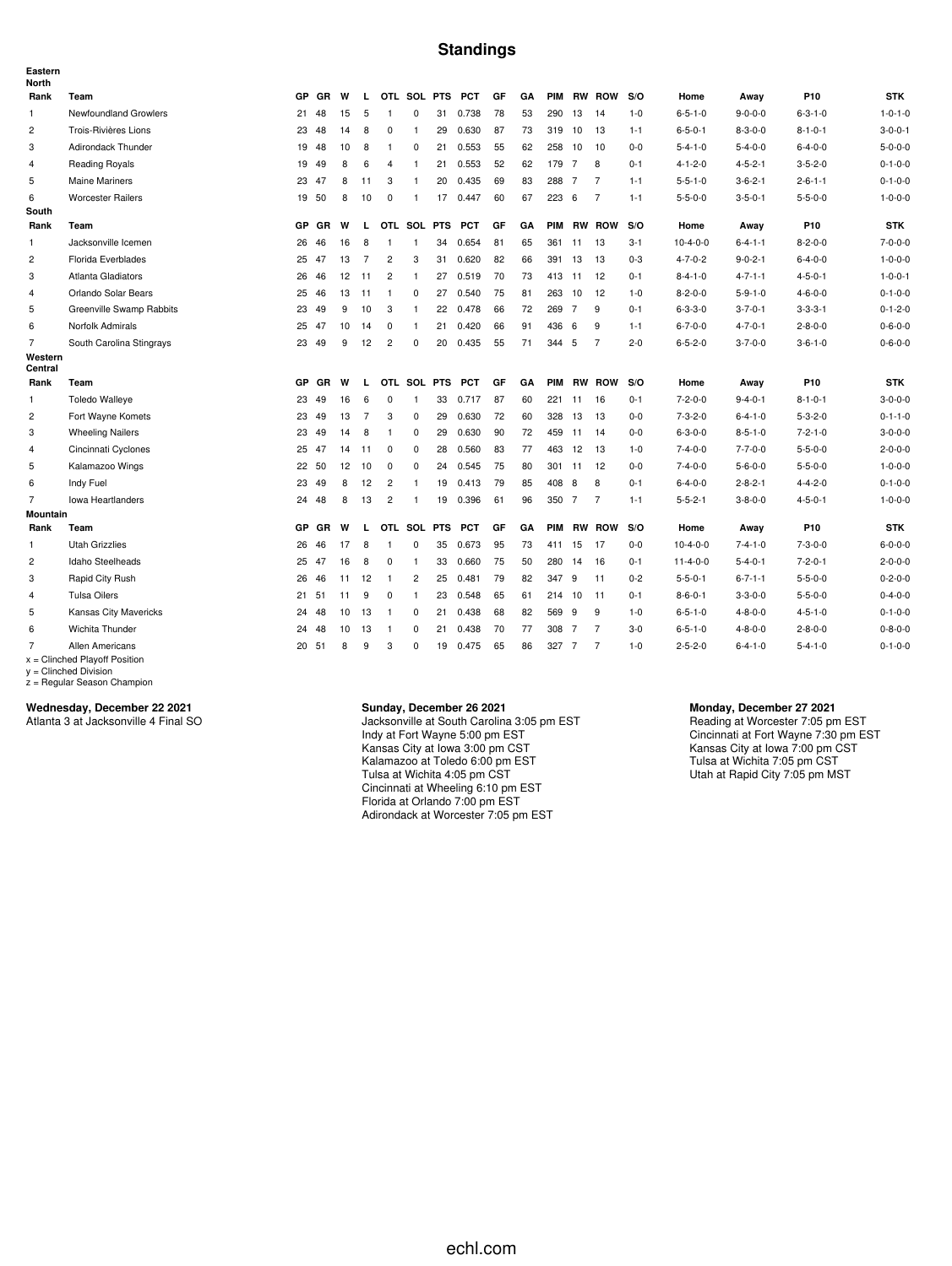## **Standings**

| Eastern<br><b>North</b> |                                                    |           |       |    |                |                |                |            |            |    |    |            |    |                |         |                  |                 |                 |                 |
|-------------------------|----------------------------------------------------|-----------|-------|----|----------------|----------------|----------------|------------|------------|----|----|------------|----|----------------|---------|------------------|-----------------|-----------------|-----------------|
| Rank                    | Team                                               | GP        | GR    | W  | L.             |                | OTL SOL PTS    |            | <b>PCT</b> | GF | GA |            |    | PIM RW ROW     | S/O     | Home             | Away            | P10             | <b>STK</b>      |
| $\mathbf{1}$            | <b>Newfoundland Growlers</b>                       | 21        | 48    | 15 | 5              | $\overline{1}$ | $\mathbf 0$    | 31         | 0.738      | 78 | 53 | 290        | 13 | 14             | $1 - 0$ | $6 - 5 - 1 - 0$  | $9 - 0 - 0 - 0$ | $6 - 3 - 1 - 0$ | $1 - 0 - 1 - 0$ |
| $\overline{c}$          | Trois-Rivières Lions                               | 23        | 48    | 14 | 8              | $\mathbf 0$    | $\overline{1}$ | 29         | 0.630      | 87 | 73 | 319 10     |    | 13             | $1 - 1$ | $6 - 5 - 0 - 1$  | $8 - 3 - 0 - 0$ | $8 - 1 - 0 - 1$ | $3 - 0 - 0 - 1$ |
| 3                       | Adirondack Thunder                                 | 19        | 48    | 10 | 8              | $\overline{1}$ | 0              | 21         | 0.553      | 55 | 62 | 258 10     |    | 10             | $0-0$   | $5 - 4 - 1 - 0$  | $5 - 4 - 0 - 0$ | $6 - 4 - 0 - 0$ | $5 - 0 - 0 - 0$ |
| $\overline{4}$          | <b>Reading Royals</b>                              | 19        | 49    | 8  | 6              | 4              | $\mathbf{1}$   | 21         | 0.553      | 52 | 62 | 179 7      |    | 8              | $0 - 1$ | $4 - 1 - 2 - 0$  | $4 - 5 - 2 - 1$ | $3 - 5 - 2 - 0$ | $0 - 1 - 0 - 0$ |
| 5                       | <b>Maine Mariners</b>                              | 23        | 47    | 8  | 11             | 3              | $\mathbf{1}$   | 20         | 0.435      | 69 | 83 | 288 7      |    | $\overline{7}$ | $1 - 1$ | $5 - 5 - 1 - 0$  | $3 - 6 - 2 - 1$ | $2 - 6 - 1 - 1$ | $0 - 1 - 0 - 0$ |
| 6                       | <b>Worcester Railers</b>                           |           | 19 50 | 8  | 10             | $\mathbf 0$    | -1             | 17         | 0.447      | 60 | 67 | 223 6      |    | $\overline{7}$ | $1 - 1$ | $5 - 5 - 0 - 0$  | $3 - 5 - 0 - 1$ | $5 - 5 - 0 - 0$ | $1 - 0 - 0 - 0$ |
| South                   |                                                    |           |       |    |                |                |                |            |            |    |    |            |    |                |         |                  |                 |                 |                 |
| Rank                    | Team                                               | <b>GP</b> | GR    | W  | L.             |                | OTL SOL PTS    |            | <b>PCT</b> | GF | GA |            |    | PIM RW ROW     | S/O     | Home             | Away            | P10             | <b>STK</b>      |
| 1                       | Jacksonville Icemen                                | 26        | 46    | 16 | 8              | $\mathbf{1}$   | $\overline{1}$ | 34         | 0.654      | 81 | 65 | 361        | 11 | 13             | $3 - 1$ | $10-4-0-0$       | $6 - 4 - 1 - 1$ | $8 - 2 - 0 - 0$ | $7 - 0 - 0 - 0$ |
| $\overline{c}$          | Florida Everblades                                 | 25        | 47    | 13 | $\overline{7}$ | $\overline{c}$ | 3              | 31         | 0.620      | 82 | 66 | 391 13     |    | 13             | $0 - 3$ | $4 - 7 - 0 - 2$  | $9 - 0 - 2 - 1$ | $6 - 4 - 0 - 0$ | $1 - 0 - 0 - 0$ |
| 3                       | Atlanta Gladiators                                 | 26        | 46    | 12 | 11             | $\overline{c}$ | $\mathbf{1}$   | 27         | 0.519      | 70 | 73 | 413 11     |    | 12             | $0 - 1$ | $8 - 4 - 1 - 0$  | $4 - 7 - 1 - 1$ | $4 - 5 - 0 - 1$ | $1 - 0 - 0 - 1$ |
| $\overline{4}$          | Orlando Solar Bears                                | 25        | 46    | 13 | 11             | $\overline{1}$ | 0              | 27         | 0.540      | 75 | 81 | 263 10     |    | 12             | $1 - 0$ | $8 - 2 - 0 - 0$  | $5 - 9 - 1 - 0$ | $4 - 6 - 0 - 0$ | $0 - 1 - 0 - 0$ |
| 5                       | Greenville Swamp Rabbits                           | 23        | 49    | 9  | 10             | 3              | $\mathbf{1}$   | 22         | 0.478      | 66 | 72 | 269 7      |    | 9              | $0 - 1$ | $6 - 3 - 3 - 0$  | $3 - 7 - 0 - 1$ | $3 - 3 - 3 - 1$ | $0 - 1 - 2 - 0$ |
| 6                       | Norfolk Admirals                                   | 25        | 47    | 10 | 14             | 0              | $\mathbf{1}$   | 21         | 0.420      | 66 | 91 | 436 6      |    | 9              | $1 - 1$ | $6 - 7 - 0 - 0$  | $4 - 7 - 0 - 1$ | $2 - 8 - 0 - 0$ | $0 - 6 - 0 - 0$ |
| $\overline{7}$          | South Carolina Stingrays                           | 23        | 49    | 9  | 12             | $\overline{c}$ | 0              | 20         | 0.435      | 55 | 71 | 344 5      |    | $\overline{7}$ | $2 - 0$ | $6 - 5 - 2 - 0$  | $3 - 7 - 0 - 0$ | $3 - 6 - 1 - 0$ | $0 - 6 - 0 - 0$ |
| Western<br>Central      |                                                    |           |       |    |                |                |                |            |            |    |    |            |    |                |         |                  |                 |                 |                 |
| Rank                    | Team                                               | GP        | GR    | W  | L.             |                | OTL SOL PTS    |            | <b>PCT</b> | GF | GA |            |    | PIM RW ROW     | S/O     | Home             | Away            | P10             | <b>STK</b>      |
| 1                       | <b>Toledo Walleye</b>                              | 23        | 49    | 16 | 6              | 0              | $\mathbf{1}$   | 33         | 0.717      | 87 | 60 | 221        | 11 | 16             | $0 - 1$ | $7 - 2 - 0 - 0$  | $9 - 4 - 0 - 1$ | $8 - 1 - 0 - 1$ | $3 - 0 - 0 - 0$ |
| $\overline{c}$          | Fort Wayne Komets                                  | 23        | 49    | 13 | $\overline{7}$ | 3              | 0              | 29         | 0.630      | 72 | 60 | 328        | 13 | 13             | $0-0$   | $7 - 3 - 2 - 0$  | $6 - 4 - 1 - 0$ | $5 - 3 - 2 - 0$ | $0 - 1 - 1 - 0$ |
| 3                       | <b>Wheeling Nailers</b>                            | 23        | 49    | 14 | 8              | $\overline{1}$ | 0              | 29         | 0.630      | 90 | 72 | 459 11     |    | 14             | $0-0$   | $6 - 3 - 0 - 0$  | $8 - 5 - 1 - 0$ | $7 - 2 - 1 - 0$ | $3 - 0 - 0 - 0$ |
| 4                       | Cincinnati Cyclones                                | 25        | 47    | 14 | -11            | 0              | 0              | 28         | 0.560      | 83 | 77 | 463        | 12 | 13             | $1 - 0$ | $7 - 4 - 0 - 0$  | $7 - 7 - 0 - 0$ | $5 - 5 - 0 - 0$ | $2 - 0 - 0 - 0$ |
| 5                       | Kalamazoo Wings                                    | 22        | 50    | 12 | 10             | $\mathbf 0$    | $\mathbf 0$    | 24         | 0.545      | 75 | 80 | 301 11     |    | 12             | $0-0$   | $7 - 4 - 0 - 0$  | $5 - 6 - 0 - 0$ | $5 - 5 - 0 - 0$ | $1 - 0 - 0 - 0$ |
| 6                       | Indy Fuel                                          | 23        | 49    | 8  | 12             | $\overline{c}$ | $\mathbf{1}$   | 19         | 0.413      | 79 | 85 | 408        | 8  | 8              | $0 - 1$ | $6 - 4 - 0 - 0$  | $2 - 8 - 2 - 1$ | $4 - 4 - 2 - 0$ | $0 - 1 - 0 - 0$ |
| $\overline{7}$          | <b>Iowa Heartlanders</b>                           | 24        | 48    | 8  | 13             | $\overline{c}$ | $\overline{1}$ | 19         | 0.396      | 61 | 96 | 350 7      |    | $\overline{7}$ | $1 - 1$ | $5 - 5 - 2 - 1$  | $3 - 8 - 0 - 0$ | $4 - 5 - 0 - 1$ | $1 - 0 - 0 - 0$ |
| <b>Mountain</b>         |                                                    |           |       |    |                |                |                |            |            |    |    |            |    |                |         |                  |                 |                 |                 |
| Rank                    | Team                                               | <b>GP</b> | GR    | W  | L.             |                | OTL SOL        | <b>PTS</b> | <b>PCT</b> | GF | GA | <b>PIM</b> |    | <b>RW ROW</b>  | S/O     | Home             | Away            | P10             | <b>STK</b>      |
| 1                       | Utah Grizzlies                                     | 26        | 46    | 17 | 8              | $\mathbf{1}$   | 0              | 35         | 0.673      | 95 | 73 | 411 15     |    | 17             | $0-0$   | $10-4-0-0$       | $7 - 4 - 1 - 0$ | $7 - 3 - 0 - 0$ | $6 - 0 - 0 - 0$ |
| $\overline{c}$          | Idaho Steelheads                                   | 25        | 47    | 16 | 8              | 0              | $\mathbf{1}$   | 33         | 0.660      | 75 | 50 | 280 14     |    | 16             | $0 - 1$ | $11 - 4 - 0 - 0$ | $5 - 4 - 0 - 1$ | $7 - 2 - 0 - 1$ | $2 - 0 - 0 - 0$ |
| 3                       | Rapid City Rush                                    | 26        | 46    | 11 | 12             | $\overline{1}$ | $\overline{c}$ | 25         | 0.481      | 79 | 82 | 347        | 9  | 11             | $0 - 2$ | $5 - 5 - 0 - 1$  | $6 - 7 - 1 - 1$ | $5 - 5 - 0 - 0$ | $0 - 2 - 0 - 0$ |
| $\overline{4}$          | <b>Tulsa Oilers</b>                                | 21        | 51    | 11 | 9              | $\mathbf 0$    | $\overline{1}$ | 23         | 0.548      | 65 | 61 | 214 10     |    | -11            | $0 - 1$ | $8 - 6 - 0 - 1$  | $3 - 3 - 0 - 0$ | $5 - 5 - 0 - 0$ | $0 - 4 - 0 - 0$ |
| 5                       | Kansas City Mavericks                              | 24        | 48    | 10 | 13             | $\overline{1}$ | $\mathbf 0$    | 21         | 0.438      | 68 | 82 | 569 9      |    | 9              | $1 - 0$ | $6 - 5 - 1 - 0$  | $4 - 8 - 0 - 0$ | $4 - 5 - 1 - 0$ | $0 - 1 - 0 - 0$ |
| 6                       | Wichita Thunder                                    | 24        | 48    | 10 | 13             | $\overline{1}$ | 0              | 21         | 0.438      | 70 | 77 | 308 7      |    | $\overline{7}$ | $3-0$   | $6 - 5 - 1 - 0$  | $4 - 8 - 0 - 0$ | $2 - 8 - 0 - 0$ | $0 - 8 - 0 - 0$ |
| 7                       | Allen Americans<br>$x =$ Clinched Playoff Position |           | 20 51 | 8  | 9              | 3              | 0              | 19         | 0.475      | 65 | 86 | 327 7      |    | $\overline{7}$ | $1 - 0$ | $2 - 5 - 2 - 0$  | $6 - 4 - 1 - 0$ | $5 - 4 - 1 - 0$ | $0 - 1 - 0 - 0$ |

x = Clinched Playoff Position y = Clinched Division z = Regular Season Champion

## **Wednesday, December 22 2021**

Atlanta 3 at Jacksonville 4 Final SO

#### **Sunday, December 26 2021**

Jacksonville at South Carolina 3:05 pm EST Indy at Fort Wayne 5:00 pm EST Kansas City at Iowa 3:00 pm CST Kalamazoo at Toledo 6:00 pm EST Tulsa at Wichita 4:05 pm CST Cincinnati at Wheeling 6:10 pm EST Florida at Orlando 7:00 pm EST Adirondack at Worcester 7:05 pm EST

#### **Monday, December 27 2021**

Reading at Worcester 7:05 pm EST Cincinnati at Fort Wayne 7:30 pm EST Kansas City at Iowa 7:00 pm CST Tulsa at Wichita 7:05 pm CST Utah at Rapid City 7:05 pm MST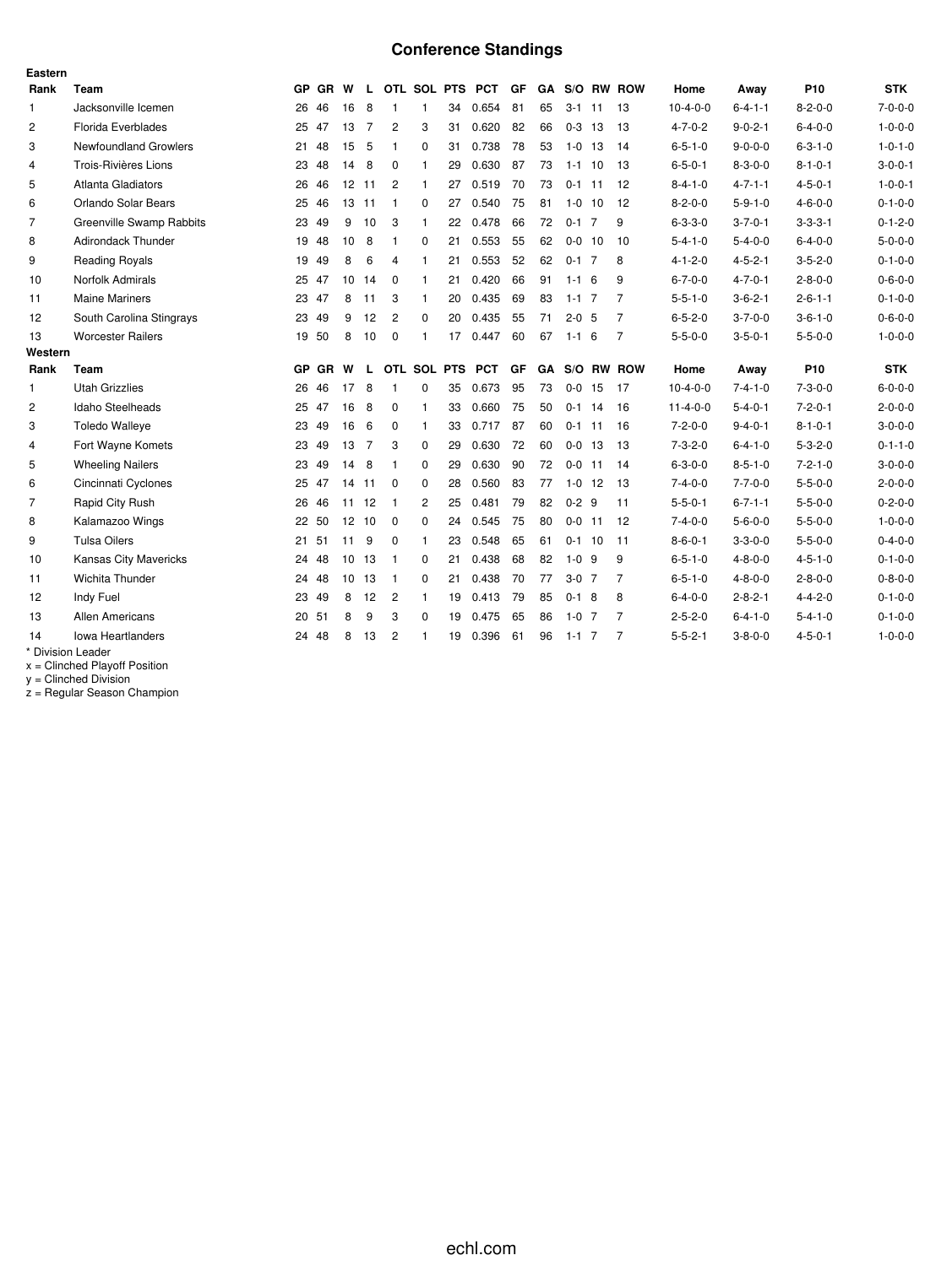# **Conference Standings**

| Eastern        |                              |           |           |                   |                |                |                |             |            |    |    |             |     |                |                  |                 |                 |                 |
|----------------|------------------------------|-----------|-----------|-------------------|----------------|----------------|----------------|-------------|------------|----|----|-------------|-----|----------------|------------------|-----------------|-----------------|-----------------|
| Rank           | Team                         |           | GP GR W   |                   | L.             |                |                | OTL SOL PTS | <b>PCT</b> | GF | GA |             |     | S/O RW ROW     | Home             | Away            | P <sub>10</sub> | <b>STK</b>      |
| $\mathbf{1}$   | Jacksonville Icemen          | 26        | 46        | 16                | 8              | 1              | $\mathbf{1}$   | 34          | 0.654      | 81 | 65 | $3 - 1$     | -11 | 13             | $10-4-0-0$       | $6 - 4 - 1 - 1$ | $8 - 2 - 0 - 0$ | $7 - 0 - 0 - 0$ |
| $\overline{c}$ | Florida Everblades           |           | 25 47     | 13                | $\overline{7}$ | $\overline{2}$ | 3              | 31          | 0.620      | 82 | 66 | $0-3$ 13    |     | 13             | $4 - 7 - 0 - 2$  | $9 - 0 - 2 - 1$ | $6 - 4 - 0 - 0$ | $1 - 0 - 0 - 0$ |
| 3              | <b>Newfoundland Growlers</b> | 21        | 48        | 15                | 5              | 1              | $\Omega$       | 31          | 0.738      | 78 | 53 | 1-0         | -13 | 14             | $6 - 5 - 1 - 0$  | $9 - 0 - 0 - 0$ | $6 - 3 - 1 - 0$ | $1 - 0 - 1 - 0$ |
| $\overline{4}$ | Trois-Rivières Lions         | 23        | 48        | 14                | 8              | 0              | $\mathbf{1}$   | 29          | 0.630      | 87 | 73 | $1 - 1$     | 10  | 13             | $6 - 5 - 0 - 1$  | $8 - 3 - 0 - 0$ | $8 - 1 - 0 - 1$ | $3 - 0 - 0 - 1$ |
| 5              | <b>Atlanta Gladiators</b>    | 26        | 46        | 12                | -11            | $\overline{2}$ | 1              | 27          | 0.519      | 70 | 73 | $0 - 1$     | 11  | 12             | $8 - 4 - 1 - 0$  | $4 - 7 - 1 - 1$ | $4 - 5 - 0 - 1$ | $1 - 0 - 0 - 1$ |
| 6              | Orlando Solar Bears          | 25        | 46        | 13                | -11            | 1              | 0              | 27          | 0.540      | 75 | 81 | 1-0         | 10  | 12             | $8 - 2 - 0 - 0$  | $5 - 9 - 1 - 0$ | $4 - 6 - 0 - 0$ | $0 - 1 - 0 - 0$ |
| $\overline{7}$ | Greenville Swamp Rabbits     |           | 23 49     | 9                 | 10             | 3              | $\mathbf{1}$   | 22          | 0.478      | 66 | 72 | $0-1$ 7     |     | 9              | $6 - 3 - 3 - 0$  | $3 - 7 - 0 - 1$ | $3 - 3 - 3 - 1$ | $0 - 1 - 2 - 0$ |
| 8              | <b>Adirondack Thunder</b>    | 19        | 48        | 10                | 8              | 1              | $\mathbf 0$    | 21          | 0.553      | 55 | 62 | $0 - 0$ 10  |     | 10             | $5 - 4 - 1 - 0$  | $5 - 4 - 0 - 0$ | $6 - 4 - 0 - 0$ | $5 - 0 - 0 - 0$ |
| 9              | <b>Reading Royals</b>        |           | 19 49     | 8                 | 6              | 4              | $\mathbf{1}$   | 21          | 0.553      | 52 | 62 | $0-1$ 7     |     | 8              | $4 - 1 - 2 - 0$  | $4 - 5 - 2 - 1$ | $3 - 5 - 2 - 0$ | $0 - 1 - 0 - 0$ |
| 10             | Norfolk Admirals             |           | 25 47     | 10                | 14             | $\Omega$       | 1              | 21          | 0.420      | 66 | 91 | $1 - 16$    |     | 9              | $6 - 7 - 0 - 0$  | $4 - 7 - 0 - 1$ | $2 - 8 - 0 - 0$ | $0 - 6 - 0 - 0$ |
| 11             | <b>Maine Mariners</b>        | 23        | 47        | 8                 | 11             | 3              | 1              | 20          | 0.435      | 69 | 83 | $1 - 1$ 7   |     | 7              | $5 - 5 - 1 - 0$  | $3 - 6 - 2 - 1$ | $2 - 6 - 1 - 1$ | $0 - 1 - 0 - 0$ |
| 12             | South Carolina Stingrays     | 23        | 49        | 9                 | 12             | $\overline{2}$ | $\mathbf 0$    | 20          | 0.435      | 55 | 71 | $2 - 0$ 5   |     | $\overline{7}$ | $6 - 5 - 2 - 0$  | $3 - 7 - 0 - 0$ | $3 - 6 - 1 - 0$ | $0 - 6 - 0 - 0$ |
| 13             | <b>Worcester Railers</b>     |           | 19 50     | 8                 | 10             | $\mathbf 0$    | 1              | 17          | 0.447      | 60 | 67 | $1 - 1 = 6$ |     | $\overline{7}$ | $5 - 5 - 0 - 0$  | $3 - 5 - 0 - 1$ | $5 - 5 - 0 - 0$ | $1 - 0 - 0 - 0$ |
| Western        |                              |           |           |                   |                |                |                |             |            |    |    |             |     |                |                  |                 |                 |                 |
| Rank           | Team                         | <b>GP</b> | <b>GR</b> | W                 | L.             |                |                | OTL SOL PTS | <b>PCT</b> | GF | GA |             |     | S/O RW ROW     | Home             | Away            | P <sub>10</sub> | <b>STK</b>      |
| $\mathbf{1}$   | <b>Utah Grizzlies</b>        | 26        | 46        | 17                | 8              | 1              | $\Omega$       | 35          | 0.673      | 95 | 73 | $0 - 0$     | 15  | 17             | $10 - 4 - 0 - 0$ | $7 - 4 - 1 - 0$ | $7 - 3 - 0 - 0$ | $6 - 0 - 0 - 0$ |
| 2              | Idaho Steelheads             | 25        | 47        | 16                | 8              | $\Omega$       | 1              | 33          | 0.660      | 75 | 50 | $0-1$ 14    |     | 16             | $11 - 4 - 0 - 0$ | $5 - 4 - 0 - 1$ | $7 - 2 - 0 - 1$ | $2 - 0 - 0 - 0$ |
| 3              | <b>Toledo Walleye</b>        | 23        | 49        | 16                | 6              | $\mathbf 0$    | $\mathbf{1}$   | 33          | 0.717      | 87 | 60 | $0-1$ 11    |     | 16             | $7 - 2 - 0 - 0$  | $9 - 4 - 0 - 1$ | $8 - 1 - 0 - 1$ | $3-0-0-0$       |
| 4              | Fort Wayne Komets            | 23        | 49        | 13                | $\overline{7}$ | 3              | 0              | 29          | 0.630      | 72 | 60 | $0 - 0$ 13  |     | 13             | $7 - 3 - 2 - 0$  | $6 - 4 - 1 - 0$ | $5 - 3 - 2 - 0$ | $0 - 1 - 1 - 0$ |
| 5              | <b>Wheeling Nailers</b>      | 23        | 49        | 14                | 8              | 1              | 0              | 29          | 0.630      | 90 | 72 | $0 - 0$ 11  |     | 14             | $6 - 3 - 0 - 0$  | $8 - 5 - 1 - 0$ | $7 - 2 - 1 - 0$ | $3-0-0-0$       |
| 6              | Cincinnati Cyclones          | 25        | 47        | 14                | -11            | $\Omega$       | $\Omega$       | 28          | 0.560      | 83 | 77 | $1-0$ 12    |     | 13             | $7 - 4 - 0 - 0$  | $7 - 7 - 0 - 0$ | $5 - 5 - 0 - 0$ | $2 - 0 - 0 - 0$ |
| $\overline{7}$ | Rapid City Rush              | 26        | 46        |                   | 11 12          | -1             | $\overline{2}$ | 25          | 0.481      | 79 | 82 | $0 - 2$ 9   |     | 11             | $5 - 5 - 0 - 1$  | $6 - 7 - 1 - 1$ | $5 - 5 - 0 - 0$ | $0 - 2 - 0 - 0$ |
| 8              | Kalamazoo Wings              | 22        | 50        | $12 \overline{ }$ | 10             | $\mathbf 0$    | 0              | 24          | 0.545      | 75 | 80 | $0 - 0$ 11  |     | 12             | $7 - 4 - 0 - 0$  | $5 - 6 - 0 - 0$ | $5 - 5 - 0 - 0$ | $1 - 0 - 0 - 0$ |
| 9              | <b>Tulsa Oilers</b>          | 21        | 51        | 11                | 9              | $\mathbf 0$    | -1             | 23          | 0.548      | 65 | 61 | $0-1$ 10    |     | 11             | $8 - 6 - 0 - 1$  | $3 - 3 - 0 - 0$ | $5 - 5 - 0 - 0$ | $0 - 4 - 0 - 0$ |
| 10             | <b>Kansas City Mavericks</b> | 24        | 48        | 10                | 13             | $\mathbf{1}$   | 0              | 21          | 0.438      | 68 | 82 | $1 - 0$ 9   |     | 9              | $6 - 5 - 1 - 0$  | $4 - 8 - 0 - 0$ | $4 - 5 - 1 - 0$ | $0 - 1 - 0 - 0$ |
|                |                              | 24        | 48        | 10                | 13             | -1             | $\Omega$       | 21          | 0.438      | 70 | 77 | $3-0$ 7     |     | 7              | $6 - 5 - 1 - 0$  | $4 - 8 - 0 - 0$ | $2 - 8 - 0 - 0$ | $0 - 8 - 0 - 0$ |
| 11             | Wichita Thunder              |           |           |                   |                |                |                |             |            |    |    |             |     |                |                  |                 |                 |                 |
| 12             | Indy Fuel                    | 23        | 49        | 8                 | 12             | $\overline{2}$ | $\mathbf{1}$   | 19          | 0.413      | 79 | 85 | $0-1$ 8     |     | 8              | $6 - 4 - 0 - 0$  | $2 - 8 - 2 - 1$ | $4 - 4 - 2 - 0$ | $0 - 1 - 0 - 0$ |
| 13             | <b>Allen Americans</b>       | 20        | 51        | 8                 | 9              | 3              | 0              | 19          | 0.475      | 65 | 86 | $1-0$ 7     |     | 7              | $2 - 5 - 2 - 0$  | $6 - 4 - 1 - 0$ | $5 - 4 - 1 - 0$ | $0 - 1 - 0 - 0$ |
| 14             | Iowa Heartlanders            | 24        | 48        | 8                 | 13             | 2              | 1              | 19          | 0.396      | 61 | 96 | $1 - 1$ 7   |     | 7              | $5 - 5 - 2 - 1$  | $3 - 8 - 0 - 0$ | $4 - 5 - 0 - 1$ | $1 - 0 - 0 - 0$ |

x = Clinched Playoff Position

y = Clinched Division

z = Regular Season Champion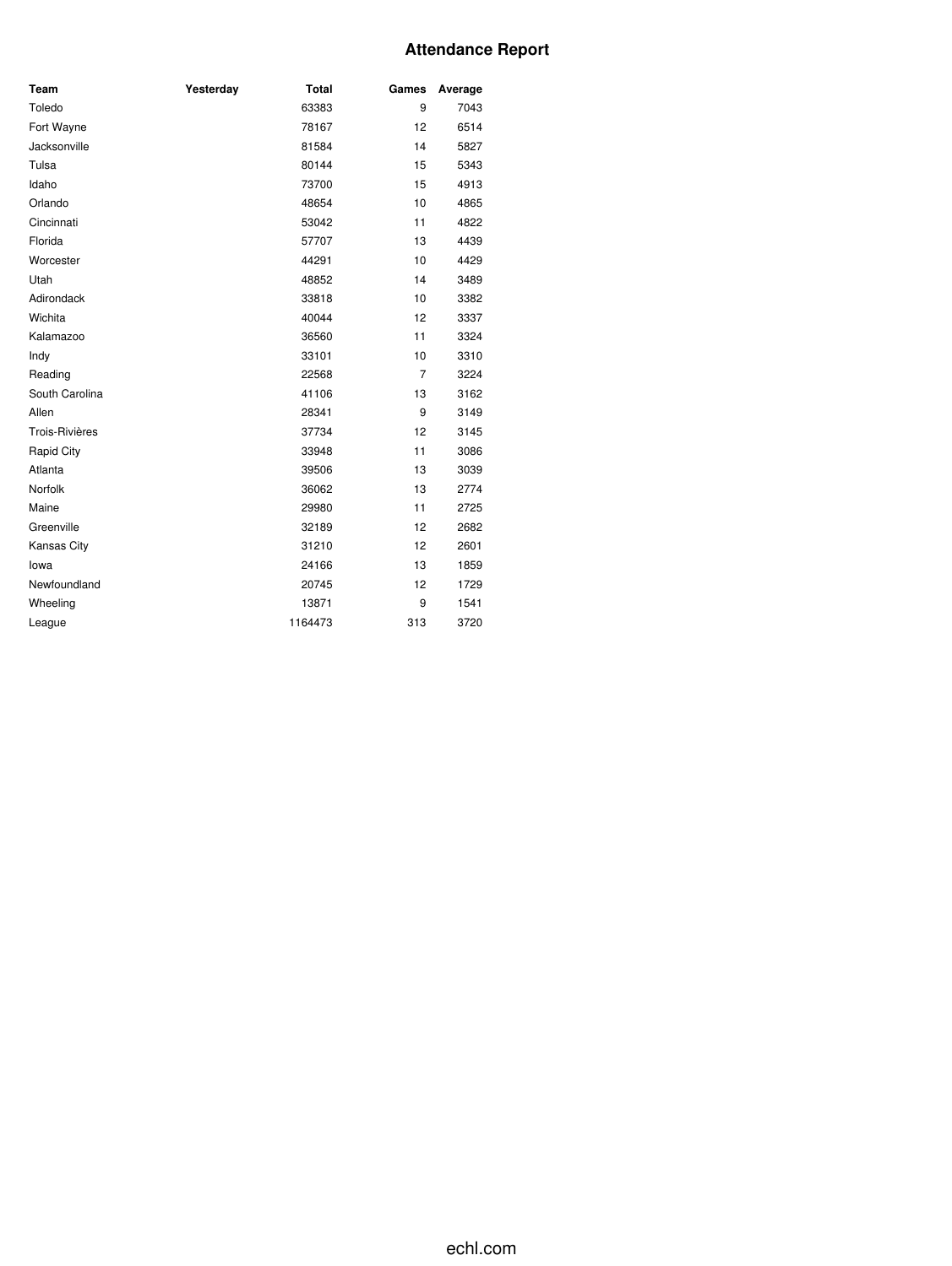# **Attendance Report**

| Team           | Yesterday | <b>Total</b> | Games          | Average |
|----------------|-----------|--------------|----------------|---------|
| Toledo         |           | 63383        | 9              | 7043    |
| Fort Wayne     |           | 78167        | 12             | 6514    |
| Jacksonville   |           | 81584        | 14             | 5827    |
| Tulsa          |           | 80144        | 15             | 5343    |
| Idaho          |           | 73700        | 15             | 4913    |
| Orlando        |           | 48654        | 10             | 4865    |
| Cincinnati     |           | 53042        | 11             | 4822    |
| Florida        |           | 57707        | 13             | 4439    |
| Worcester      |           | 44291        | 10             | 4429    |
| Utah           |           | 48852        | 14             | 3489    |
| Adirondack     |           | 33818        | 10             | 3382    |
| Wichita        |           | 40044        | 12             | 3337    |
| Kalamazoo      |           | 36560        | 11             | 3324    |
| Indy           |           | 33101        | 10             | 3310    |
| Reading        |           | 22568        | $\overline{7}$ | 3224    |
| South Carolina |           | 41106        | 13             | 3162    |
| Allen          |           | 28341        | 9              | 3149    |
| Trois-Rivières |           | 37734        | 12             | 3145    |
| Rapid City     |           | 33948        | 11             | 3086    |
| Atlanta        |           | 39506        | 13             | 3039    |
| Norfolk        |           | 36062        | 13             | 2774    |
| Maine          |           | 29980        | 11             | 2725    |
| Greenville     |           | 32189        | 12             | 2682    |
| Kansas City    |           | 31210        | 12             | 2601    |
| lowa           |           | 24166        | 13             | 1859    |
| Newfoundland   |           | 20745        | 12             | 1729    |
| Wheeling       |           | 13871        | 9              | 1541    |
| League         |           | 1164473      | 313            | 3720    |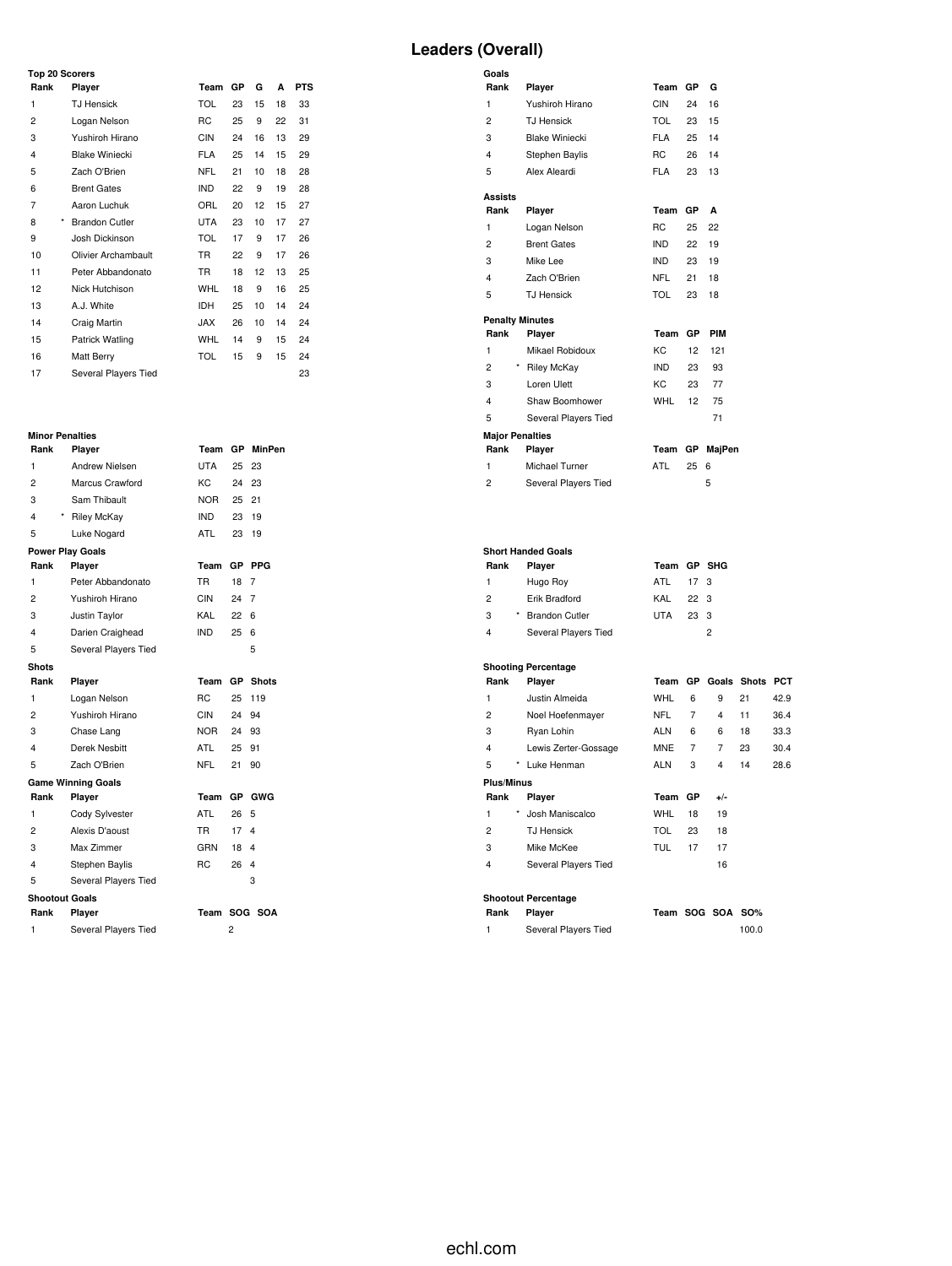# **Leaders (Overall)**

| <b>Top 20 Scorers</b> |                       |            |    |    |    |            |  |  |  |  |  |  |
|-----------------------|-----------------------|------------|----|----|----|------------|--|--|--|--|--|--|
| Rank                  | Player                | Team       | GP | G  | A  | <b>PTS</b> |  |  |  |  |  |  |
| 1                     | <b>TJ Hensick</b>     | <b>TOL</b> | 23 | 15 | 18 | 33         |  |  |  |  |  |  |
| 2                     | Logan Nelson          | <b>RC</b>  | 25 | 9  | 22 | 31         |  |  |  |  |  |  |
| 3                     | Yushiroh Hirano       | <b>CIN</b> | 24 | 16 | 13 | 29         |  |  |  |  |  |  |
| 4                     | <b>Blake Winiecki</b> | <b>FLA</b> | 25 | 14 | 15 | 29         |  |  |  |  |  |  |
| 5                     | Zach O'Brien          | <b>NFL</b> | 21 | 10 | 18 | 28         |  |  |  |  |  |  |
| 6                     | <b>Brent Gates</b>    | <b>IND</b> | 22 | 9  | 19 | 28         |  |  |  |  |  |  |
| 7                     | Aaron Luchuk          | ORL        | 20 | 12 | 15 | 27         |  |  |  |  |  |  |
| 8<br>*                | <b>Brandon Cutler</b> | <b>UTA</b> | 23 | 10 | 17 | 27         |  |  |  |  |  |  |
| 9                     | Josh Dickinson        | <b>TOL</b> | 17 | 9  | 17 | 26         |  |  |  |  |  |  |
| 10                    | Olivier Archambault   | <b>TR</b>  | 22 | 9  | 17 | 26         |  |  |  |  |  |  |
| 11                    | Peter Abbandonato     | <b>TR</b>  | 18 | 12 | 13 | 25         |  |  |  |  |  |  |
| 12                    | Nick Hutchison        | <b>WHL</b> | 18 | 9  | 16 | 25         |  |  |  |  |  |  |
| 13                    | A.J. White            | <b>IDH</b> | 25 | 10 | 14 | 24         |  |  |  |  |  |  |
| 14                    | Craig Martin          | <b>JAX</b> | 26 | 10 | 14 | 24         |  |  |  |  |  |  |
| 15                    | Patrick Watling       | <b>WHL</b> | 14 | 9  | 15 | 24         |  |  |  |  |  |  |
| 16                    | Matt Berry            | <b>TOL</b> | 15 | 9  | 15 | 24         |  |  |  |  |  |  |
| 17                    | Several Players Tied  |            |    |    |    | 23         |  |  |  |  |  |  |

#### **Minor Penalties**

| Rank                    | Player                    | Team           | GP             | <b>MinPen</b>           |
|-------------------------|---------------------------|----------------|----------------|-------------------------|
| 1                       | <b>Andrew Nielsen</b>     | <b>UTA</b>     | 25             | 23                      |
| 2                       | Marcus Crawford           | KC             | 24             | 23                      |
| 3                       | Sam Thibault              | NOR.           | 25 21          |                         |
| 4                       | * Riley McKay             | <b>IND</b>     | 23             | 19                      |
| 5                       | Luke Nogard               | <b>ATL</b>     | 23             | 19                      |
|                         | <b>Power Play Goals</b>   |                |                |                         |
| Rank                    | Player                    | Team           | <b>GP</b>      | <b>PPG</b>              |
| 1                       | Peter Abbandonato         | TR.            | 18             | 7                       |
| 2                       | Yushiroh Hirano           | CIN            | 24             | 7                       |
| 3                       | Justin Taylor             | KAL            | 22             | 6                       |
| 4                       | Darien Craighead          | <b>IND</b>     | 25             | 6                       |
| 5                       | Several Players Tied      |                |                | 5                       |
| <b>Shots</b>            |                           |                |                |                         |
| Rank                    | Player                    | Team           | <b>GP</b>      | <b>Shots</b>            |
| 1                       | Logan Nelson              | R <sub>C</sub> | 25             | 119                     |
| $\overline{c}$          | Yushiroh Hirano           | CIN            | 24 94          |                         |
| 3                       | Chase Lang                | NOR            | 24 93          |                         |
| $\overline{\mathbf{A}}$ | Derek Nesbitt             | <b>ATL</b>     | 25             | 91                      |
| 5                       | Zach O'Brien              | NFL            | 21             | 90                      |
|                         | <b>Game Winning Goals</b> |                |                |                         |
| Rank                    | Player                    | Team           |                | GP GWG                  |
| 1                       | Cody Sylvester            | ATL            | 26             | 5                       |
| 2                       | Alexis D'aoust            | TR.            | 17             | $\overline{\mathbf{A}}$ |
| 3                       | Max Zimmer                | GRN            | 18             | 4                       |
| 4                       | Stephen Baylis            | R <sub>C</sub> | 26             | 4                       |
| 5                       | Several Players Tied      |                |                | 3                       |
| <b>Shootout Goals</b>   |                           |                |                |                         |
| Rank                    | Player                    | Team           |                | SOG SOA                 |
| 1                       | Several Players Tied      |                | $\overline{c}$ |                         |

## **Goals Rank Player Team GP G** Yushiroh Hirano CIN 24 16 TJ Hensick TOL 23 15 3 Blake Winiecki FLA 25 14<br>4 Stephen Baylis RC 26 14 4 Stephen Baylis Alex Aleardi FLA 23 13 **Assists Rank Player Team GP A** Logan Nelson RC 25 22 Brent Gates IND 22 19 Mike Lee IND 23 19 Zach O'Brien NFL 21 18 TJ Hensick TOL 23 18 **Penalty Minutes Rank Player Team GP PIM** Mikael Robidoux KC 12 121 \* Riley McKay IND 23 93 3 Loren Ulett KC 23 77 Shaw Boomhower WHL 12 75 Several Players Tied 71 **Major Penalties Rank Player Team GP MajPen** 1 Michael Turner **ATL** 25 6 2 Several Players Tied 5 **Short Handed Goals Rank Player Team GP SHG** Hugo Roy ATL 17 3 2 Erik Bradford \* Brandon Cutler UTA 23 3 Several Players Tied 2 **Shooting Percentage Rank Player Team GP Goals Shots PCT** Justin Almeida WHL 6 9 21 42.9 Noel Hoefenmayer NFL 7 4 11 36.4 Ryan Lohin ALN 6 6 18 33.3 Lewis Zerter-Gossage MNE 7 7 23 30.4 \* Luke Henman ALN 3 4 14 28.6 **Plus/Minus Rank Player Team GP +/-**

 \* Josh Maniscalco WHL 18 19 TJ Hensick TOL 23 18 3 Mike McKee TUL 17 17 Several Players Tied 16

# **Shootout Percentage**

| ₹ank | Player               | Team SOG SOA SO% |  |       |
|------|----------------------|------------------|--|-------|
|      | Several Players Tied |                  |  | 100.0 |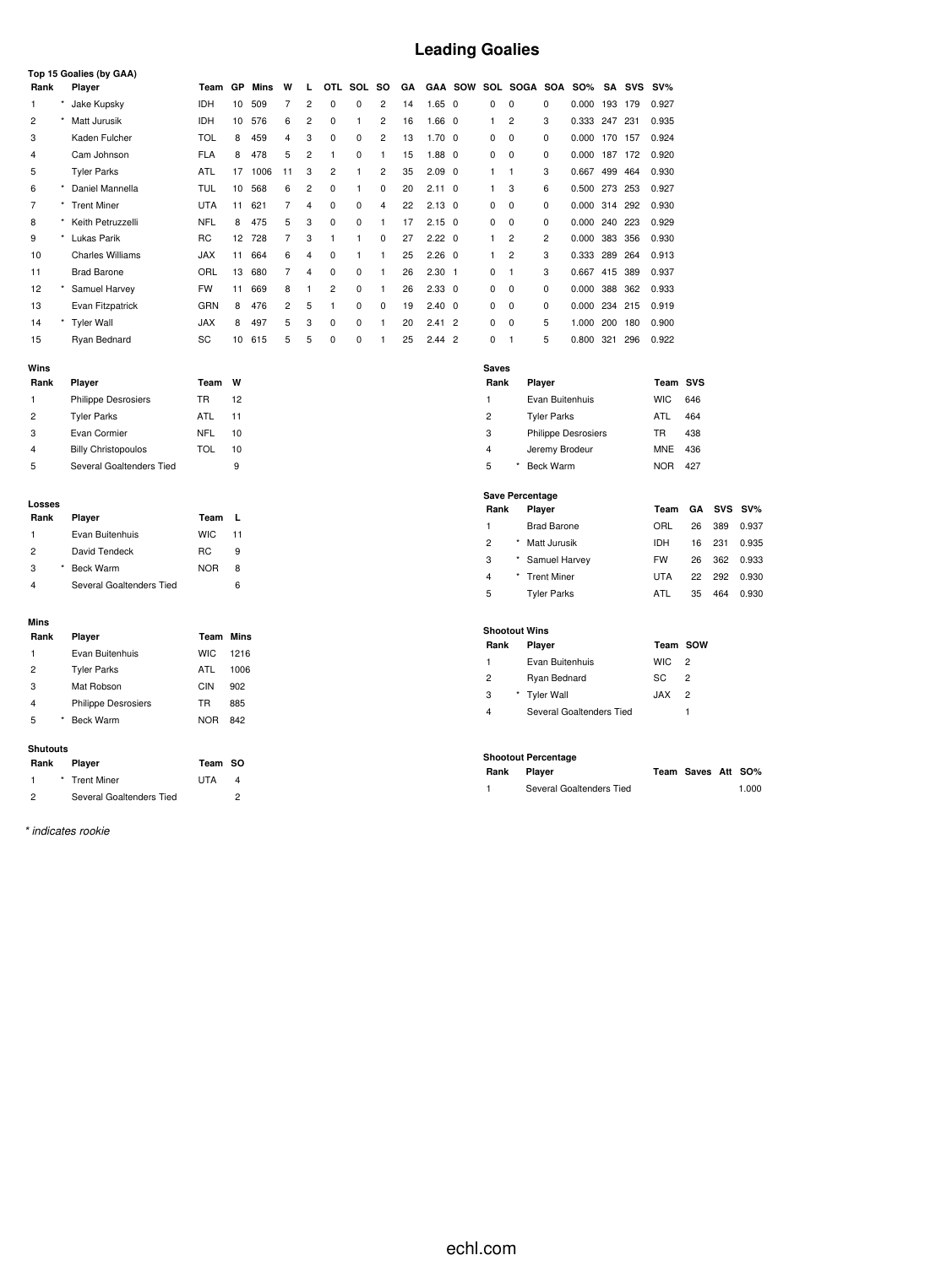# **Leading Goalies**

|      | Top 15 Goalies (by GAA) |                         |            |    |      |                |                |                |          |                |    |                |                |          |                |                |            |         |     |        |
|------|-------------------------|-------------------------|------------|----|------|----------------|----------------|----------------|----------|----------------|----|----------------|----------------|----------|----------------|----------------|------------|---------|-----|--------|
| Rank |                         | Player                  | Team       | GP | Mins | W              | L.             | <b>OTL</b>     | SOL      | so             | GA |                | <b>GAA SOW</b> |          | SOL SOGA       | SOA            | <b>SO%</b> | SA      | SVS | $SV\%$ |
|      |                         | Jake Kupsky             | IDH        | 10 | 509  | 7              | 2              | $\Omega$       | 0        | 2              | 14 | $1.65 \quad 0$ |                | 0        | 0              | 0              | 0.000      | 193     | 179 | 0.927  |
| 2    |                         | Matt Jurusik            | <b>IDH</b> | 10 | 576  | 6              | $\overline{2}$ | $\Omega$       |          | $\overline{2}$ | 16 | 1.66           | - 0            | 1        | $\overline{2}$ | 3              | 0.333      | 247     | 231 | 0.935  |
| 3    |                         | Kaden Fulcher           | TOL        | 8  | 459  | 4              | 3              | 0              | 0        | $\overline{2}$ | 13 | $1.70 \quad 0$ |                | 0        | 0              | 0              | 0.000      | 170     | 157 | 0.924  |
| 4    |                         | Cam Johnson             | <b>FLA</b> | 8  | 478  | 5              | $\overline{2}$ |                | 0        | 1              | 15 | $1.88$ 0       |                | 0        | $^{\circ}$     | 0              | 0.000      | 187     | 172 | 0.920  |
| 5    |                         | <b>Tyler Parks</b>      | <b>ATL</b> | 17 | 1006 | 11             | 3              | $\overline{c}$ |          | 2              | 35 | 2.09           | 0              | 1        |                | 3              | 0.667      | 499     | 464 | 0.930  |
| 6    | $\star$                 | Daniel Mannella         | TUL        | 10 | 568  | 6              | 2              | $\Omega$       | 1        | 0              | 20 | $2.11 \quad 0$ |                | 1        | 3              | 6              | 0.500      | 273     | 253 | 0.927  |
| 7    |                         | <b>Trent Miner</b>      | <b>UTA</b> | 11 | 621  | 7              | 4              | 0              | 0        | 4              | 22 | $2.13 \quad 0$ |                | 0        | 0              | 0              | 0.000      | 314 292 |     | 0.930  |
| 8    |                         | Keith Petruzzelli       | <b>NFL</b> | 8  | 475  | 5              | 3              | 0              | 0        | 1              | 17 | $2.15 \quad 0$ |                | 0        | 0              | 0              | 0.000      | 240     | 223 | 0.929  |
| 9    | $\star$                 | Lukas Parik             | <b>RC</b>  | 12 | 728  | 7              | 3              | 1              | 1        | 0              | 27 | $2.22 \quad 0$ |                |          | $\overline{2}$ | $\overline{2}$ | 0.000      | 383     | 356 | 0.930  |
| 10   |                         | <b>Charles Williams</b> | <b>JAX</b> | 11 | 664  | 6              | $\overline{4}$ | $\Omega$       |          |                | 25 | $2.26 \quad 0$ |                | 1        | $\overline{2}$ | 3              | 0.333      | 289     | 264 | 0.913  |
| 11   |                         | <b>Brad Barone</b>      | ORL        | 13 | 680  | 7              | $\overline{4}$ | 0              | 0        |                | 26 | 2.30           | $\overline{1}$ | 0        |                | 3              | 0.667      | 415     | 389 | 0.937  |
| 12   |                         | Samuel Harvey           | <b>FW</b>  | 11 | 669  | 8              |                | $\overline{c}$ | 0        |                | 26 | $2.33 \quad 0$ |                | 0        | $^{\circ}$     | 0              | 0.000      | 388     | 362 | 0.933  |
| 13   |                         | Evan Fitzpatrick        | GRN        | 8  | 476  | $\overline{2}$ | 5              | 1              | $\Omega$ | 0              | 19 | $2.40 \quad 0$ |                | 0        | 0              | $\Omega$       | 0.000      | 234     | 215 | 0.919  |
| 14   |                         | <b>Tyler Wall</b>       | <b>JAX</b> | 8  | 497  | 5              | 3              | $\Omega$       | $\Omega$ |                | 20 | 2.41           | $\overline{2}$ | $\Omega$ | 0              | 5              | 1.000      | 200     | 180 | 0.900  |
| 15   |                         | Ryan Bednard            | SC         | 10 | 615  | 5              | 5              | 0              | 0        |                | 25 | $2.44$ 2       |                | 0        |                | 5              | 0.800      | 321     | 296 | 0.922  |

#### **Wins**

| Rank           | Player                     | Team | w  |
|----------------|----------------------------|------|----|
| 1              | <b>Philippe Desrosiers</b> | TR   | 12 |
| $\overline{2}$ | <b>Tyler Parks</b>         | ATL  | 11 |
| 3              | Evan Cormier               | NFL  | 10 |
| $\overline{4}$ | <b>Billy Christopoulos</b> | TOL  | 10 |
| 5              | Several Goaltenders Tied   |      | 9  |

#### **Losses**

| Rank          | Player                   | Team       | υ. |
|---------------|--------------------------|------------|----|
| 1             | Evan Buitenhuis          | <b>WIC</b> | 11 |
| $\mathcal{P}$ | David Tendeck            | RC.        | 9  |
| 3             | Beck Warm                | <b>NOR</b> | 8  |
|               | Several Goaltenders Tied |            | Բ  |

#### **Mins**

| Rank           | Plaver                     | Team Mins  |      |
|----------------|----------------------------|------------|------|
| 1              | Evan Buitenhuis            | <b>WIC</b> | 1216 |
| $\overline{2}$ | <b>Tyler Parks</b>         | ATL        | 1006 |
| 3              | Mat Robson                 | CIN        | 902  |
| 4              | <b>Philippe Desrosiers</b> | TR         | 885  |
| 5              | <b>Beck Warm</b>           | <b>NOR</b> | 842  |
|                |                            |            |      |

#### **Shutouts**

| Rank          | Player                   | Team SO    |   |
|---------------|--------------------------|------------|---|
|               | * Trent Miner            | <b>UTA</b> | 4 |
| $\mathcal{P}$ | Several Goaltenders Tied |            |   |

*\* indicates rookie*

| <b>Saves</b> |                            |            |     |
|--------------|----------------------------|------------|-----|
| Rank         | Player                     | Team SVS   |     |
| 1            | Evan Buitenhuis            | WIC.       | 646 |
| 2            | <b>Tyler Parks</b>         | ATI        | 464 |
| 3            | <b>Philippe Desrosiers</b> | TR         | 438 |
| 4            | Jeremy Brodeur             | <b>MNE</b> | 436 |
| 5            | Beck Warm                  |            |     |

## **Save Percentage**

| Rank |   | Player             | Team      |    |     | GA SVS SV% |
|------|---|--------------------|-----------|----|-----|------------|
| 1    |   | <b>Brad Barone</b> | ORL       | 26 | 389 | 0.937      |
| 2    | * | Matt Jurusik       | IDH       | 16 | 231 | 0.935      |
| 3    |   | * Samuel Harvey    | <b>FW</b> | 26 | 362 | 0.933      |
| 4    |   | * Trent Miner      | UTA       | 22 | 292 | 0.930      |
| 5    |   | <b>Tyler Parks</b> | ATL       | 35 | 464 | 0.930      |

#### **Shootout Wins**

| Rank | <b>Plaver</b>            | Team SOW    |               |  |
|------|--------------------------|-------------|---------------|--|
| 1    | Evan Buitenhuis          | $WIC$ 2     |               |  |
| 2    | Ryan Bednard             | SC.         | $\mathcal{P}$ |  |
| 3    | * Tyler Wall             | <b>XAL.</b> | $\mathcal{P}$ |  |
| 4    | Several Goaltenders Tied |             |               |  |

## **Shootout Percentage**

| Rank | Player                   | Team Saves Att SO% |       |
|------|--------------------------|--------------------|-------|
|      | Several Goaltenders Tied |                    | 1.000 |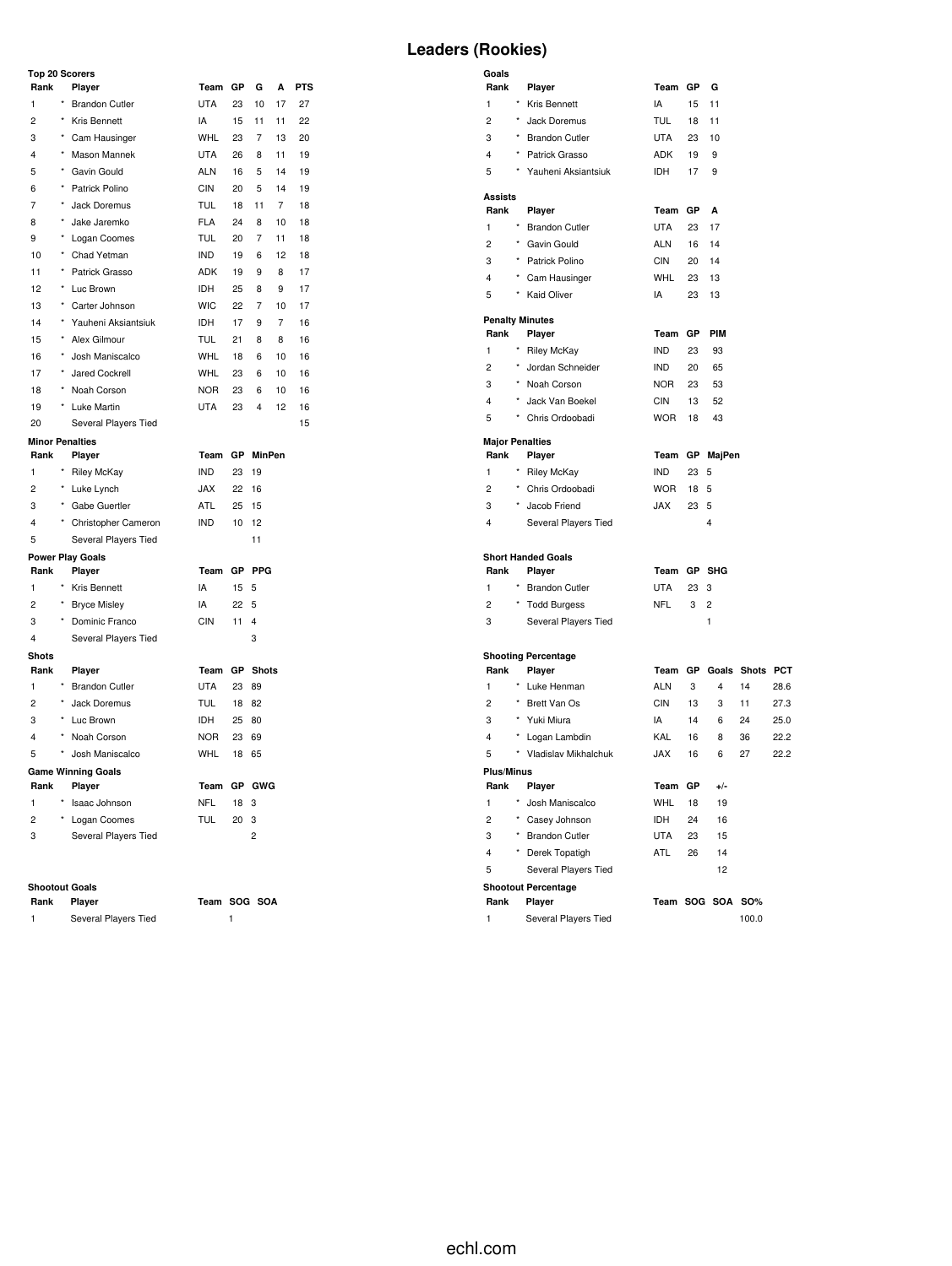## **Top 20 Scorers**

| <b>Leaders (Rookies)</b> |  |
|--------------------------|--|
|--------------------------|--|

| Rank                   |          | Player                     | Team       | GP | G               | А              | <b>PTS</b> |
|------------------------|----------|----------------------------|------------|----|-----------------|----------------|------------|
| 1                      |          | * Brandon Cutler           | <b>UTA</b> | 23 | 10              | 17             | 27         |
| 2                      |          | * Kris Bennett             | IA         | 15 | 11              | 11             | 22         |
| 3                      | $^\star$ | Cam Hausinger              | <b>WHL</b> | 23 | 7               | 13             | 20         |
| 4                      |          | * Mason Mannek             | <b>UTA</b> | 26 | 8               | 11             | 19         |
| 5                      |          | * Gavin Gould              | ALN        | 16 | 5               | 14             | 19         |
| 6                      | $^\star$ | Patrick Polino             | <b>CIN</b> | 20 | 5               | 14             | 19         |
| 7                      | $^\star$ | Jack Doremus               | <b>TUL</b> | 18 | 11              | $\overline{7}$ | 18         |
| 8                      | $\star$  | Jake Jaremko               | <b>FLA</b> | 24 | 8               | 10             | 18         |
| 9                      |          | * Logan Coomes             | <b>TUL</b> | 20 | 7               | 11             | 18         |
| 10                     |          | * Chad Yetman              | <b>IND</b> | 19 | 6               | 12             | 18         |
| 11                     | $^\star$ | Patrick Grasso             | ADK        | 19 | 9               | 8              | 17         |
| 12                     |          | * Luc Brown                | IDH        | 25 | 8               | 9              | 17         |
| 13                     | $^\star$ | Carter Johnson             | <b>WIC</b> | 22 | 7               | 10             | 17         |
| 14                     |          | * Yauheni Aksiantsiuk      | IDH        | 17 | 9               | $\overline{7}$ | 16         |
| 15                     | $^\star$ | Alex Gilmour               | <b>TUL</b> | 21 | 8               | 8              | 16         |
| 16                     | $^\star$ | Josh Maniscalco            | WHL        | 18 | 6               | 10             | 16         |
| 17                     | $\star$  | Jared Cockrell             | <b>WHL</b> | 23 | 6               | 10             | 16         |
| 18                     | $^\star$ | Noah Corson                | <b>NOR</b> | 23 | 6               | 10             | 16         |
| 19                     |          | * Luke Martin              | UTA        | 23 | 4               | 12             | 16         |
| 20                     |          | Several Players Tied       |            |    |                 |                | 15         |
| <b>Minor Penalties</b> |          |                            |            |    |                 |                |            |
| Rank                   |          | Player                     | Team       |    | GP MinPen       |                |            |
| 1                      |          | * Riley McKay              | <b>IND</b> | 23 | 19              |                |            |
| 2                      |          | * Luke Lynch               | <b>JAX</b> | 22 | 16              |                |            |
| 3                      |          | * Gabe Guertler            | <b>ATL</b> | 25 | 15              |                |            |
| 4                      |          | * Christopher Cameron      | <b>IND</b> | 10 | 12<br>11        |                |            |
| 5                      |          | Several Players Tied       |            |    |                 |                |            |
| Rank                   |          | Power Play Goals<br>Player | Team       |    | GP PPG          |                |            |
| 1                      |          | * Kris Bennett             | IA         | 15 | 5               |                |            |
| 2                      |          | * Bryce Misley             | IA         | 22 | 5               |                |            |
| 3                      |          | * Dominic Franco           | <b>CIN</b> | 11 | $\overline{4}$  |                |            |
| 4                      |          | Several Players Tied       |            |    | 3               |                |            |
| Shots                  |          |                            |            |    |                 |                |            |
| Rank                   |          | Player                     | Team       |    | <b>GP</b> Shots |                |            |
| 1                      |          | * Brandon Cutler           | <b>UTA</b> | 23 | 89              |                |            |
| $\overline{c}$         | $^\star$ | Jack Doremus               | <b>TUL</b> | 18 | 82              |                |            |
| 3                      |          | * Luc Brown                | IDH        | 25 | 80              |                |            |
| $\overline{4}$         | $^\star$ | Noah Corson                | <b>NOR</b> | 23 | 69              |                |            |
| 5                      | $^\star$ | Josh Maniscalco            | <b>WHL</b> | 18 | 65              |                |            |
|                        |          | <b>Game Winning Goals</b>  |            |    |                 |                |            |
| Rank                   |          | Player                     | Team       |    | GP GWG          |                |            |
| $\mathbf{1}$           | $\star$  | Isaac Johnson              | <b>NFL</b> | 18 | 3               |                |            |
| 2                      |          | * Logan Coomes             | <b>TUL</b> | 20 | 3               |                |            |
| 3                      |          | Several Players Tied       |            |    | $\overline{c}$  |                |            |
|                        |          |                            |            |    |                 |                |            |

#### **Shootout Goals**

| Rank | Player               | Team SOG SOA |  |
|------|----------------------|--------------|--|
|      | Several Players Tied |              |  |

| Goals                   |            |                            |            |           |                         |                    |      |
|-------------------------|------------|----------------------------|------------|-----------|-------------------------|--------------------|------|
| Rank                    |            | Player                     | Team GP    |           | G                       |                    |      |
| $\mathbf{1}$            | $\star$    | Kris Bennett               | IA         | 15        | 11                      |                    |      |
| $\overline{2}$          |            | Jack Doremus               | <b>TUL</b> | 18        | 11                      |                    |      |
| 3                       | $\star$    | <b>Brandon Cutler</b>      | <b>UTA</b> | 23        | 10                      |                    |      |
| 4                       |            | Patrick Grasso             | <b>ADK</b> | 19        | 9                       |                    |      |
| 5                       |            | Yauheni Aksiantsiuk        | <b>IDH</b> | 17        | 9                       |                    |      |
| <b>Assists</b>          |            |                            |            |           |                         |                    |      |
| Rank                    |            | Player                     | Team       | GP        | A                       |                    |      |
| $\mathbf{1}$            | $\star$    | <b>Brandon Cutler</b>      | <b>UTA</b> | 23        | 17                      |                    |      |
| $\overline{c}$          |            | * Gavin Gould              | <b>ALN</b> | 16        | 14                      |                    |      |
| 3                       | $^\star$   | Patrick Polino             | <b>CIN</b> | 20        | 14                      |                    |      |
| 4                       | $^\star$   | Cam Hausinger              | <b>WHL</b> | 23        | 13                      |                    |      |
| 5                       | $\star$    | <b>Kaid Oliver</b>         | IA         | 23        | 13                      |                    |      |
|                         |            |                            |            |           |                         |                    |      |
|                         |            | <b>Penalty Minutes</b>     |            |           |                         |                    |      |
| Rank                    |            | Player                     | Team       | GP        | PIM                     |                    |      |
| $\mathbf{1}$            | $\star$    | <b>Riley McKay</b>         | <b>IND</b> | 23        | 93                      |                    |      |
| $\overline{2}$          |            | Jordan Schneider           | <b>IND</b> | 20        | 65                      |                    |      |
| 3                       | $\star$    | Noah Corson                | <b>NOR</b> | 23        | 53                      |                    |      |
| 4                       | $\star$    | Jack Van Boekel            | <b>CIN</b> | 13        | 52                      |                    |      |
| 5                       | $^\star$   | Chris Ordoobadi            | <b>WOR</b> | 18        | 43                      |                    |      |
| <b>Major Penalties</b>  |            |                            |            |           |                         |                    |      |
| Rank                    |            | Player                     | Team       | GP        | MajPen                  |                    |      |
| $\mathbf{1}$            | $^{\star}$ | <b>Riley McKay</b>         | <b>IND</b> | 23        | 5                       |                    |      |
| $\overline{c}$          | $^\star$   | Chris Ordoobadi            | <b>WOR</b> | 18        | 5                       |                    |      |
| 3                       | $\star$    | Jacob Friend               | <b>JAX</b> | 23        | 5                       |                    |      |
| 4                       |            | Several Players Tied       |            |           | $\overline{\mathbf{4}}$ |                    |      |
|                         |            |                            |            |           |                         |                    |      |
|                         |            | <b>Short Handed Goals</b>  |            |           |                         |                    |      |
| Rank                    |            | Player                     | Team       | <b>GP</b> | <b>SHG</b>              |                    |      |
| $\mathbf{1}$            | $^{\star}$ | <b>Brandon Cutler</b>      | <b>UTA</b> | 23        | 3                       |                    |      |
| $\overline{2}$          | $\star$    | <b>Todd Burgess</b>        | <b>NFL</b> | 3         | $\overline{2}$          |                    |      |
| 3                       |            | Several Players Tied       |            |           | $\mathbf{1}$            |                    |      |
|                         |            |                            |            |           |                         |                    |      |
|                         |            | <b>Shooting Percentage</b> |            |           |                         |                    |      |
| Rank                    |            | Player                     | Team       |           |                         | GP Goals Shots PCT |      |
| $\mathbf{1}$            |            | * Luke Henman              | <b>ALN</b> | 3         | 4                       | 14                 | 28.6 |
| $\overline{c}$          | $\star$    | Brett Van Os               | <b>CIN</b> | 13        | 3                       | 11                 | 27.3 |
| 3                       | $\star$    | Yuki Miura                 | IA         | 14        | 6                       | 24                 | 25.0 |
| $\overline{\mathbf{4}}$ | $\star$    | Logan Lambdin              | KAL        | 16        | 8                       | 36                 | 22.2 |
| 5                       | $\star$    | Vladislav Mikhalchuk       | <b>JAX</b> | 16        | 6                       | 27                 | 22.2 |
| <b>Plus/Minus</b>       |            |                            |            |           |                         |                    |      |
| Rank                    |            | Player                     | Team       | GP        | $+/-$                   |                    |      |
| $\mathbf{1}$            |            | Josh Maniscalco            | <b>WHL</b> | 18        | 19                      |                    |      |
| 2                       |            | * Casey Johnson            | IDH        | 24        | 16                      |                    |      |
| 3                       | $\star$    | <b>Brandon Cutler</b>      | <b>UTA</b> | 23        | 15                      |                    |      |
| 4                       | $\star$    | Derek Topatigh             | ATL        | 26        | 14                      |                    |      |
| 5                       |            | Several Players Tied       |            |           | 12                      |                    |      |
|                         |            | <b>Shootout Percentage</b> |            |           |                         |                    |      |

**Rank** Player **Rank Player Team SOG SOA SO%** 1 Several Players Tied 100.0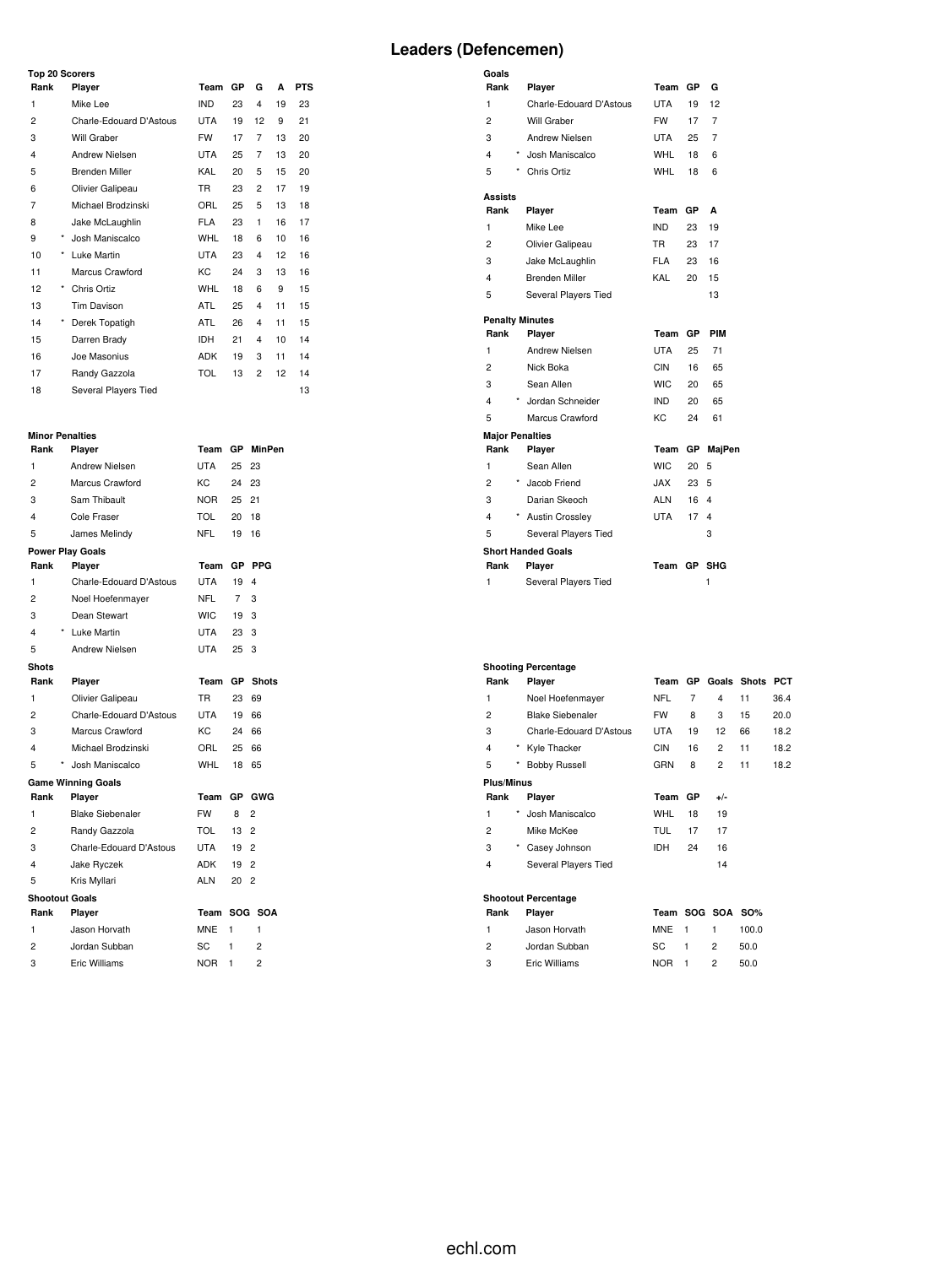## **Top 20 Scorers**

**Goals**

|      |            | Top zu Scorers          |            |    |    |    |            |  |
|------|------------|-------------------------|------------|----|----|----|------------|--|
| Rank |            | Player                  | Team       | GP | G  | A  | <b>PTS</b> |  |
| 1    |            | Mike Lee                | IND        | 23 | 4  | 19 | 23         |  |
| 2    |            | Charle-Edouard D'Astous | <b>UTA</b> | 19 | 12 | 9  | 21         |  |
| 3    |            | Will Graber             | <b>FW</b>  | 17 | 7  | 13 | 20         |  |
| 4    |            | Andrew Nielsen          | <b>UTA</b> | 25 | 7  | 13 | 20         |  |
| 5    |            | <b>Brenden Miller</b>   | KAL        | 20 | 5  | 15 | 20         |  |
| 6    |            | Olivier Galipeau        | <b>TR</b>  | 23 | 2  | 17 | 19         |  |
| 7    |            | Michael Brodzinski      | ORL        | 25 | 5  | 13 | 18         |  |
| 8    |            | Jake McLaughlin         | <b>FLA</b> | 23 | 1  | 16 | 17         |  |
| 9    | $^{\star}$ | Josh Maniscalco         | <b>WHL</b> | 18 | 6  | 10 | 16         |  |
| 10   | $^{\star}$ | Luke Martin             | <b>UTA</b> | 23 | 4  | 12 | 16         |  |
| 11   |            | Marcus Crawford         | KC         | 24 | 3  | 13 | 16         |  |
| 12   | $^{\star}$ | Chris Ortiz             | <b>WHL</b> | 18 | 6  | 9  | 15         |  |
| 13   |            | Tim Davison             | ATL        | 25 | 4  | 11 | 15         |  |
| 14   | $^{\star}$ | Derek Topatigh          | ATL        | 26 | 4  | 11 | 15         |  |
| 15   |            | Darren Brady            | <b>IDH</b> | 21 | 4  | 10 | 14         |  |
| 16   |            | Joe Masonius            | <b>ADK</b> | 19 | 3  | 11 | 14         |  |
| 17   |            | Randy Gazzola           | <b>TOL</b> | 13 | 2  | 12 | 14         |  |
| 18   |            | Several Players Tied    |            |    |    |    | 13         |  |

#### **Minor Penalties**

| Rank                  | Player                    | Team       | GP          | <b>MinPen</b>  |
|-----------------------|---------------------------|------------|-------------|----------------|
| 1                     | Andrew Nielsen            | <b>UTA</b> | 25          | 23             |
| $\overline{c}$        | Marcus Crawford           | KC.        | 24          | 23             |
| 3                     | Sam Thibault              | <b>NOR</b> | 25          | 21             |
| 4                     | Cole Fraser               | TOL        | 20          | 18             |
| 5                     | James Melindy             | NFL        | 19          | 16             |
|                       | <b>Power Play Goals</b>   |            |             |                |
| Rank                  | Player                    | Team       | <b>GP</b>   | <b>PPG</b>     |
| 1                     | Charle-Edouard D'Astous   | UTA        | 19          | 4              |
| 2                     | Noel Hoefenmayer          | NFL        | $7^{\circ}$ | 3              |
| 3                     | Dean Stewart              | WIC.       | 19          | 3              |
| 4                     | * Luke Martin             | UTA        | 23          | 3              |
| 5                     | Andrew Nielsen            | UTA        | 25          | 3              |
| <b>Shots</b>          |                           |            |             |                |
| Rank                  | Player                    | Team       | <b>GP</b>   | <b>Shots</b>   |
| 1                     | Olivier Galipeau          | TR.        | 23          | 69             |
| $\overline{c}$        | Charle-Edouard D'Astous   | UTA        | 19          | 66             |
| 3                     | Marcus Crawford           | KC.        | 24          | 66             |
| 4                     | Michael Brodzinski        | ORL        | 25          | 66             |
| 5                     | Josh Maniscalco           | WHL        | 18          | 65             |
|                       | <b>Game Winning Goals</b> |            |             |                |
| Rank                  | Player                    | Team       | GP          | GWG            |
| 1                     | <b>Blake Siebenaler</b>   | <b>FW</b>  | 8           | $\overline{2}$ |
| 2                     | Randy Gazzola             | TOL        | $13 -$      | $\overline{2}$ |
| 3                     | Charle-Edouard D'Astous   | UTA        | 19          | $\overline{2}$ |
| 4                     | Jake Ryczek               | ADK        | 19          | $\overline{2}$ |
| 5                     | Kris Myllari              | <b>ALN</b> | 20          | $\overline{2}$ |
| <b>Shootout Goals</b> |                           |            |             |                |
| Rank                  | Player                    | Team       |             | SOG SOA        |
| 1                     | Jason Horvath             | MNE        | 1           | 1              |
| 2                     | Jordan Subban             | SC         | 1           | $\overline{2}$ |
| 3                     | Eric Williams             | <b>NOR</b> | 1           | $\overline{c}$ |

| Rank                      | Player                  | Team        | GP | G              |
|---------------------------|-------------------------|-------------|----|----------------|
| 1                         | Charle-Edouard D'Astous | <b>UTA</b>  | 19 | 12             |
| $\overline{c}$            | Will Graber             | <b>FW</b>   | 17 | $\overline{7}$ |
| 3                         | Andrew Nielsen          | UTA         | 25 | 7              |
| 4<br>$\star$              | Josh Maniscalco         | <b>WHL</b>  | 18 | 6              |
| 5                         | Chris Ortiz             | WHL         | 18 | 6              |
| Assists                   |                         |             |    |                |
| Rank                      | Player                  | Team        | GP | A              |
| 1                         | Mike Lee                | <b>IND</b>  | 23 | 19             |
| $\overline{c}$            | Olivier Galipeau        | <b>TR</b>   | 23 | 17             |
| 3                         | Jake McLaughlin         | <b>FLA</b>  | 23 | 16             |
| 4                         | <b>Brenden Miller</b>   | KAL         | 20 | 15             |
| 5                         | Several Players Tied    |             |    | 13             |
| <b>Penalty Minutes</b>    |                         |             |    |                |
| Rank                      | Player                  | Team        | GР | PIM            |
| 1                         | <b>Andrew Nielsen</b>   | <b>UTA</b>  | 25 | 71             |
| $\overline{c}$            | Nick Boka               | CIN         | 16 | 65             |
| 3                         | Sean Allen              | <b>WIC</b>  | 20 | 65             |
| 4<br>$\star$              | Jordan Schneider        | IND.        | 20 | 65             |
| 5                         | Marcus Crawford         | KC          | 24 | 61             |
| <b>Major Penalties</b>    |                         |             |    |                |
| Rank                      | Player                  | Team        | GР | MajPen         |
| 1                         | Sean Allen              | <b>WIC</b>  | 20 | 5              |
| $\star$<br>$\overline{c}$ | Jacob Friend            | <b>XAL.</b> | 23 | 5              |
| 3                         | Darian Skeoch           | ALN         | 16 | 4              |
| 4                         | * Austin Crossley       | <b>UTA</b>  | 17 | $\overline{4}$ |
| 5                         | Several Players Tied    |             |    | 3              |
|                           | Short Handed Goals      |             |    |                |
| Rank                      | Player                  | Team GP     |    | SHG            |
| 1                         | Several Players Tied    |             |    | 1              |

|                   |            | <b>Shooting Percentage</b> |            |                |                |             |            |
|-------------------|------------|----------------------------|------------|----------------|----------------|-------------|------------|
| Rank              |            | Player                     | Team       | <b>GP</b>      |                | Goals Shots | <b>PCT</b> |
| 1                 |            | Noel Hoefenmayer           | <b>NFL</b> | $\overline{7}$ | 4              | 11          | 36.4       |
| 2                 |            | <b>Blake Siebenaler</b>    | <b>FW</b>  | 8              | 3              | 15          | 20.0       |
| 3                 |            | Charle-Edouard D'Astous    | UTA        | 19             | 12             | 66          | 18.2       |
| 4                 | $^\star$   | Kyle Thacker               | <b>CIN</b> | 16             | $\overline{c}$ | 11          | 18.2       |
| 5                 | $^{\star}$ | <b>Bobby Russell</b>       | GRN        | 8              | 2              | 11          | 18.2       |
| <b>Plus/Minus</b> |            |                            |            |                |                |             |            |
| Rank              |            | Player                     | Team       | GP             | $+/-$          |             |            |
| 1                 | *          | Josh Maniscalco            | WHL        | 18             | 19             |             |            |
| $\overline{c}$    |            | Mike McKee                 | <b>TUL</b> | 17             | 17             |             |            |
| 3                 | $^{\star}$ | Casey Johnson              | <b>IDH</b> | 24             | 16             |             |            |
| 4                 |            | Several Players Tied       |            |                | 14             |             |            |
|                   |            | <b>Shootout Percentage</b> |            |                |                |             |            |
| Rank              |            | Player                     | Team       |                | SOG SOA SO%    |             |            |
| 1                 |            | Jason Horvath              | <b>MNE</b> | 1              | 1              | 100.0       |            |
| 2                 |            | Jordan Subban              | SC         | 1              | 2              | 50.0        |            |

Eric Williams NOR 1 2 50.0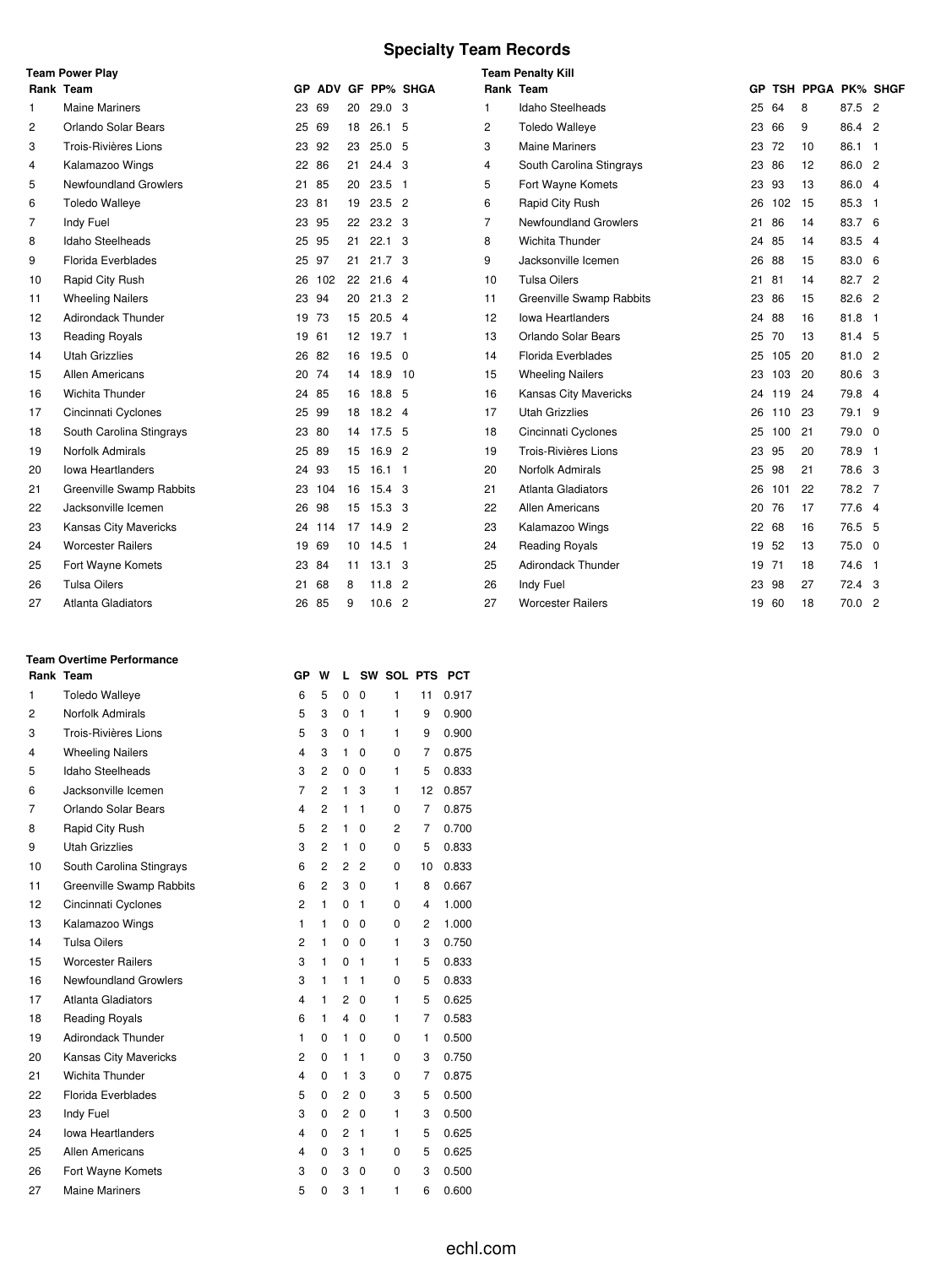# **Specialty Team Records**

|                | <b>Team Power Play</b>       |       |        |                 |                   |                    |                | <b>Team Penalty Kill</b>     |       |     |                   |               |  |
|----------------|------------------------------|-------|--------|-----------------|-------------------|--------------------|----------------|------------------------------|-------|-----|-------------------|---------------|--|
|                | Rank Team                    |       |        |                 |                   | GP ADV GF PP% SHGA | Rank Team      |                              | GP    |     | TSH PPGA PK% SHGF |               |  |
| 1              | <b>Maine Mariners</b>        | 23    | 69     | 20              | 29.0 <sub>3</sub> |                    | 1              | Idaho Steelheads             | 25    | 64  | 8                 | 87.5 2        |  |
| 2              | Orlando Solar Bears          | 25    | 69     | 18              | $26.1\quad 5$     |                    | 2              | <b>Toledo Walleye</b>        | 23    | 66  | 9                 | 86.4 2        |  |
| 3              | <b>Trois-Rivières Lions</b>  | 23    | 92     | 23              | 25.0 <sub>5</sub> |                    | 3              | <b>Maine Mariners</b>        | 23 72 |     | 10                | 86.1 1        |  |
| 4              | Kalamazoo Wings              | 22    | 86     | 21              | 24.4 <sup>3</sup> |                    | 4              | South Carolina Stingrays     | 23 86 |     | 12                | 86.0 2        |  |
| 5              | <b>Newfoundland Growlers</b> | 21    | 85     | 20              | $23.5$ 1          |                    | 5              | Fort Wayne Komets            | 23    | 93  | 13                | 86.0 4        |  |
| 6              | <b>Toledo Walleye</b>        | 23 81 |        | 19              | $23.5$ 2          |                    | 6              | Rapid City Rush              | 26    | 102 | 15                | 85.3 1        |  |
| $\overline{7}$ | Indy Fuel                    | 23    | 95     | 22              | 23.2 <sub>3</sub> |                    | $\overline{7}$ | <b>Newfoundland Growlers</b> | 21    | 86  | 14                | 83.7 6        |  |
| 8              | Idaho Steelheads             | 25 95 |        | 21              | $22.1 \quad 3$    |                    | 8              | Wichita Thunder              | 24    | 85  | 14                | 83.5 4        |  |
| 9              | <b>Florida Everblades</b>    | 25 97 |        | 21              | 21.7 <sup>3</sup> |                    | 9              | Jacksonville Icemen          | 26 88 |     | 15                | 83.0 6        |  |
| 10             | Rapid City Rush              | 26    | 102    | 22              | $21.6$ 4          |                    | 10             | <b>Tulsa Oilers</b>          | 21    | 81  | 14                | 82.7 2        |  |
| 11             | <b>Wheeling Nailers</b>      | 23 94 |        | 20              | $21.3$ 2          |                    | 11             | Greenville Swamp Rabbits     | 23 86 |     | 15                | 82.6 2        |  |
| 12             | <b>Adirondack Thunder</b>    | 19    | 73     | 15              | $20.5$ 4          |                    | 12             | <b>Iowa Heartlanders</b>     | 24 88 |     | 16                | $81.8$ 1      |  |
| 13             | <b>Reading Royals</b>        | 19 61 |        | 12 <sup>2</sup> | 19.7 1            |                    | 13             | Orlando Solar Bears          | 25    | 70  | 13                | 81.4 5        |  |
| 14             | <b>Utah Grizzlies</b>        | 26    | 82     | 16              | $19.5 \quad 0$    |                    | 14             | <b>Florida Everblades</b>    | 25    | 105 | 20                | 81.0 2        |  |
| 15             | Allen Americans              | 20    | 74     | 14              | 18.9 10           |                    | 15             | <b>Wheeling Nailers</b>      | 23    | 103 | 20                | 80.6 3        |  |
| 16             | Wichita Thunder              | 24 85 |        | 16              | 18.8 5            |                    | 16             | Kansas City Mavericks        | 24    | 119 | 24                | 79.8 4        |  |
| 17             | Cincinnati Cyclones          | 25    | 99     | 18              | 18.2 4            |                    | 17             | <b>Utah Grizzlies</b>        | 26    | 110 | 23                | 79.1 9        |  |
| 18             | South Carolina Stingrays     | 23 80 |        |                 | 14 17.5 5         |                    | 18             | Cincinnati Cyclones          | 25    | 100 | 21                | $79.0\quad 0$ |  |
| 19             | Norfolk Admirals             | 25    | 89     | 15              | 16.9 <sup>2</sup> |                    | 19             | Trois-Rivières Lions         | 23    | 95  | 20                | 78.9 1        |  |
| 20             | <b>Iowa Heartlanders</b>     | 24    | 93     | 15              | $16.1$ 1          |                    | 20             | Norfolk Admirals             | 25    | 98  | 21                | 78.6 3        |  |
| 21             | Greenville Swamp Rabbits     | 23    | 104    | 16              | 15.4 <sup>3</sup> |                    | 21             | Atlanta Gladiators           | 26    | 101 | 22                | 78.2 7        |  |
| 22             | Jacksonville Icemen          | 26    | 98     | 15              | 15.3 <sup>3</sup> |                    | 22             | Allen Americans              | 20    | 76  | 17                | 77.6 4        |  |
| 23             | <b>Kansas City Mavericks</b> |       | 24 114 | 17              | $14.9$ 2          |                    | 23             | Kalamazoo Wings              | 22 68 |     | 16                | 76.5 5        |  |
| 24             | <b>Worcester Railers</b>     | 19 69 |        | 10              | $14.5$ 1          |                    | 24             | <b>Reading Royals</b>        | 19 52 |     | 13                | $75.0\quad 0$ |  |
| 25             | Fort Wayne Komets            | 23 84 |        | 11              | $13.1 \quad 3$    |                    | 25             | <b>Adirondack Thunder</b>    | 19 71 |     | 18                | 74.6 1        |  |
| 26             | <b>Tulsa Oilers</b>          | 21    | 68     | 8               | $11.8$ 2          |                    | 26             | Indy Fuel                    | 23    | 98  | 27                | 72.4 3        |  |
| 27             | <b>Atlanta Gladiators</b>    | 26 85 |        | 9               | 10.6 <sup>2</sup> |                    | 27             | <b>Worcester Railers</b>     | 19 60 |     | 18                | 70.02         |  |

## **Team Overtime Performance**

|                | Rank Team                    | GP                      | w              | L              |                | SW SOL PTS |                | <b>PCT</b> |
|----------------|------------------------------|-------------------------|----------------|----------------|----------------|------------|----------------|------------|
| 1              | <b>Toledo Walleye</b>        | 6                       | 5              | 0              | $\mathbf 0$    | 1          | 11             | 0.917      |
| $\overline{2}$ | Norfolk Admirals             | 5                       | 3              | 0              | 1              | 1          | 9              | 0.900      |
| 3              | Trois-Rivières Lions         | 5                       | 3              | 0              | 1              | 1          | 9              | 0.900      |
| 4              | <b>Wheeling Nailers</b>      | 4                       | 3              | 1              | $\Omega$       | 0          | 7              | 0.875      |
| 5              | <b>Idaho Steelheads</b>      | 3                       | $\overline{2}$ | 0              | $\Omega$       | 1          | 5              | 0.833      |
| 6              | Jacksonville Icemen          | $\overline{7}$          | $\overline{2}$ | 1              | 3              | 1          | 12             | 0.857      |
| 7              | Orlando Solar Bears          | $\overline{\mathbf{4}}$ | 2              | $\mathbf{1}$   | $\mathbf{1}$   | 0          | 7              | 0.875      |
| 8              | Rapid City Rush              | 5                       | 2              | 1              | 0              | 2          | 7              | 0.700      |
| 9              | <b>Utah Grizzlies</b>        | 3                       | $\overline{2}$ | 1              | 0              | 0          | 5              | 0.833      |
| 10             | South Carolina Stingrays     | 6                       | $\overline{2}$ | $\overline{2}$ | $\overline{2}$ | 0          | 10             | 0.833      |
| 11             | Greenville Swamp Rabbits     | 6                       | $\overline{2}$ | 3              | 0              | 1          | 8              | 0.667      |
| 12             | Cincinnati Cyclones          | $\overline{2}$          | 1              | 0              | 1              | 0          | $\overline{4}$ | 1.000      |
| 13             | Kalamazoo Wings              | 1                       | 1              | 0              | 0              | 0          | 2              | 1.000      |
| 14             | <b>Tulsa Oilers</b>          | $\overline{c}$          | 1              | 0              | $\Omega$       | 1          | 3              | 0.750      |
| 15             | <b>Worcester Railers</b>     | 3                       | $\mathbf{1}$   | $\Omega$       | 1              | 1          | 5              | 0.833      |
| 16             | <b>Newfoundland Growlers</b> | 3                       | 1              | $\mathbf{1}$   | $\mathbf{1}$   | 0          | 5              | 0.833      |
| 17             | Atlanta Gladiators           | 4                       | 1              | 2              | $\Omega$       | 1          | 5              | 0.625      |
| 18             | <b>Reading Royals</b>        | 6                       | 1              | 4              | 0              | 1          | 7              | 0.583      |
| 19             | <b>Adirondack Thunder</b>    | 1                       | 0              | $\mathbf{1}$   | 0              | 0          | 1              | 0.500      |
| 20             | Kansas City Mavericks        | $\overline{c}$          | 0              | 1              | 1              | 0          | 3              | 0.750      |
| 21             | Wichita Thunder              | 4                       | 0              | $\mathbf{1}$   | 3              | 0          | 7              | 0.875      |
| 22             | Florida Everblades           | 5                       | 0              | 2              | 0              | 3          | 5              | 0.500      |
| 23             | Indy Fuel                    | 3                       | 0              | $\overline{2}$ | 0              | 1          | 3              | 0.500      |
| 24             | <b>Iowa Heartlanders</b>     | $\overline{\mathbf{4}}$ | 0              | $\overline{2}$ | $\mathbf{1}$   | 1          | 5              | 0.625      |
| 25             | Allen Americans              | 4                       | 0              | 3              | $\mathbf{1}$   | 0          | 5              | 0.625      |
| 26             | Fort Wayne Komets            | 3                       | 0              | 3              | 0              | 0          | 3              | 0.500      |
| 27             | <b>Maine Mariners</b>        | 5                       | 0              | 3              | 1              | 1          | 6              | 0.600      |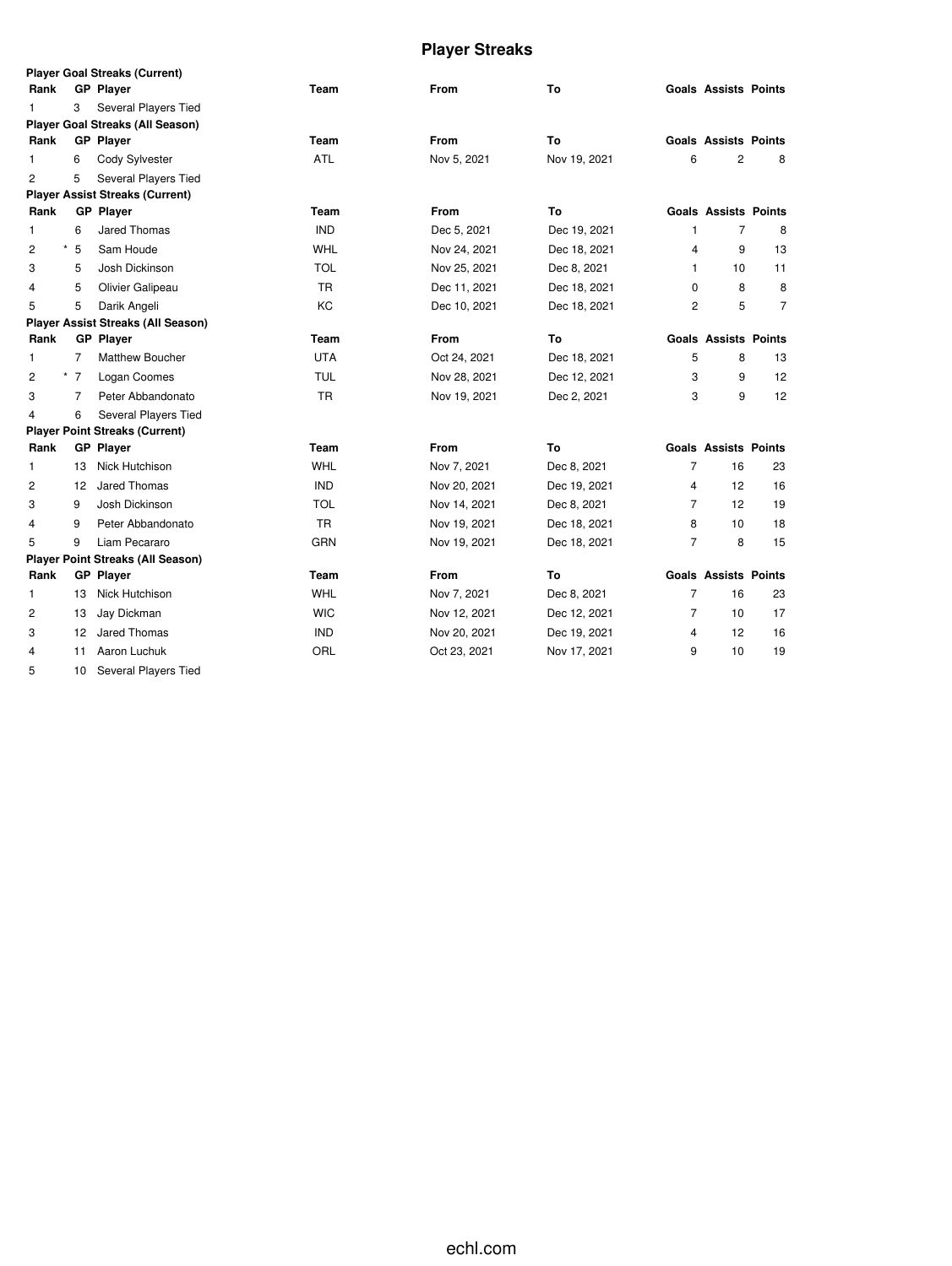# **Player Streaks**

|                |                | <b>Player Goal Streaks (Current)</b>      |            |              |              |                |                             |                |
|----------------|----------------|-------------------------------------------|------------|--------------|--------------|----------------|-----------------------------|----------------|
| Rank           |                | <b>GP Player</b>                          | Team       | <b>From</b>  | To           |                | <b>Goals Assists Points</b> |                |
| 1              | 3              | Several Players Tied                      |            |              |              |                |                             |                |
|                |                | <b>Player Goal Streaks (All Season)</b>   |            |              |              |                |                             |                |
| Rank           |                | <b>GP</b> Player                          | Team       | From         | To           |                | <b>Goals Assists Points</b> |                |
| 1              | 6              | Cody Sylvester                            | <b>ATL</b> | Nov 5, 2021  | Nov 19, 2021 | 6              | $\overline{2}$              | 8              |
| $\overline{c}$ | 5              | Several Players Tied                      |            |              |              |                |                             |                |
|                |                | <b>Player Assist Streaks (Current)</b>    |            |              |              |                |                             |                |
| Rank           |                | <b>GP Player</b>                          | Team       | From         | To           |                | <b>Goals Assists Points</b> |                |
| 1              | 6              | Jared Thomas                              | <b>IND</b> | Dec 5, 2021  | Dec 19, 2021 | 1              | $\overline{7}$              | 8              |
| 2              | 5              | Sam Houde                                 | WHL        | Nov 24, 2021 | Dec 18, 2021 | 4              | 9                           | 13             |
| 3              | 5              | Josh Dickinson                            | <b>TOL</b> | Nov 25, 2021 | Dec 8, 2021  | $\mathbf{1}$   | 10                          | 11             |
| 4              | 5              | Olivier Galipeau                          | <b>TR</b>  | Dec 11, 2021 | Dec 18, 2021 | $\mathbf 0$    | 8                           | 8              |
| 5              | 5              | Darik Angeli                              | <b>KC</b>  | Dec 10, 2021 | Dec 18, 2021 | $\overline{2}$ | 5                           | $\overline{7}$ |
|                |                | <b>Player Assist Streaks (All Season)</b> |            |              |              |                |                             |                |
| Rank           |                | <b>GP Player</b>                          | Team       | <b>From</b>  | To           |                | <b>Goals Assists Points</b> |                |
| 1              | $\overline{7}$ | <b>Matthew Boucher</b>                    | <b>UTA</b> | Oct 24, 2021 | Dec 18, 2021 | 5              | 8                           | 13             |
| 2              | $*$ 7          | Logan Coomes                              | <b>TUL</b> | Nov 28, 2021 | Dec 12, 2021 | 3              | 9                           | 12             |
| 3              | $\overline{7}$ | Peter Abbandonato                         | <b>TR</b>  | Nov 19, 2021 | Dec 2, 2021  | 3              | 9                           | 12             |
| 4              | 6              | Several Players Tied                      |            |              |              |                |                             |                |
|                |                | <b>Player Point Streaks (Current)</b>     |            |              |              |                |                             |                |
| Rank           |                | <b>GP Player</b>                          | Team       | <b>From</b>  | To           |                | <b>Goals Assists Points</b> |                |
| 1              | 13             | Nick Hutchison                            | WHL        | Nov 7, 2021  | Dec 8, 2021  | $\overline{7}$ | 16                          | 23             |
| 2              | 12             | Jared Thomas                              | <b>IND</b> | Nov 20, 2021 | Dec 19, 2021 | 4              | 12                          | 16             |
| 3              | 9              | Josh Dickinson                            | <b>TOL</b> | Nov 14, 2021 | Dec 8, 2021  | $\overline{7}$ | 12                          | 19             |
| 4              | 9              | Peter Abbandonato                         | <b>TR</b>  | Nov 19, 2021 | Dec 18, 2021 | 8              | 10                          | 18             |
| 5              | 9              | Liam Pecararo                             | GRN        | Nov 19, 2021 | Dec 18, 2021 | 7              | 8                           | 15             |
|                |                | <b>Player Point Streaks (All Season)</b>  |            |              |              |                |                             |                |
| Rank           |                | <b>GP</b> Player                          | Team       | <b>From</b>  | To           |                | <b>Goals Assists Points</b> |                |
| $\mathbf{1}$   | 13             | Nick Hutchison                            | WHL        | Nov 7, 2021  | Dec 8, 2021  | $\overline{7}$ | 16                          | 23             |
| 2              | 13             | Jay Dickman                               | <b>WIC</b> | Nov 12, 2021 | Dec 12, 2021 | 7              | 10                          | 17             |
| 3              | 12             | Jared Thomas                              | <b>IND</b> | Nov 20, 2021 | Dec 19, 2021 | 4              | 12                          | 16             |
| 4              | 11             | Aaron Luchuk                              | ORL        | Oct 23, 2021 | Nov 17, 2021 | 9              | 10                          | 19             |
| 5              | 10             | Several Players Tied                      |            |              |              |                |                             |                |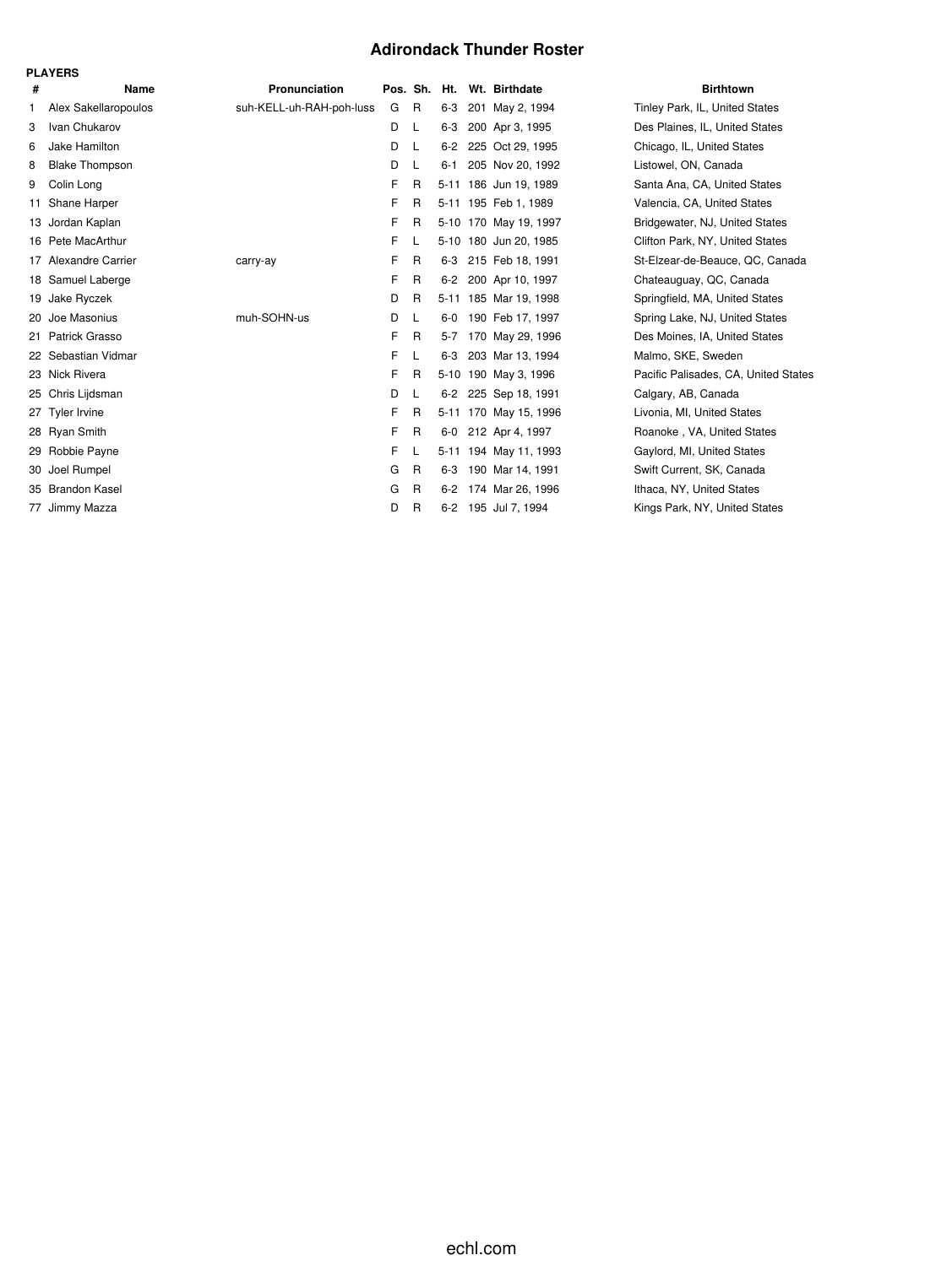# **Adirondack Thunder Roster**

|    | FLATENJ               |                          |          |              |         |                       |                            |
|----|-----------------------|--------------------------|----------|--------------|---------|-----------------------|----------------------------|
| #  | Name                  | Pronunciation            | Pos. Sh. |              | Ht.     | Wt. Birthdate         | <b>Birthtown</b>           |
| 1. | Alex Sakellaropoulos  | suh-KELL-uh-RAH-poh-luss | G        | R            | $6 - 3$ | 201 May 2, 1994       | Tinley Park, IL, United S  |
| 3  | Ivan Chukarov         |                          | D        | L            | $6 - 3$ | 200 Apr 3, 1995       | Des Plaines, IL, United \, |
| 6  | Jake Hamilton         |                          | D        | L            | 6-2     | 225 Oct 29, 1995      | Chicago, IL, United Stat   |
| 8  | <b>Blake Thompson</b> |                          | D        | L            | $6 - 1$ | 205 Nov 20, 1992      | Listowel, ON, Canada       |
| 9  | Colin Long            |                          | F        | R            |         | 5-11 186 Jun 19, 1989 | Santa Ana, CA, United S    |
| 11 | Shane Harper          |                          | F        | R            |         | 5-11 195 Feb 1, 1989  | Valencia, CA, United Sta   |
| 13 | Jordan Kaplan         |                          | F        | R            |         | 5-10 170 May 19, 1997 | Bridgewater, NJ, United    |
|    | 16 Pete MacArthur     |                          | F        | L            |         | 5-10 180 Jun 20, 1985 | Clifton Park, NY, United   |
|    | 17 Alexandre Carrier  | carry-ay                 | F        | R            | 6-3     | 215 Feb 18, 1991      | St-Elzear-de-Beauce, Q     |
|    | 18 Samuel Laberge     |                          | F        | R            | $6-2$   | 200 Apr 10, 1997      | Chateauguay, QC, Cana      |
| 19 | Jake Ryczek           |                          | D        | R            |         | 5-11 185 Mar 19, 1998 | Springfield, MA, United    |
| 20 | Joe Masonius          | muh-SOHN-us              | D        | L            |         | 6-0 190 Feb 17, 1997  | Spring Lake, NJ, United    |
|    | 21 Patrick Grasso     |                          | F        | R            | $5 - 7$ | 170 May 29, 1996      | Des Moines, IA, United     |
|    | 22 Sebastian Vidmar   |                          | F        | L            | $6 - 3$ | 203 Mar 13, 1994      | Malmo, SKE, Sweden         |
|    | 23 Nick Rivera        |                          | F        | R            |         | 5-10 190 May 3, 1996  | Pacific Palisades, CA, U   |
|    | 25 Chris Lijdsman     |                          | D        | L            | $6-2$   | 225 Sep 18, 1991      | Calgary, AB, Canada        |
|    | 27 Tyler Irvine       |                          | F        | R            |         | 5-11 170 May 15, 1996 | Livonia, MI, United State  |
|    | 28 Ryan Smith         |                          | F        | R            |         | 6-0 212 Apr 4, 1997   | Roanoke, VA, United S      |
| 29 | Robbie Payne          |                          | F.       | L            |         | 5-11 194 May 11, 1993 | Gaylord, MI, United Stat   |
| 30 | Joel Rumpel           |                          | G        | $\mathsf{R}$ | $6 - 3$ | 190 Mar 14, 1991      | Swift Current, SK, Cana    |
|    | 35 Brandon Kasel      |                          | G        | R            | $6 - 2$ | 174 Mar 26, 1996      | Ithaca, NY, United State   |
|    | 77 Jimmy Mazza        |                          | D        | R            |         | 6-2 195 Jul 7, 1994   | Kings Park, NY, United     |
|    |                       |                          |          |              |         |                       |                            |

**PLAYERS**

inley Park, IL, United States es Plaines, IL, United States Chicago, IL, United States istowel, ON, Canada 3 anta Ana, CA, United States alencia, CA, United States **I**ridgewater, NJ, United States 16 Park, NY, United States 1<sup>2</sup> Alexandre Beauce, QC, Canada hateauguay, QC, Canada<sup>)</sup> Springfield, MA, United States 3pring Lake, NJ, United States les Moines, IA, United States Malmo, SKE, Sweden acific Palisades, CA, United States 2algary, AB, Canada ivonia, MI, United States Roanoke, VA, United States 3 aylord, MI, United States 3wift Current, SK, Canada thaca, NY, United States **Xings Park, NY, United States**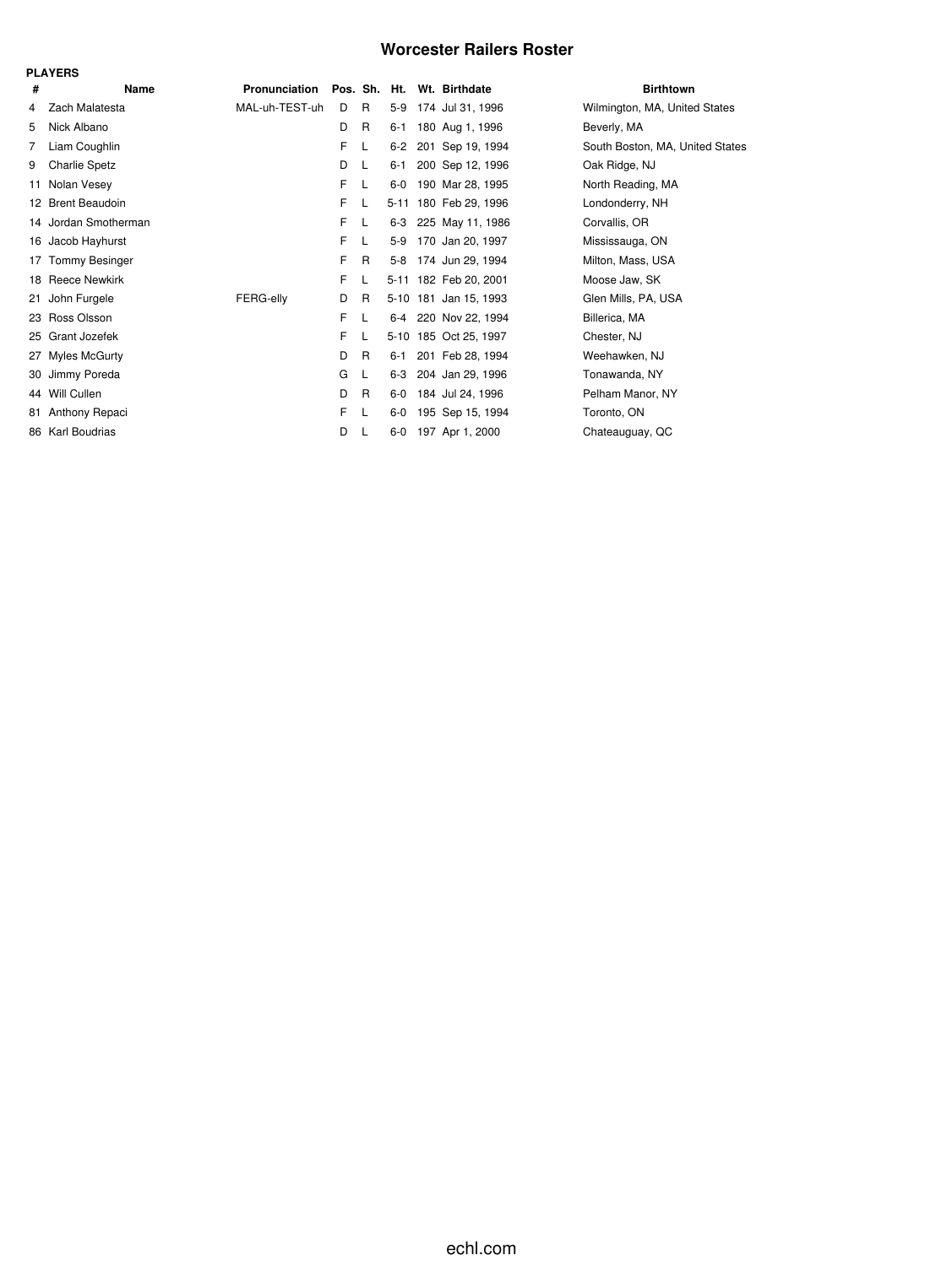# **Worcester Railers Roster**

|                | <b>PLAYERS</b>       |                  |    |   |          |                            |                                 |
|----------------|----------------------|------------------|----|---|----------|----------------------------|---------------------------------|
| #              | Name                 | Pronunciation    |    |   |          | Pos. Sh. Ht. Wt. Birthdate | <b>Birthtown</b>                |
| 4              | Zach Malatesta       | MAL-uh-TEST-uh   | D  | R | $5-9$    | 174 Jul 31, 1996           | Wilmington, MA, United States   |
| 5              | Nick Albano          |                  | D  | R | $6 - 1$  | 180 Aug 1, 1996            | Beverly, MA                     |
| $\overline{7}$ | Liam Coughlin        |                  | F  | L | $6 - 2$  | 201 Sep 19, 1994           | South Boston, MA, United States |
| 9              | <b>Charlie Spetz</b> |                  | D  | L | 6-1      | 200 Sep 12, 1996           | Oak Ridge, NJ                   |
| 11             | Nolan Vesey          |                  | F. | L | $6-0$    | 190 Mar 28, 1995           | North Reading, MA               |
|                | 12 Brent Beaudoin    |                  | F. | L | $5 - 11$ | 180 Feb 29, 1996           | Londonderry, NH                 |
|                | 14 Jordan Smotherman |                  | F. | L | $6 - 3$  | 225 May 11, 1986           | Corvallis, OR                   |
|                | 16 Jacob Hayhurst    |                  | F  | L | $5-9$    | 170 Jan 20, 1997           | Mississauga, ON                 |
|                | 17 Tommy Besinger    |                  | F  | R | 5-8      | 174 Jun 29, 1994           | Milton, Mass, USA               |
|                | 18 Reece Newkirk     |                  | F  | L |          | 5-11 182 Feb 20, 2001      | Moose Jaw, SK                   |
| 21             | John Furgele         | <b>FERG-elly</b> | D  | R |          | 5-10 181 Jan 15, 1993      | Glen Mills, PA, USA             |
|                | 23 Ross Olsson       |                  | F  | L |          | 6-4 220 Nov 22, 1994       | Billerica, MA                   |
|                | 25 Grant Jozefek     |                  | F  | L |          | 5-10 185 Oct 25, 1997      | Chester, NJ                     |
| 27             | <b>Myles McGurty</b> |                  | D  | R | $6 - 1$  | 201 Feb 28, 1994           | Weehawken, NJ                   |
| 30             | Jimmy Poreda         |                  | G  | L | $6-3$    | 204 Jan 29, 1996           | Tonawanda, NY                   |
|                | 44 Will Cullen       |                  | D  | R | $6-0$    | 184 Jul 24, 1996           | Pelham Manor, NY                |
| 81             | Anthony Repaci       |                  | F. | L | $6-0$    | 195 Sep 15, 1994           | Toronto, ON                     |
|                | 86 Karl Boudrias     |                  | D  |   | $6-0$    | 197 Apr 1, 2000            | Chateauguay, QC                 |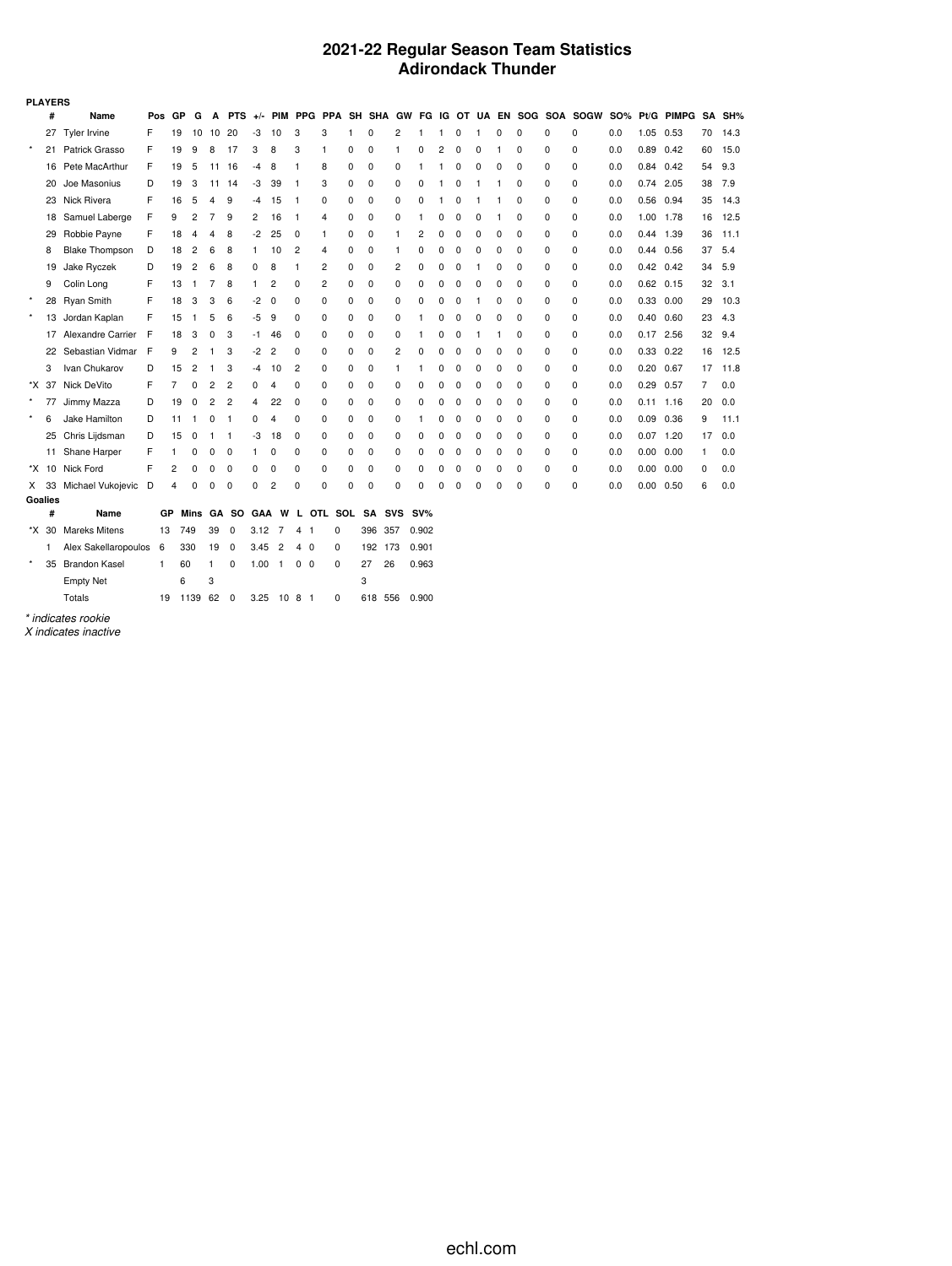## **2021-22 Regular Season Team Statistics Adirondack Thunder**

|         | <b>PLAYERS</b> |                       |     |                |                |                |                |      |                |                        |   |   |             |                |        |   |   |   |          |          |   |                                                                      |     |               |      |    |        |
|---------|----------------|-----------------------|-----|----------------|----------------|----------------|----------------|------|----------------|------------------------|---|---|-------------|----------------|--------|---|---|---|----------|----------|---|----------------------------------------------------------------------|-----|---------------|------|----|--------|
|         | #              | Name                  | Pos | GP             | G              | A              | <b>PTS</b>     |      |                |                        |   |   |             |                |        |   |   |   |          |          |   | +/- PIM PPG PPA SH SHA GW FG IG OT UA EN SOG SOA SOGW SO% Pt/G PIMPG |     |               |      |    | SA SH% |
|         |                | 27 Tyler Irvine       | F   | 19             | 10             | 10 20          |                | -3   | 10             | 3                      | 3 |   | 0           | 2              | 1      |   | 0 |   | 0        | $\Omega$ | 0 | 0                                                                    | 0.0 | 1.05          | 0.53 | 70 | 14.3   |
| $\star$ | 21             | Patrick Grasso        | F   | 19             | 9              | 8              | 17             | 3    | 8              | 3                      | 1 | 0 | 0           | -1             | 0      | 2 | 0 | 0 |          | 0        | 0 | $\Omega$                                                             | 0.0 | 0.89          | 0.42 | 60 | 15.0   |
|         | 16             | Pete MacArthur        | F   | 19             | 5              | 11 16          |                | $-4$ | 8              | $\mathbf{1}$           | 8 | 0 | 0           | 0              | 1      | 1 | 0 | 0 | 0        | 0        | 0 | 0                                                                    | 0.0 | $0.84$ 0.42   |      | 54 | 9.3    |
|         | 20             | Joe Masonius          | D   | 19             | 3              | 11             | -14            | -3   | 39             | -1                     | 3 | 0 | 0           | 0              | 0      |   | 0 | 1 |          | 0        | 0 | $\Omega$                                                             | 0.0 | 0.74 2.05     |      | 38 | 7.9    |
|         | 23             | Nick Rivera           | F   | 16             | 5              | 4              | 9              | -4   | 15             | $\mathbf{1}$           | 0 | 0 | 0           | 0              | 0      |   | 0 |   |          | 0        | 0 | 0                                                                    | 0.0 | 0.56          | 0.94 | 35 | 14.3   |
|         | 18             | Samuel Laberge        | F   | 9              | 2              | 7              | 9              | 2    | 16             | -1                     | 4 | 0 | 0           | 0              | 1      | 0 | 0 | 0 | 1        | 0        | 0 | 0                                                                    | 0.0 | 1.00 1.78     |      | 16 | 12.5   |
|         | 29             | Robbie Payne          | F   | 18             | 4              | 4              | 8              | -2   | 25             | 0                      | 1 | 0 | 0           | -1             | 2      | 0 | 0 | 0 | 0        | 0        | 0 | 0                                                                    | 0.0 | 0.44 1.39     |      | 36 | 11.1   |
|         | 8              | <b>Blake Thompson</b> | D   | 18             | $\overline{c}$ | 6              | 8              | 1    | 10             | $\overline{c}$         | 4 | 0 | 0           | -1             | 0      | 0 | 0 | 0 | $\Omega$ | $\Omega$ | 0 | 0                                                                    | 0.0 | 0.44 0.56     |      | 37 | 5.4    |
|         | 19             | Jake Ryczek           | D   | 19             | 2              | 6              | 8              | 0    | 8              | 1                      | 2 | 0 | 0           | 2              | 0      | 0 | 0 | 1 | 0        | 0        | 0 | 0                                                                    | 0.0 | $0.42$ 0.42   |      | 34 | 5.9    |
|         | 9              | Colin Long            | F   | 13             | -1             | 7              | 8              | 1.   | 2              | 0                      | 2 | 0 | 0           | 0              | 0      | 0 | 0 | 0 | 0        | 0        | 0 | 0                                                                    | 0.0 | $0.62$ 0.15   |      | 32 | 3.1    |
| $\star$ | 28             | <b>Ryan Smith</b>     | F   | 18             | 3              | 3              | 6              | -2   | 0              | 0                      | 0 | 0 | 0           | 0              | 0      | 0 | 0 | 1 | 0        | 0        | 0 | 0                                                                    | 0.0 | 0.33 0.00     |      | 29 | 10.3   |
| $\star$ | 13             | Jordan Kaplan         | F   | 15             | -1             | 5              | 6              | -5   | 9              | 0                      | 0 | 0 | 0           | 0              | 1      | 0 | 0 | 0 | 0        | 0        | 0 | 0                                                                    | 0.0 | 0.40          | 0.60 | 23 | 4.3    |
|         | 17             | Alexandre Carrier     | F   | 18             | 3              | 0              | 3              | -1.  | 46             | 0                      | 0 | 0 | 0           | 0              | 1      | 0 | 0 | 1 | 1        | 0        | 0 | 0                                                                    | 0.0 | $0.17$ 2.56   |      | 32 | 9.4    |
|         | 22             | Sebastian Vidmar F    |     | 9              | 2              | 1              | 3              | $-2$ | $\overline{2}$ | 0                      | 0 | 0 | $\mathbf 0$ | $\overline{2}$ | 0      | 0 | 0 | 0 | 0        | 0        | 0 | 0                                                                    | 0.0 | $0.33$ $0.22$ |      | 16 | 12.5   |
|         | 3              | Ivan Chukarov         | D   | 15             | 2              |                | 3              | -4   | 10             | 2                      | 0 | 0 | 0           | 1              | 1      | 0 | 0 | 0 | 0        | 0        | 0 | 0                                                                    | 0.0 | $0.20$ 0.67   |      | 17 | 11.8   |
|         | *X 37          | Nick DeVito           | F   | 7              | 0              | 2              | $\overline{2}$ | 0    | 4              | 0                      | 0 | 0 | 0           | 0              | 0      | 0 | 0 | 0 | 0        | 0        | 0 | 0                                                                    | 0.0 | 0.29          | 0.57 | 7  | 0.0    |
| $\star$ | 77             | Jimmy Mazza           | D   | 19             | 0              | $\overline{c}$ | $\overline{2}$ | 4    | 22             | 0                      | 0 | 0 | 0           | 0              | 0      | 0 | 0 | 0 | 0        | 0        | 0 | 0                                                                    | 0.0 | $0.11$ 1.16   |      | 20 | 0.0    |
| $\star$ | 6              | Jake Hamilton         | D   | 11             | $\mathbf{1}$   | 0              | -1             | 0    | 4              | 0                      | 0 | 0 | 0           | 0              | 1      | 0 | 0 | 0 | 0        | 0        | 0 | 0                                                                    | 0.0 | $0.09$ $0.36$ |      | 9  | 11.1   |
|         | 25             | Chris Lijdsman        | D   | 15             | 0              | 1              | $\mathbf{1}$   | -3   | 18             | 0                      | 0 | 0 | 0           | 0              | 0      | 0 | 0 | 0 | 0        | 0        | 0 | 0                                                                    | 0.0 | $0.07$ 1.20   |      | 17 | 0.0    |
|         | 11             | Shane Harper          | F   | 1              | 0              | 0              | 0              | 1    | 0              | 0                      | 0 | 0 | 0           | 0              | 0      | 0 | 0 | 0 | 0        | 0        | 0 | 0                                                                    | 0.0 | 0.00          | 0.00 | 1  | 0.0    |
|         | *X 10          | Nick Ford             | F   | $\overline{c}$ | 0              | 0              | 0              | 0    | 0              | 0                      | 0 | 0 | 0           | 0              | 0      | 0 | 0 | 0 | 0        | 0        | 0 | 0                                                                    | 0.0 | 0.00          | 0.00 | 0  | 0.0    |
|         | X 33           | Michael Vukojevic D   |     | 4              | 0              | 0              | 0              | 0    | 2              | 0                      | 0 | 0 | 0           | 0              | 0      | 0 | 0 | 0 | O        | 0        | 0 | 0                                                                    | 0.0 | $0.00$ $0.50$ |      | 6  | 0.0    |
|         | <b>Goalies</b> |                       |     |                |                |                |                |      |                |                        |   |   |             |                |        |   |   |   |          |          |   |                                                                      |     |               |      |    |        |
|         | #              | Name                  |     | GР             |                |                | Mins GA SO     |      |                | GAA W L OTL SOL SA SVS |   |   |             |                | $SV\%$ |   |   |   |          |          |   |                                                                      |     |               |      |    |        |
|         | *X 30          | <b>Mareks Mitens</b>  | 13  |                | 749            | 39             | 0              | 3.12 | 7              | 4<br>- 1               | 0 |   | 396<br>357  |                | 0.902  |   |   |   |          |          |   |                                                                      |     |               |      |    |        |
|         | 1              | Alex Sakellaropoulos  | 6   |                | 330            | 19             | $\mathbf 0$    | 3.45 | $\overline{2}$ | 4 0                    | 0 |   | 192 173     |                | 0.901  |   |   |   |          |          |   |                                                                      |     |               |      |    |        |
| $\star$ | 35             | <b>Brandon Kasel</b>  | 1   | 60             |                | 1              | 0              | 1.00 | $\overline{1}$ | 0 <sub>0</sub>         | 0 |   | 26<br>27    |                | 0.963  |   |   |   |          |          |   |                                                                      |     |               |      |    |        |
|         |                | <b>Empty Net</b>      |     | 6              |                | 3              |                |      |                |                        |   |   | 3           |                |        |   |   |   |          |          |   |                                                                      |     |               |      |    |        |

*\* indicates rookie*

Totals 19 1139 62 0 3.25 10 8 1 0 618 556 0.900

*X indicates inactive*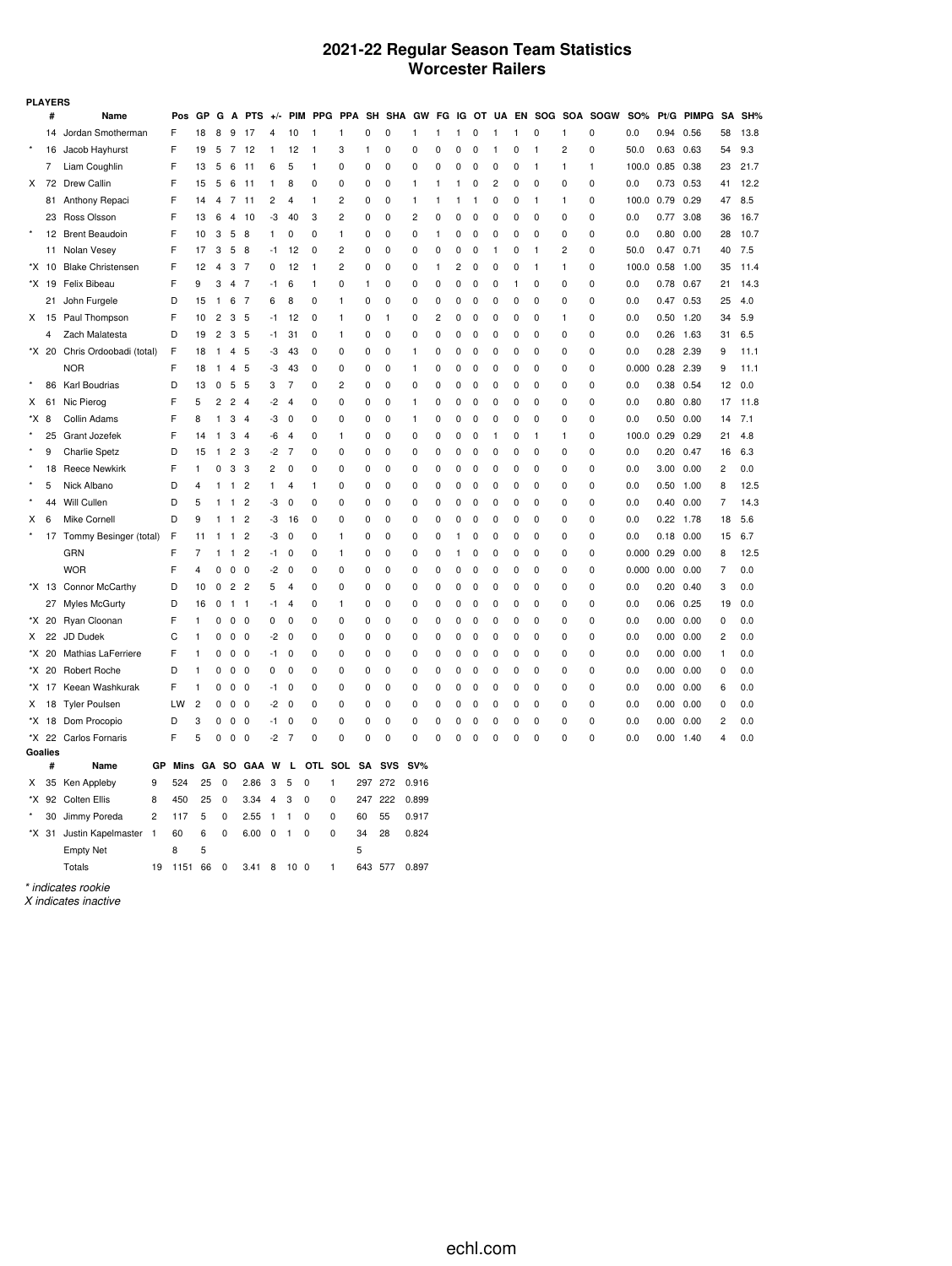## **2021-22 Regular Season Team Statistics Worcester Railers**

|                      | <b>PLAYERS</b>   |                          |                |      |                |                |                |                         |              |                             |              |                |              |             |                |              |                |             |                         |   |              |          |                          |                |      |            |                |      |
|----------------------|------------------|--------------------------|----------------|------|----------------|----------------|----------------|-------------------------|--------------|-----------------------------|--------------|----------------|--------------|-------------|----------------|--------------|----------------|-------------|-------------------------|---|--------------|----------|--------------------------|----------------|------|------------|----------------|------|
|                      | #                | Name                     |                | Pos  | GP             | G              | A              | <b>PTS</b>              | $+/-$        |                             | PIM PPG      | <b>PPA</b>     | SH           |             | SHA GW         | FG           |                |             |                         |   |              |          | IG OT UA EN SOG SOA SOGW | <b>SO%</b>     |      | Pt/G PIMPG | SΑ             | SH%  |
|                      | 14               | Jordan Smotherman        |                | F    | 18             | 8              | 9              | -17                     | 4            | 10                          | 1            | 1              | 0            | 0           | 1              | 1            | 1              | $\pmb{0}$   | 1                       | 1 | 0            | 1        | 0                        | 0.0            | 0.94 | 0.56       | 58             | 13.8 |
|                      | 16               | Jacob Hayhurst           |                | F    | 19             | 5              | -7             | 12                      | 1            | 12                          | 1            | 3              | 1            | 0           | 0              | 0            | 0              | 0           | 1                       | 0 | 1            | 2        | 0                        | 50.0           | 0.63 | 0.63       | 54             | 9.3  |
|                      | 7                | Liam Coughlin            |                | F    | 13             | 5              | 6              | 11                      | 6            | 5                           | $\mathbf{1}$ | 0              | 0            | 0           | 0              | 0            | 0              | 0           | 0                       | 0 | 1            | 1        | 1                        | 100.0 0.85     |      | 0.38       | 23             | 21.7 |
| X                    | 72               | Drew Callin              |                | F    | 15             | 5              | 6              | 11                      | 1            | 8                           | 0            | 0              | 0            | 0           | 1              | $\mathbf{1}$ | -1             | 0           | $\overline{\mathbf{c}}$ | 0 | 0            | 0        | 0                        | 0.0            | 0.73 | 0.53       | 41             | 12.2 |
|                      | 81               | Anthony Repaci           |                | F    | 14             | 4              | 7              | 11                      | 2            | 4                           | 1            | 2              | 0            | 0           | 1              | 1            | 1              | 1           | 0                       | 0 | $\mathbf{1}$ | 1        | 0                        | 100.0          | 0.79 | 0.29       | 47             | 8.5  |
|                      | 23               | Ross Olsson              |                | F    | 13             | 6              | $\overline{4}$ | 10                      | -3           | 40                          | 3            | $\overline{2}$ | 0            | 0           | $\overline{c}$ | 0            | 0              | 0           | 0                       | 0 | 0            | 0        | 0                        | 0.0            | 0.77 | 3.08       | 36             | 16.7 |
|                      |                  | 12 Brent Beaudoin        |                | F    | 10             | 3              | 5              | 8                       | 1            | 0                           | $\mathbf 0$  | $\mathbf{1}$   | 0            | 0           | 0              | $\mathbf{1}$ | 0              | $\pmb{0}$   | $\mathbf 0$             | 0 | $\mathbf 0$  | 0        | 0                        | 0.0            | 0.80 | 0.00       | 28             | 10.7 |
|                      | 11               | Nolan Vesey              |                | F    | 17             | 3              | 5              | 8                       | -1           | 12                          | 0            | 2              | 0            | 0           | 0              | 0            | 0              | 0           | 1                       | 0 | 1            | 2        | 0                        | 50.0           | 0.47 | 0.71       | 40             | 7.5  |
|                      | *X 10            | <b>Blake Christensen</b> |                | F    | 12             | 4              | 3              | $\overline{7}$          | 0            | 12                          | $\mathbf{1}$ | $\overline{2}$ | 0            | 0           | 0              | 1            | $\overline{2}$ | 0           | $\mathbf 0$             | 0 | 1            | 1        | 0                        | 100.0          | 0.58 | 1.00       | 35             | 11.4 |
|                      | *X 19            | Felix Bibeau             |                | F    | 9              | 3              | $\overline{4}$ | $\overline{7}$          | $-1$         | 6                           | $\mathbf{1}$ | 0              | $\mathbf{1}$ | $\mathbf 0$ | 0              | $\mathbf 0$  | 0              | $\pmb{0}$   | $\pmb{0}$               | 1 | $\mathbf 0$  | 0        | $\mathbf 0$              | 0.0            | 0.78 | 0.67       | 21             | 14.3 |
|                      | 21               | John Furgele             |                | D    | 15             | 1              | 6              | 7                       | 6            | 8                           | 0            | 1              | 0            | 0           | 0              | 0            | 0              | 0           | 0                       | 0 | 0            | 0        | 0                        | 0.0            | 0.47 | 0.53       | 25             | 4.0  |
| X.                   |                  | 15 Paul Thompson         |                | F    | 10             | 2              | 3              | 5                       | -1           | 12                          | 0            | 1              | 0            | 1           | 0              | 2            | 0              | 0           | 0                       | 0 | 0            | 1        | 0                        | 0.0            | 0.50 | 1.20       | 34             | 5.9  |
|                      | 4                | Zach Malatesta           |                | D    | 19             | $\overline{2}$ | 3 <sub>5</sub> |                         | $-1$         | 31                          | $\mathbf 0$  | $\mathbf{1}$   | 0            | 0           | 0              | 0            | $\mathbf 0$    | $\pmb{0}$   | $\pmb{0}$               | 0 | 0            | 0        | 0                        | 0.0            | 0.26 | 1.63       | 31             | 6.5  |
|                      | *X 20            | Chris Ordoobadi (total)  |                | F    | 18             | $\mathbf{1}$   | 4              | 5                       | -3           | 43                          | 0            | 0              | 0            | 0           | 1              | 0            | 0              | 0           | 0                       | 0 | 0            | 0        | 0                        | 0.0            | 0.28 | 2.39       | 9              | 11.1 |
|                      |                  | <b>NOR</b>               |                | F    | 18             | 1              | 4              | 5                       | -3           | 43                          | 0            | 0              | 0            | 0           | 1              | 0            | 0              | 0           | 0                       | 0 | 0            | 0        | 0                        | 0.000          | 0.28 | 2.39       | 9              | 11.1 |
|                      | 86               | Karl Boudrias            |                | D    | 13             | $\pmb{0}$      | 5              | 5                       | 3            | $\overline{7}$              | 0            | $\overline{2}$ | 0            | 0           | 0              | $\mathbf 0$  | $\pmb{0}$      | $\pmb{0}$   | $\pmb{0}$               | 0 | 0            | 0        | 0                        | 0.0            | 0.38 | 0.54       | 12             | 0.0  |
| Χ                    | 61               | Nic Pierog               |                | F    | 5              | $\overline{c}$ | $\overline{2}$ | $\overline{4}$          | $-2$         | 4                           | 0            | 0              | 0            | 0           | 1              | 0            | 0              | 0           | 0                       | 0 | 0            | 0        | 0                        | 0.0            | 0.80 | 0.80       | 17             | 11.8 |
| *X                   | 8                | Collin Adams             |                | F    | 8              | 1              | 3              | 4                       | -3           | 0                           | 0            | 0              | 0            | 0           | 1              | 0            | 0              | 0           | 0                       | 0 | 0            | 0        | 0                        | 0.0            | 0.50 | 0.00       | 14             | 7.1  |
|                      | 25               | Grant Jozefek            |                | F    | 14             | 1              | 3              | $\overline{4}$          | -6           | $\overline{4}$              | 0            | -1             | 0            | 0           | 0              | 0            | $\mathbf 0$    | $\pmb{0}$   | -1                      | 0 | 1            | 1        | 0                        | 100.0          | 0.29 | 0.29       | 21             | 4.8  |
|                      | 9                | <b>Charlie Spetz</b>     |                | D    | 15             | $\mathbf{1}$   | $\overline{2}$ | 3                       | $-2$         | 7                           | 0            | 0              | 0            | 0           | 0              | 0            | $\mathbf 0$    | 0           | 0                       | 0 | 0            | 0        | 0                        | 0.0            | 0.20 | 0.47       | 16             | 6.3  |
|                      | 18               | <b>Reece Newkirk</b>     |                | F    | 1              | 0              | 3              | 3                       | 2            | 0                           | 0            | 0              | 0            | 0           | 0              | 0            | 0              | 0           | 0                       | 0 | 0            | 0        | 0                        | 0.0            | 3.00 | 0.00       | 2              | 0.0  |
|                      | 5                | Nick Albano              |                | D    | 4              | $\mathbf{1}$   | 1              | $\overline{c}$          | 1            | $\overline{4}$              | $\mathbf{1}$ | 0              | 0            | 0           | 0              | 0            | 0              | 0           | 0                       | 0 | 0            | 0        | 0                        | 0.0            | 0.50 | 1.00       | 8              | 12.5 |
|                      | 44               | Will Cullen              |                | D    | 5              | 1              | 1              | $\overline{\mathbf{c}}$ | -3           | $\mathbf 0$                 | 0            | 0              | 0            | 0           | 0              | 0            | 0              | 0           | 0                       | 0 | 0            | 0        | $\mathbf 0$              | 0.0            | 0.40 | 0.00       | 7              | 14.3 |
| x                    | 6                | Mike Cornell             |                | D    | 9              | 1              | 1              | $\overline{c}$          | -3           | 16                          | 0            | 0              | 0            | 0           | 0              | 0            | 0              | 0           | 0                       | 0 | 0            | 0        | 0                        | 0.0            | 0.22 | 1.78       | 18             | 5.6  |
|                      | 17               | Tommy Besinger (total)   |                | F    | 11             | $\mathbf{1}$   | $\mathbf{1}$   | $\overline{c}$          | -3           | $\Omega$                    | $\mathbf 0$  | 1              | 0            | 0           | 0              | 0            | -1             | 0           | 0                       | 0 | 0            | 0        | 0                        | 0.0            | 0.18 | 0.00       | 15             | 6.7  |
|                      |                  | GRN                      |                | F    | 7              | 1              | $\mathbf{1}$   | $\overline{\mathbf{c}}$ | -1           | 0                           | 0            | 1              | 0            | 0           | 0              | 0            | -1             | 0           | $\pmb{0}$               | 0 | 0            | 0        | 0                        | $0.000$ $0.29$ |      | 0.00       | 8              | 12.5 |
|                      |                  | <b>WOR</b>               |                | F    | 4              | $\mathbf 0$    | $\mathbf 0$    | $\mathbf 0$             | $-2$         | 0                           | 0            | $\mathbf 0$    | 0            | 0           | 0              | $\mathbf 0$  | $\mathbf 0$    | 0           | $\mathbf 0$             | 0 | 0            | 0        | 0                        | 0.000          | 0.00 | 0.00       | $\overline{7}$ | 0.0  |
|                      |                  | *X 13 Connor McCarthy    |                | D    | 10             | 0              | $\overline{c}$ | $\overline{c}$          | 5            | $\overline{4}$              | 0            | 0              | 0            | 0           | 0              | $\mathbf 0$  | 0              | 0           | $\mathbf 0$             | 0 | 0            | 0        | 0                        | 0.0            | 0.20 | 0.40       | 3              | 0.0  |
|                      | 27               | Myles McGurty            |                | D    | 16             | 0              | $\mathbf{1}$   | $\mathbf{1}$            | -1           | 4                           | 0            | 1              | 0            | 0           | 0              | 0            | 0              | 0           | 0                       | 0 | 0            | 0        | 0                        | 0.0            | 0.06 | 0.25       | 19             | 0.0  |
|                      | *X 20            | Ryan Cloonan             |                | F    | 1              | 0              | 0              | 0                       | 0            | 0                           | 0            | $\mathbf 0$    | 0            | 0           | 0              | $\mathbf 0$  | 0              | 0           | 0                       | 0 | $\mathbf 0$  | 0        | 0                        | 0.0            | 0.00 | 0.00       | 0              | 0.0  |
| X.                   | 22               | JD Dudek                 |                | C    | 1              | 0              | 0              | $\mathbf 0$             | -2           | 0                           | 0            | $\pmb{0}$      | 0            | 0           | 0              | 0            | 0              | $\pmb{0}$   | $\pmb{0}$               | 0 | 0            | 0        | 0                        | 0.0            | 0.00 | 0.00       | 2              | 0.0  |
| *X                   | 20               | Mathias LaFerriere       |                | F    | 1              | 0              | 0              | 0                       | -1           | 0                           | 0            | 0              | 0            | 0           | 0              | 0            | 0              | 0           | 0                       | 0 | 0            | 0        | 0                        | 0.0            | 0.00 | 0.00       | 1              | 0.0  |
| *X                   | 20               | Robert Roche             |                | D    | 1              | 0              | $\mathbf 0$    | 0                       | 0            | 0                           | 0            | 0              | 0            | 0           | 0              | $\mathbf 0$  | 0              | 0           | $\mathbf 0$             | 0 | 0            | 0        | 0                        | 0.0            | 0.00 | 0.00       | 0              | 0.0  |
|                      |                  | *X 17 Keean Washkurak    |                | F    | 1              | 0              | 0              | 0                       | $-1$         | 0                           | 0            | $\pmb{0}$      | 0            | $\mathbf 0$ | 0              | $\mathbf 0$  | $\mathbf 0$    | $\pmb{0}$   | $\mathbf 0$             | 0 | 0            | 0        | $\mathbf 0$              | 0.0            | 0.00 | 0.00       | 6              | 0.0  |
| x                    | 18               | <b>Tyler Poulsen</b>     |                | LW   | $\overline{c}$ | 0              | 0              | 0                       | -2           | 0                           | 0            | 0              | 0            | 0           | 0              | 0            | 0              | 0           | 0                       | 0 | 0            | 0        | 0                        | 0.0            | 0.00 | 0.00       | 0              | 0.0  |
|                      |                  | *X 18 Dom Procopio       |                | D    | 3              | 0              | $\mathbf 0$    | 0                       | -1           | 0                           | 0            | 0              | 0            | 0           | 0              | $\mathbf 0$  | 0              | $\mathbf 0$ | 0                       | 0 | 0            | 0        | 0                        | 0.0            | 0.00 | 0.00       | 2              | 0.0  |
|                      | *X 22<br>Goalies | <b>Carlos Fornaris</b>   |                | F    | 5              | $\mathbf 0$    | $\mathbf 0$    | $\mathbf 0$             | $-2$         | 7                           | $\mathbf 0$  | $\mathbf 0$    | $\mathbf 0$  | $\mathbf 0$ | 0              | $\mathbf 0$  | $\mathbf 0$    | $\mathbf 0$ | $\mathbf 0$             | 0 | $\mathbf 0$  | $\Omega$ | $\mathbf 0$              | 0.0            | 0.00 | 1.40       | 4              | 0.0  |
|                      | #                | Name                     | GР             | Mins | GΑ             |                | so             | <b>GAA</b>              | W            | L                           | OTL          | SOL            | SA           | <b>SVS</b>  | $SV\%$         |              |                |             |                         |   |              |          |                          |                |      |            |                |      |
| X                    | 35               | Ken Appleby              | 9              | 524  | 25             | 0              |                | 2.86                    | 3            | 5<br>0                      | 1            |                | 297          | 272         | 0.916          |              |                |             |                         |   |              |          |                          |                |      |            |                |      |
| ۰x                   | 92               | <b>Colten Ellis</b>      | 8              | 450  | 25             | 0              |                | 3.34                    | 4            | 3<br>0                      | 0            |                | 247          | 222         | 0.899          |              |                |             |                         |   |              |          |                          |                |      |            |                |      |
|                      | 30               | Jimmy Poreda             | $\overline{c}$ | 117  | 5              | 0              |                | 2.55                    | $\mathbf{1}$ | 0<br>$\mathbf{1}$           | 0            |                | 60           | 55          | 0.917          |              |                |             |                         |   |              |          |                          |                |      |            |                |      |
|                      | *X 31            | Justin Kapelmaster       | -1             | 60   | 6              | $\mathbf 0$    |                | 6.00                    | $\mathbf 0$  | $\mathbf 0$<br>$\mathbf{1}$ | 0            |                | 34           | 28          | 0.824          |              |                |             |                         |   |              |          |                          |                |      |            |                |      |
|                      |                  | <b>Empty Net</b>         |                | 8    | 5              |                |                |                         |              |                             |              |                | 5            |             |                |              |                |             |                         |   |              |          |                          |                |      |            |                |      |
|                      |                  | Totals                   | 19             | 1151 | 66             | $\mathbf 0$    |                | 3.41                    | 8            | 10 <sub>0</sub>             | 1            |                | 643          | 577         | 0.897          |              |                |             |                         |   |              |          |                          |                |      |            |                |      |
| $\sim$ $\sim$ $\sim$ |                  |                          |                |      |                |                |                |                         |              |                             |              |                |              |             |                |              |                |             |                         |   |              |          |                          |                |      |            |                |      |

*\* indicates rookie X indicates inactive*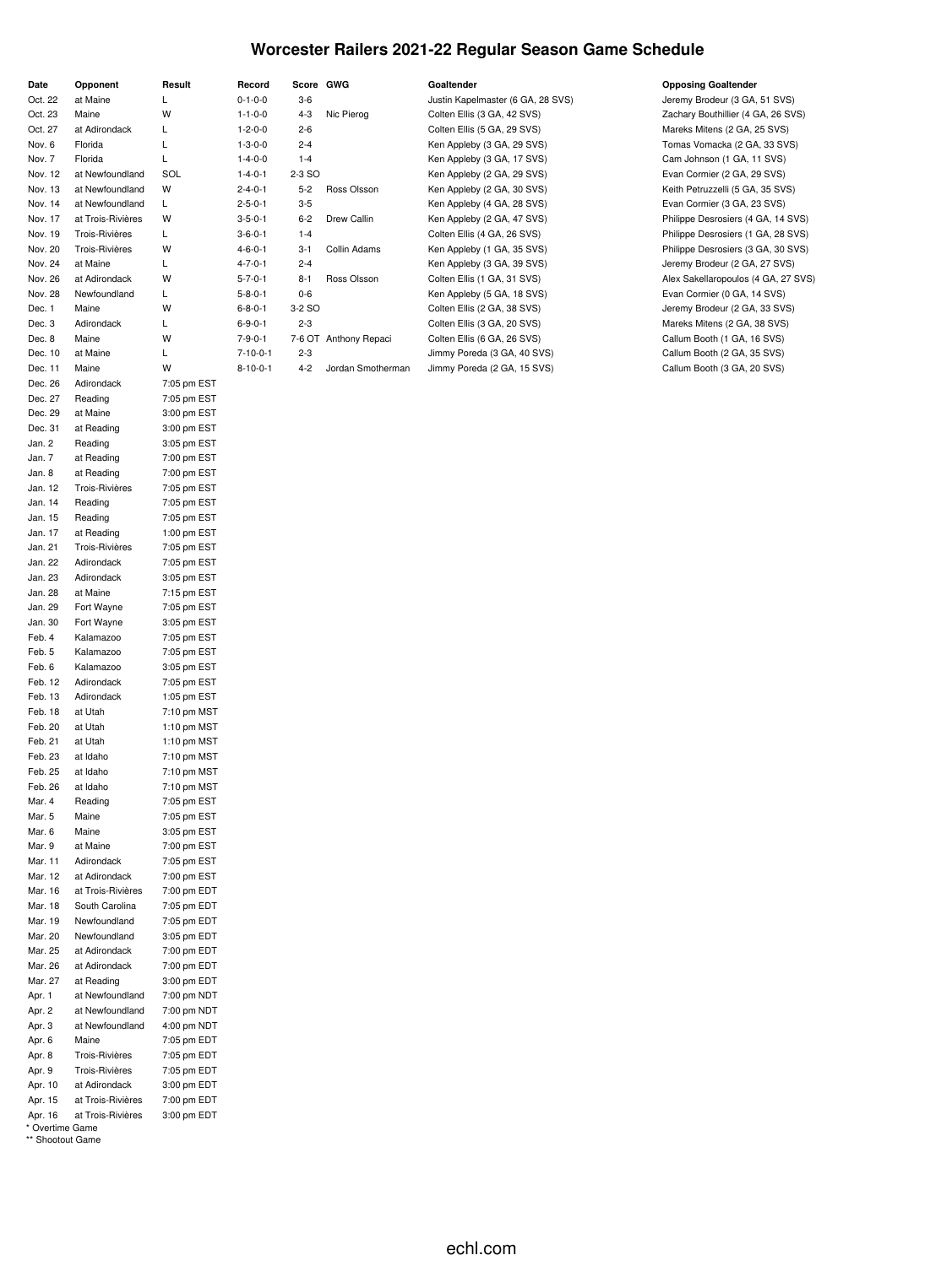## **Worcester Railers 2021-22 Regular Season Game Schedule**

| Date             | Opponent              | Result      |
|------------------|-----------------------|-------------|
| Oct. 22          | at Maine              | Г           |
|                  |                       |             |
| Oct. 23          | Maine                 | W           |
| Oct. 27          | at Adirondack         | L           |
| Nov. 6           | Florida               | L           |
| Nov. 7           | Florida               | L           |
| Nov. 12          | at Newfoundland       | SOL         |
| Nov. 13          | at Newfoundland       | W           |
| Nov. 14          | at Newfoundland       | Г           |
| Nov. 17          | at Trois-Rivières     | W           |
| Nov. 19          | Trois-Rivières        | L           |
| Nov. 20          | Trois-Rivières        | W           |
| Nov. 24          | at Maine              | L.          |
| Nov. 26          | at Adirondack         | W           |
| Nov. 28          | Newfoundland          | Г           |
| Dec. 1           | Maine                 | W           |
| Dec. 3           | Adirondack            | Г           |
| Dec. 8           | Maine                 | W           |
| Dec. 10          | at Maine              | L           |
| Dec. 11          | Maine                 | W           |
| Dec. 26          | Adirondack            | 7:05 pm EST |
| Dec. 27          | Reading               | 7:05 pm EST |
| Dec. 29          | at Maine              | 3:00 pm EST |
| Dec. 31          | at Reading            | 3:00 pm EST |
| Jan. 2           | Reading               | 3:05 pm EST |
| Jan. 7           | at Reading            | 7:00 pm EST |
| Jan. 8           | at Reading            | 7:00 pm EST |
| Jan. 12          | Trois-Rivières        | 7:05 pm EST |
| Jan. 14          | Reading               | 7:05 pm EST |
| Jan. 15          | Reading               | 7:05 pm EST |
| Jan. 17          | at Reading            | 1:00 pm EST |
| Jan. 21          | <b>Trois-Rivières</b> | 7:05 pm EST |
| Jan. 22          | Adirondack            | 7:05 pm EST |
| Jan. 23          | Adirondack            | 3:05 pm EST |
| Jan. 28          | at Maine              |             |
| Jan. 29          |                       | 7:15 pm EST |
|                  | Fort Wayne            | 7:05 pm EST |
| Jan. 30          | Fort Wayne            | 3:05 pm EST |
| Feb. 4           | Kalamazoo             | 7:05 pm EST |
| Feb. 5           | Kalamazoo             | 7:05 pm EST |
| Feb. 6           | Kalamazoo             | 3:05 pm EST |
| Feb. 12          | Adirondack            | 7:05 pm EST |
| Feb. 13          | Adirondack            | 1:05 pm EST |
| Feb. 18          | at Utah               | 7:10 pm MST |
| Feb. 20          | at Utah               | 1:10 pm MST |
| Feb. 21          | at Utah               | 1:10 pm MST |
| Feb. 23          | at Idaho              | 7:10 pm MST |
| Feb. 25          | at Idaho              | 7:10 pm MST |
| Feb. 26          | at Idaho              | 7:10 pm MST |
| Mar. 4           | Reading               | 7:05 pm EST |
| Mar. 5           | Maine                 | 7:05 pm EST |
| Mar. 6           | Maine                 | 3:05 pm EST |
| Mar. 9           | at Maine              | 7:00 pm EST |
| Mar. 11          | Adirondack            | 7:05 pm EST |
| Mar. 12          | at Adirondack         | 7:00 pm EST |
| Mar. 16          | at Trois-Rivières     | 7:00 pm EDT |
| Mar. 18          | South Carolina        | 7:05 pm EDT |
| Mar. 19          | Newfoundland          | 7:05 pm EDT |
| Mar. 20          | Newfoundland          | 3:05 pm EDT |
| Mar. 25          | at Adirondack         | 7:00 pm EDT |
| Mar. 26          | at Adirondack         | 7:00 pm EDT |
| Mar. 27          | at Reading            | 3:00 pm EDT |
| Apr. 1           | at Newfoundland       | 7:00 pm NDT |
| Apr. 2           | at Newfoundland       | 7:00 pm NDT |
| Apr. 3           | at Newfoundland       | 4:00 pm NDT |
| Apr. 6           | Maine                 | 7:05 pm EDT |
| Apr. 8           | Trois-Rivières        | 7:05 pm EDT |
| Apr. 9           | Trois-Rivières        | 7:05 pm EDT |
| Apr. 10          | at Adirondack         | 3:00 pm EDT |
| Apr. 15          | at Trois-Rivières     | 7:00 pm EDT |
| Apr. 16          | at Trois-Rivières     | 3:00 pm EDT |
| * Overtime Game  |                       |             |
| ** Shootout Game |                       |             |

| Record          | Score GWG     |                       | Goaltender                        | <b>Opposing Goaltender</b>                          |
|-----------------|---------------|-----------------------|-----------------------------------|-----------------------------------------------------|
| $0 - 1 - 0 - 0$ | $3-6$         |                       | Justin Kapelmaster (6 GA, 28 SVS) | Jeremy Brodeur (3 GA, 51 SVS)                       |
| $1 - 1 - 0 - 0$ | $4 - 3$       | Nic Pierog            | Colten Ellis (3 GA, 42 SVS)       | Zachary Bouthillier (4 GA, 26 SV                    |
| $1 - 2 - 0 - 0$ | $2 - 6$       |                       | Colten Ellis (5 GA, 29 SVS)       | Mareks Mitens (2 GA, 25 SVS)                        |
| $1 - 3 - 0 - 0$ | $2 - 4$       |                       | Ken Appleby (3 GA, 29 SVS)        | Tomas Vomacka (2 GA, 33 SVS)                        |
| $1 - 4 - 0 - 0$ | $1 - 4$       |                       | Ken Appleby (3 GA, 17 SVS)        | Cam Johnson (1 GA, 11 SVS)                          |
| $1 - 4 - 0 - 1$ | 2-3 SO        |                       | Ken Appleby (2 GA, 29 SVS)        | Evan Cormier (2 GA, 29 SVS)                         |
| $2 - 4 - 0 - 1$ | $5 - 2$       | Ross Olsson           | Ken Appleby (2 GA, 30 SVS)        | Keith Petruzzelli (5 GA, 35 SVS)                    |
| $2 - 5 - 0 - 1$ | $3-5$         |                       | Ken Appleby (4 GA, 28 SVS)        | Evan Cormier (3 GA, 23 SVS)                         |
| $3 - 5 - 0 - 1$ | $6 - 2$       | Drew Callin           | Ken Appleby (2 GA, 47 SVS)        | Philippe Desrosiers (4 GA, 14 S)                    |
| $3 - 6 - 0 - 1$ | $1 - 4$       |                       | Colten Ellis (4 GA, 26 SVS)       | Philippe Desrosiers (1 GA, 28 S)                    |
| $4 - 6 - 0 - 1$ | $3 - 1$       | Collin Adams          | Ken Appleby (1 GA, 35 SVS)        | Philippe Desrosiers (3 GA, 30 S)                    |
| $4 - 7 - 0 - 1$ | $2 - 4$       |                       | Ken Appleby (3 GA, 39 SVS)        | Jeremy Brodeur (2 GA, 27 SVS)                       |
| $5 - 7 - 0 - 1$ | $8 - 1$       | Ross Olsson           | Colten Ellis (1 GA, 31 SVS)       | Alex Sakellaropoulos (4 GA, 27 S                    |
| $5 - 8 - 0 - 1$ | $0-6$         |                       | Ken Appleby (5 GA, 18 SVS)        | Evan Cormier (0 GA, 14 SVS)                         |
| $6 - 8 - 0 - 1$ | 3-2 SO        |                       | Colten Ellis (2 GA, 38 SVS)       | Jeremy Brodeur (2 GA, 33 SVS)                       |
| $6 - 9 - 0 - 1$ | $2 - 3$       |                       | Colten Ellis (3 GA, 20 SVS)       | Mareks Mitens (2 GA, 38 SVS)                        |
| $7 - 9 - 0 - 1$ |               | 7-6 OT Anthony Repaci | Colten Ellis (6 GA, 26 SVS)       | Callum Booth (1 GA, 16 SVS)                         |
| <b>74004</b>    | $\sim$ $\sim$ |                       |                                   | $O2  _{\text{max}}$ $D2$ and $O1$ and $O2$ and $O3$ |

| $1 - 1 - 0 - 0$<br>$4 - 3$<br>Nic Pierog<br>Colten Ellis (3 GA, 42 SVS)<br>$1 - 2 - 0 - 0$<br>$2 - 6$<br>Colten Ellis (5 GA, 29 SVS) | Zachary Bouthillier (4 GA, 26 SVS)<br>Mareks Mitens (2 GA, 25 SVS)<br>Tomas Vomacka (2 GA, 33 SVS) |
|--------------------------------------------------------------------------------------------------------------------------------------|----------------------------------------------------------------------------------------------------|
|                                                                                                                                      |                                                                                                    |
|                                                                                                                                      |                                                                                                    |
| $1 - 3 - 0 - 0$<br>$2 - 4$<br>Ken Appleby (3 GA, 29 SVS)                                                                             |                                                                                                    |
| $1 - 4 - 0 - 0$<br>$1 - 4$<br>Ken Appleby (3 GA, 17 SVS)                                                                             | Cam Johnson (1 GA, 11 SVS)                                                                         |
| $1 - 4 - 0 - 1$<br>2-3 SO<br>Ken Appleby (2 GA, 29 SVS)                                                                              | Evan Cormier (2 GA, 29 SVS)                                                                        |
| $2 - 4 - 0 - 1$<br>Ross Olsson<br>$5-2$<br>Ken Appleby (2 GA, 30 SVS)                                                                | Keith Petruzzelli (5 GA, 35 SVS)                                                                   |
| $2 - 5 - 0 - 1$<br>$3-5$<br>Ken Appleby (4 GA, 28 SVS)                                                                               | Evan Cormier (3 GA, 23 SVS)                                                                        |
| $3 - 5 - 0 - 1$<br>$6 - 2$<br>Drew Callin<br>Ken Appleby (2 GA, 47 SVS)                                                              | Philippe Desrosiers (4 GA, 14 SVS)                                                                 |
| $3 - 6 - 0 - 1$<br>$1 - 4$<br>Colten Ellis (4 GA, 26 SVS)                                                                            | Philippe Desrosiers (1 GA, 28 SVS)                                                                 |
| $4 - 6 - 0 - 1$<br>Collin Adams<br>Ken Appleby (1 GA, 35 SVS)<br>$3 - 1$                                                             | Philippe Desrosiers (3 GA, 30 SVS)                                                                 |
| $4 - 7 - 0 - 1$<br>$2 - 4$<br>Ken Appleby (3 GA, 39 SVS)                                                                             | Jeremy Brodeur (2 GA, 27 SVS)                                                                      |
| $5 - 7 - 0 - 1$<br>Ross Olsson<br>$8 - 1$<br>Colten Ellis (1 GA, 31 SVS)                                                             | Alex Sakellaropoulos (4 GA, 27 SVS)                                                                |
| $5 - 8 - 0 - 1$<br>$0-6$<br>Ken Appleby (5 GA, 18 SVS)                                                                               | Evan Cormier (0 GA, 14 SVS)                                                                        |
| $6 - 8 - 0 - 1$<br>3-2 SO<br>Colten Ellis (2 GA, 38 SVS)                                                                             | Jeremy Brodeur (2 GA, 33 SVS)                                                                      |
| $6 - 9 - 0 - 1$<br>$2 - 3$<br>Colten Ellis (3 GA, 20 SVS)                                                                            | Mareks Mitens (2 GA, 38 SVS)                                                                       |
| $7 - 9 - 0 - 1$<br>7-6 OT Anthony Repaci<br>Colten Ellis (6 GA, 26 SVS)                                                              | Callum Booth (1 GA, 16 SVS)                                                                        |
| $7 - 10 - 0 - 1$<br>$2 - 3$<br>Jimmy Poreda (3 GA, 40 SVS)                                                                           | Callum Booth (2 GA, 35 SVS)                                                                        |
| $8 - 10 - 0 - 1$<br>Jordan Smotherman<br>$4 - 2$<br>Jimmy Poreda (2 GA, 15 SVS)                                                      | Callum Booth (3 GA, 20 SVS)                                                                        |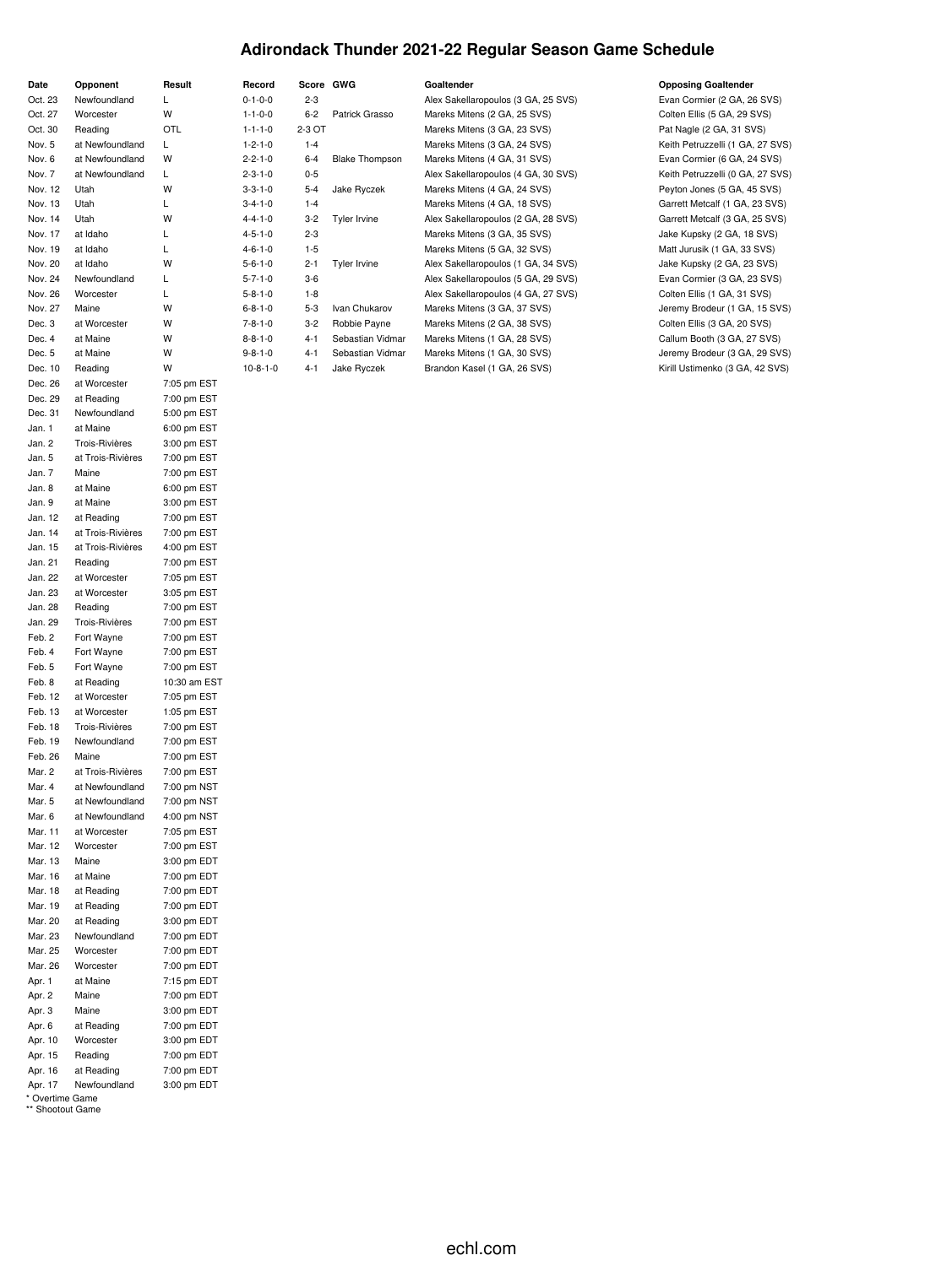## **Adirondack Thunder 2021-22 Regular Season Game Schedule**

| Date<br>Opponent<br>Result<br>Newfoundland<br>Г<br>Oct. 23<br>W<br>Oct. 27<br>Worcester<br>Oct. 30<br>Reading<br>OTL<br>Nov. 5<br>at Newfoundland<br>Г<br>Nov. 6<br>W<br>at Newfoundland<br>Nov. 7<br>Г<br>at Newfoundland<br>Nov. 12<br>W<br>Utah<br>L<br>Nov. 13<br>Utah<br>W<br>Nov. 14<br>Utah<br>Nov. 17<br>Г<br>at Idaho<br>L<br>Nov. 19<br>at Idaho<br>W<br>Nov. 20<br>at Idaho<br>L<br>Nov. 24<br>Newfoundland<br>Nov. 26<br>L<br>Worcester<br>W<br>Nov. 27<br>Maine<br>W<br>Dec. 3<br>at Worcester<br>W<br>Dec. 4<br>at Maine<br>W<br>Dec. 5<br>at Maine<br>W<br>Dec. 10<br>Reading<br>Dec. 26<br>at Worcester<br>7:05 pm EST<br>Dec. 29<br>at Reading<br>7:00 pm EST<br>Dec. 31<br>Newfoundland<br>5:00 pm EST<br>Jan. 1<br>at Maine<br>6:00 pm EST<br>Jan. 2<br><b>Trois-Rivières</b><br>3:00 pm EST<br>at Trois-Rivières<br>Jan. 5<br>7:00 pm EST<br>Maine<br>7:00 pm EST<br>Jan. 7<br>6:00 pm EST<br>Jan. 8<br>at Maine<br>3:00 pm EST<br>Jan. 9<br>at Maine<br>Jan. 12<br>at Reading<br>7:00 pm EST<br>Jan. 14<br>at Trois-Rivières<br>7:00 pm EST<br>Jan. 15<br>at Trois-Rivières<br>4:00 pm EST<br>Jan. 21<br>7:00 pm EST<br>Reading<br>Jan. 22<br>at Worcester<br>7:05 pm EST<br>Jan. 23<br>at Worcester<br>3:05 pm EST<br>Jan. 28<br>Reading<br>7:00 pm EST<br>Jan. 29<br><b>Trois-Rivières</b><br>7:00 pm EST<br>Feb. 2<br>7:00 pm EST<br>Fort Wayne<br>Feb. 4<br>Fort Wayne<br>7:00 pm EST<br>Feb. 5<br>Fort Wayne<br>7:00 pm EST<br>10:30 am EST<br>Feb. 8<br>at Reading<br>Feb. 12<br>at Worcester<br>7:05 pm EST<br>Feb. 13<br>at Worcester<br>1:05 pm EST<br>Feb. 18<br>Trois-Rivières<br>7:00 pm EST<br>Feb. 19<br>Newfoundland<br>7:00 pm EST<br>Feb. 26<br>7:00 pm EST<br>Maine<br>7:00 pm EST<br>Mar. 2<br>at Trois-Rivières<br>Mar. 4<br>at Newfoundland<br>7:00 pm NST<br>Mar. 5<br>at Newfoundland<br>7:00 pm NST<br>Mar. 6<br>4:00 pm NST<br>at Newfoundland<br>Mar. 11<br>7:05 pm EST<br>at Worcester<br>7:00 pm EST<br>Mar. 12<br>Worcester<br>3:00 pm EDT<br>Mar. 13<br>Maine<br>Mar. 16<br>at Maine<br>7:00 pm EDT<br>7:00 pm EDT<br>Mar. 18<br>at Reading<br>Mar. 19<br>at Reading<br>7:00 pm EDT<br>Mar. 20<br>at Reading<br>3:00 pm EDT<br>Mar. 23<br>Newfoundland<br>7:00 pm EDT<br>Mar. 25<br>7:00 pm EDT<br>Worcester<br>7:00 pm EDT<br>Mar. 26<br>Worcester<br>7:15 pm EDT<br>at Maine<br>7:00 pm EDT<br>Maine<br>3:00 pm EDT<br>Maine<br>7:00 pm EDT<br>at Reading<br>3:00 pm EDT<br>Worcester<br>7:00 pm EDT<br>Reading<br>at Reading<br>7:00 pm EDT<br>3:00 pm EDT<br>Newfoundland<br>* Overtime Game<br>** Shootout Game |         |  |
|-------------------------------------------------------------------------------------------------------------------------------------------------------------------------------------------------------------------------------------------------------------------------------------------------------------------------------------------------------------------------------------------------------------------------------------------------------------------------------------------------------------------------------------------------------------------------------------------------------------------------------------------------------------------------------------------------------------------------------------------------------------------------------------------------------------------------------------------------------------------------------------------------------------------------------------------------------------------------------------------------------------------------------------------------------------------------------------------------------------------------------------------------------------------------------------------------------------------------------------------------------------------------------------------------------------------------------------------------------------------------------------------------------------------------------------------------------------------------------------------------------------------------------------------------------------------------------------------------------------------------------------------------------------------------------------------------------------------------------------------------------------------------------------------------------------------------------------------------------------------------------------------------------------------------------------------------------------------------------------------------------------------------------------------------------------------------------------------------------------------------------------------------------------------------------------------------------------------------------------------------------------------------------------------------------------------------------------------------------------------------------------------------------------------------------------------------------------------------------------------------------------------------------------------------------------------------|---------|--|
|                                                                                                                                                                                                                                                                                                                                                                                                                                                                                                                                                                                                                                                                                                                                                                                                                                                                                                                                                                                                                                                                                                                                                                                                                                                                                                                                                                                                                                                                                                                                                                                                                                                                                                                                                                                                                                                                                                                                                                                                                                                                                                                                                                                                                                                                                                                                                                                                                                                                                                                                                                         |         |  |
|                                                                                                                                                                                                                                                                                                                                                                                                                                                                                                                                                                                                                                                                                                                                                                                                                                                                                                                                                                                                                                                                                                                                                                                                                                                                                                                                                                                                                                                                                                                                                                                                                                                                                                                                                                                                                                                                                                                                                                                                                                                                                                                                                                                                                                                                                                                                                                                                                                                                                                                                                                         |         |  |
|                                                                                                                                                                                                                                                                                                                                                                                                                                                                                                                                                                                                                                                                                                                                                                                                                                                                                                                                                                                                                                                                                                                                                                                                                                                                                                                                                                                                                                                                                                                                                                                                                                                                                                                                                                                                                                                                                                                                                                                                                                                                                                                                                                                                                                                                                                                                                                                                                                                                                                                                                                         |         |  |
|                                                                                                                                                                                                                                                                                                                                                                                                                                                                                                                                                                                                                                                                                                                                                                                                                                                                                                                                                                                                                                                                                                                                                                                                                                                                                                                                                                                                                                                                                                                                                                                                                                                                                                                                                                                                                                                                                                                                                                                                                                                                                                                                                                                                                                                                                                                                                                                                                                                                                                                                                                         |         |  |
|                                                                                                                                                                                                                                                                                                                                                                                                                                                                                                                                                                                                                                                                                                                                                                                                                                                                                                                                                                                                                                                                                                                                                                                                                                                                                                                                                                                                                                                                                                                                                                                                                                                                                                                                                                                                                                                                                                                                                                                                                                                                                                                                                                                                                                                                                                                                                                                                                                                                                                                                                                         |         |  |
|                                                                                                                                                                                                                                                                                                                                                                                                                                                                                                                                                                                                                                                                                                                                                                                                                                                                                                                                                                                                                                                                                                                                                                                                                                                                                                                                                                                                                                                                                                                                                                                                                                                                                                                                                                                                                                                                                                                                                                                                                                                                                                                                                                                                                                                                                                                                                                                                                                                                                                                                                                         |         |  |
|                                                                                                                                                                                                                                                                                                                                                                                                                                                                                                                                                                                                                                                                                                                                                                                                                                                                                                                                                                                                                                                                                                                                                                                                                                                                                                                                                                                                                                                                                                                                                                                                                                                                                                                                                                                                                                                                                                                                                                                                                                                                                                                                                                                                                                                                                                                                                                                                                                                                                                                                                                         |         |  |
|                                                                                                                                                                                                                                                                                                                                                                                                                                                                                                                                                                                                                                                                                                                                                                                                                                                                                                                                                                                                                                                                                                                                                                                                                                                                                                                                                                                                                                                                                                                                                                                                                                                                                                                                                                                                                                                                                                                                                                                                                                                                                                                                                                                                                                                                                                                                                                                                                                                                                                                                                                         |         |  |
|                                                                                                                                                                                                                                                                                                                                                                                                                                                                                                                                                                                                                                                                                                                                                                                                                                                                                                                                                                                                                                                                                                                                                                                                                                                                                                                                                                                                                                                                                                                                                                                                                                                                                                                                                                                                                                                                                                                                                                                                                                                                                                                                                                                                                                                                                                                                                                                                                                                                                                                                                                         |         |  |
|                                                                                                                                                                                                                                                                                                                                                                                                                                                                                                                                                                                                                                                                                                                                                                                                                                                                                                                                                                                                                                                                                                                                                                                                                                                                                                                                                                                                                                                                                                                                                                                                                                                                                                                                                                                                                                                                                                                                                                                                                                                                                                                                                                                                                                                                                                                                                                                                                                                                                                                                                                         |         |  |
|                                                                                                                                                                                                                                                                                                                                                                                                                                                                                                                                                                                                                                                                                                                                                                                                                                                                                                                                                                                                                                                                                                                                                                                                                                                                                                                                                                                                                                                                                                                                                                                                                                                                                                                                                                                                                                                                                                                                                                                                                                                                                                                                                                                                                                                                                                                                                                                                                                                                                                                                                                         |         |  |
|                                                                                                                                                                                                                                                                                                                                                                                                                                                                                                                                                                                                                                                                                                                                                                                                                                                                                                                                                                                                                                                                                                                                                                                                                                                                                                                                                                                                                                                                                                                                                                                                                                                                                                                                                                                                                                                                                                                                                                                                                                                                                                                                                                                                                                                                                                                                                                                                                                                                                                                                                                         |         |  |
|                                                                                                                                                                                                                                                                                                                                                                                                                                                                                                                                                                                                                                                                                                                                                                                                                                                                                                                                                                                                                                                                                                                                                                                                                                                                                                                                                                                                                                                                                                                                                                                                                                                                                                                                                                                                                                                                                                                                                                                                                                                                                                                                                                                                                                                                                                                                                                                                                                                                                                                                                                         |         |  |
|                                                                                                                                                                                                                                                                                                                                                                                                                                                                                                                                                                                                                                                                                                                                                                                                                                                                                                                                                                                                                                                                                                                                                                                                                                                                                                                                                                                                                                                                                                                                                                                                                                                                                                                                                                                                                                                                                                                                                                                                                                                                                                                                                                                                                                                                                                                                                                                                                                                                                                                                                                         |         |  |
|                                                                                                                                                                                                                                                                                                                                                                                                                                                                                                                                                                                                                                                                                                                                                                                                                                                                                                                                                                                                                                                                                                                                                                                                                                                                                                                                                                                                                                                                                                                                                                                                                                                                                                                                                                                                                                                                                                                                                                                                                                                                                                                                                                                                                                                                                                                                                                                                                                                                                                                                                                         |         |  |
|                                                                                                                                                                                                                                                                                                                                                                                                                                                                                                                                                                                                                                                                                                                                                                                                                                                                                                                                                                                                                                                                                                                                                                                                                                                                                                                                                                                                                                                                                                                                                                                                                                                                                                                                                                                                                                                                                                                                                                                                                                                                                                                                                                                                                                                                                                                                                                                                                                                                                                                                                                         |         |  |
|                                                                                                                                                                                                                                                                                                                                                                                                                                                                                                                                                                                                                                                                                                                                                                                                                                                                                                                                                                                                                                                                                                                                                                                                                                                                                                                                                                                                                                                                                                                                                                                                                                                                                                                                                                                                                                                                                                                                                                                                                                                                                                                                                                                                                                                                                                                                                                                                                                                                                                                                                                         |         |  |
|                                                                                                                                                                                                                                                                                                                                                                                                                                                                                                                                                                                                                                                                                                                                                                                                                                                                                                                                                                                                                                                                                                                                                                                                                                                                                                                                                                                                                                                                                                                                                                                                                                                                                                                                                                                                                                                                                                                                                                                                                                                                                                                                                                                                                                                                                                                                                                                                                                                                                                                                                                         |         |  |
|                                                                                                                                                                                                                                                                                                                                                                                                                                                                                                                                                                                                                                                                                                                                                                                                                                                                                                                                                                                                                                                                                                                                                                                                                                                                                                                                                                                                                                                                                                                                                                                                                                                                                                                                                                                                                                                                                                                                                                                                                                                                                                                                                                                                                                                                                                                                                                                                                                                                                                                                                                         |         |  |
|                                                                                                                                                                                                                                                                                                                                                                                                                                                                                                                                                                                                                                                                                                                                                                                                                                                                                                                                                                                                                                                                                                                                                                                                                                                                                                                                                                                                                                                                                                                                                                                                                                                                                                                                                                                                                                                                                                                                                                                                                                                                                                                                                                                                                                                                                                                                                                                                                                                                                                                                                                         |         |  |
|                                                                                                                                                                                                                                                                                                                                                                                                                                                                                                                                                                                                                                                                                                                                                                                                                                                                                                                                                                                                                                                                                                                                                                                                                                                                                                                                                                                                                                                                                                                                                                                                                                                                                                                                                                                                                                                                                                                                                                                                                                                                                                                                                                                                                                                                                                                                                                                                                                                                                                                                                                         |         |  |
|                                                                                                                                                                                                                                                                                                                                                                                                                                                                                                                                                                                                                                                                                                                                                                                                                                                                                                                                                                                                                                                                                                                                                                                                                                                                                                                                                                                                                                                                                                                                                                                                                                                                                                                                                                                                                                                                                                                                                                                                                                                                                                                                                                                                                                                                                                                                                                                                                                                                                                                                                                         |         |  |
|                                                                                                                                                                                                                                                                                                                                                                                                                                                                                                                                                                                                                                                                                                                                                                                                                                                                                                                                                                                                                                                                                                                                                                                                                                                                                                                                                                                                                                                                                                                                                                                                                                                                                                                                                                                                                                                                                                                                                                                                                                                                                                                                                                                                                                                                                                                                                                                                                                                                                                                                                                         |         |  |
|                                                                                                                                                                                                                                                                                                                                                                                                                                                                                                                                                                                                                                                                                                                                                                                                                                                                                                                                                                                                                                                                                                                                                                                                                                                                                                                                                                                                                                                                                                                                                                                                                                                                                                                                                                                                                                                                                                                                                                                                                                                                                                                                                                                                                                                                                                                                                                                                                                                                                                                                                                         |         |  |
|                                                                                                                                                                                                                                                                                                                                                                                                                                                                                                                                                                                                                                                                                                                                                                                                                                                                                                                                                                                                                                                                                                                                                                                                                                                                                                                                                                                                                                                                                                                                                                                                                                                                                                                                                                                                                                                                                                                                                                                                                                                                                                                                                                                                                                                                                                                                                                                                                                                                                                                                                                         |         |  |
|                                                                                                                                                                                                                                                                                                                                                                                                                                                                                                                                                                                                                                                                                                                                                                                                                                                                                                                                                                                                                                                                                                                                                                                                                                                                                                                                                                                                                                                                                                                                                                                                                                                                                                                                                                                                                                                                                                                                                                                                                                                                                                                                                                                                                                                                                                                                                                                                                                                                                                                                                                         |         |  |
|                                                                                                                                                                                                                                                                                                                                                                                                                                                                                                                                                                                                                                                                                                                                                                                                                                                                                                                                                                                                                                                                                                                                                                                                                                                                                                                                                                                                                                                                                                                                                                                                                                                                                                                                                                                                                                                                                                                                                                                                                                                                                                                                                                                                                                                                                                                                                                                                                                                                                                                                                                         |         |  |
|                                                                                                                                                                                                                                                                                                                                                                                                                                                                                                                                                                                                                                                                                                                                                                                                                                                                                                                                                                                                                                                                                                                                                                                                                                                                                                                                                                                                                                                                                                                                                                                                                                                                                                                                                                                                                                                                                                                                                                                                                                                                                                                                                                                                                                                                                                                                                                                                                                                                                                                                                                         |         |  |
|                                                                                                                                                                                                                                                                                                                                                                                                                                                                                                                                                                                                                                                                                                                                                                                                                                                                                                                                                                                                                                                                                                                                                                                                                                                                                                                                                                                                                                                                                                                                                                                                                                                                                                                                                                                                                                                                                                                                                                                                                                                                                                                                                                                                                                                                                                                                                                                                                                                                                                                                                                         |         |  |
|                                                                                                                                                                                                                                                                                                                                                                                                                                                                                                                                                                                                                                                                                                                                                                                                                                                                                                                                                                                                                                                                                                                                                                                                                                                                                                                                                                                                                                                                                                                                                                                                                                                                                                                                                                                                                                                                                                                                                                                                                                                                                                                                                                                                                                                                                                                                                                                                                                                                                                                                                                         |         |  |
|                                                                                                                                                                                                                                                                                                                                                                                                                                                                                                                                                                                                                                                                                                                                                                                                                                                                                                                                                                                                                                                                                                                                                                                                                                                                                                                                                                                                                                                                                                                                                                                                                                                                                                                                                                                                                                                                                                                                                                                                                                                                                                                                                                                                                                                                                                                                                                                                                                                                                                                                                                         |         |  |
|                                                                                                                                                                                                                                                                                                                                                                                                                                                                                                                                                                                                                                                                                                                                                                                                                                                                                                                                                                                                                                                                                                                                                                                                                                                                                                                                                                                                                                                                                                                                                                                                                                                                                                                                                                                                                                                                                                                                                                                                                                                                                                                                                                                                                                                                                                                                                                                                                                                                                                                                                                         |         |  |
|                                                                                                                                                                                                                                                                                                                                                                                                                                                                                                                                                                                                                                                                                                                                                                                                                                                                                                                                                                                                                                                                                                                                                                                                                                                                                                                                                                                                                                                                                                                                                                                                                                                                                                                                                                                                                                                                                                                                                                                                                                                                                                                                                                                                                                                                                                                                                                                                                                                                                                                                                                         |         |  |
|                                                                                                                                                                                                                                                                                                                                                                                                                                                                                                                                                                                                                                                                                                                                                                                                                                                                                                                                                                                                                                                                                                                                                                                                                                                                                                                                                                                                                                                                                                                                                                                                                                                                                                                                                                                                                                                                                                                                                                                                                                                                                                                                                                                                                                                                                                                                                                                                                                                                                                                                                                         |         |  |
|                                                                                                                                                                                                                                                                                                                                                                                                                                                                                                                                                                                                                                                                                                                                                                                                                                                                                                                                                                                                                                                                                                                                                                                                                                                                                                                                                                                                                                                                                                                                                                                                                                                                                                                                                                                                                                                                                                                                                                                                                                                                                                                                                                                                                                                                                                                                                                                                                                                                                                                                                                         |         |  |
|                                                                                                                                                                                                                                                                                                                                                                                                                                                                                                                                                                                                                                                                                                                                                                                                                                                                                                                                                                                                                                                                                                                                                                                                                                                                                                                                                                                                                                                                                                                                                                                                                                                                                                                                                                                                                                                                                                                                                                                                                                                                                                                                                                                                                                                                                                                                                                                                                                                                                                                                                                         |         |  |
|                                                                                                                                                                                                                                                                                                                                                                                                                                                                                                                                                                                                                                                                                                                                                                                                                                                                                                                                                                                                                                                                                                                                                                                                                                                                                                                                                                                                                                                                                                                                                                                                                                                                                                                                                                                                                                                                                                                                                                                                                                                                                                                                                                                                                                                                                                                                                                                                                                                                                                                                                                         |         |  |
|                                                                                                                                                                                                                                                                                                                                                                                                                                                                                                                                                                                                                                                                                                                                                                                                                                                                                                                                                                                                                                                                                                                                                                                                                                                                                                                                                                                                                                                                                                                                                                                                                                                                                                                                                                                                                                                                                                                                                                                                                                                                                                                                                                                                                                                                                                                                                                                                                                                                                                                                                                         |         |  |
|                                                                                                                                                                                                                                                                                                                                                                                                                                                                                                                                                                                                                                                                                                                                                                                                                                                                                                                                                                                                                                                                                                                                                                                                                                                                                                                                                                                                                                                                                                                                                                                                                                                                                                                                                                                                                                                                                                                                                                                                                                                                                                                                                                                                                                                                                                                                                                                                                                                                                                                                                                         |         |  |
|                                                                                                                                                                                                                                                                                                                                                                                                                                                                                                                                                                                                                                                                                                                                                                                                                                                                                                                                                                                                                                                                                                                                                                                                                                                                                                                                                                                                                                                                                                                                                                                                                                                                                                                                                                                                                                                                                                                                                                                                                                                                                                                                                                                                                                                                                                                                                                                                                                                                                                                                                                         |         |  |
|                                                                                                                                                                                                                                                                                                                                                                                                                                                                                                                                                                                                                                                                                                                                                                                                                                                                                                                                                                                                                                                                                                                                                                                                                                                                                                                                                                                                                                                                                                                                                                                                                                                                                                                                                                                                                                                                                                                                                                                                                                                                                                                                                                                                                                                                                                                                                                                                                                                                                                                                                                         |         |  |
|                                                                                                                                                                                                                                                                                                                                                                                                                                                                                                                                                                                                                                                                                                                                                                                                                                                                                                                                                                                                                                                                                                                                                                                                                                                                                                                                                                                                                                                                                                                                                                                                                                                                                                                                                                                                                                                                                                                                                                                                                                                                                                                                                                                                                                                                                                                                                                                                                                                                                                                                                                         |         |  |
|                                                                                                                                                                                                                                                                                                                                                                                                                                                                                                                                                                                                                                                                                                                                                                                                                                                                                                                                                                                                                                                                                                                                                                                                                                                                                                                                                                                                                                                                                                                                                                                                                                                                                                                                                                                                                                                                                                                                                                                                                                                                                                                                                                                                                                                                                                                                                                                                                                                                                                                                                                         |         |  |
|                                                                                                                                                                                                                                                                                                                                                                                                                                                                                                                                                                                                                                                                                                                                                                                                                                                                                                                                                                                                                                                                                                                                                                                                                                                                                                                                                                                                                                                                                                                                                                                                                                                                                                                                                                                                                                                                                                                                                                                                                                                                                                                                                                                                                                                                                                                                                                                                                                                                                                                                                                         |         |  |
|                                                                                                                                                                                                                                                                                                                                                                                                                                                                                                                                                                                                                                                                                                                                                                                                                                                                                                                                                                                                                                                                                                                                                                                                                                                                                                                                                                                                                                                                                                                                                                                                                                                                                                                                                                                                                                                                                                                                                                                                                                                                                                                                                                                                                                                                                                                                                                                                                                                                                                                                                                         |         |  |
|                                                                                                                                                                                                                                                                                                                                                                                                                                                                                                                                                                                                                                                                                                                                                                                                                                                                                                                                                                                                                                                                                                                                                                                                                                                                                                                                                                                                                                                                                                                                                                                                                                                                                                                                                                                                                                                                                                                                                                                                                                                                                                                                                                                                                                                                                                                                                                                                                                                                                                                                                                         |         |  |
|                                                                                                                                                                                                                                                                                                                                                                                                                                                                                                                                                                                                                                                                                                                                                                                                                                                                                                                                                                                                                                                                                                                                                                                                                                                                                                                                                                                                                                                                                                                                                                                                                                                                                                                                                                                                                                                                                                                                                                                                                                                                                                                                                                                                                                                                                                                                                                                                                                                                                                                                                                         |         |  |
|                                                                                                                                                                                                                                                                                                                                                                                                                                                                                                                                                                                                                                                                                                                                                                                                                                                                                                                                                                                                                                                                                                                                                                                                                                                                                                                                                                                                                                                                                                                                                                                                                                                                                                                                                                                                                                                                                                                                                                                                                                                                                                                                                                                                                                                                                                                                                                                                                                                                                                                                                                         |         |  |
|                                                                                                                                                                                                                                                                                                                                                                                                                                                                                                                                                                                                                                                                                                                                                                                                                                                                                                                                                                                                                                                                                                                                                                                                                                                                                                                                                                                                                                                                                                                                                                                                                                                                                                                                                                                                                                                                                                                                                                                                                                                                                                                                                                                                                                                                                                                                                                                                                                                                                                                                                                         |         |  |
|                                                                                                                                                                                                                                                                                                                                                                                                                                                                                                                                                                                                                                                                                                                                                                                                                                                                                                                                                                                                                                                                                                                                                                                                                                                                                                                                                                                                                                                                                                                                                                                                                                                                                                                                                                                                                                                                                                                                                                                                                                                                                                                                                                                                                                                                                                                                                                                                                                                                                                                                                                         |         |  |
|                                                                                                                                                                                                                                                                                                                                                                                                                                                                                                                                                                                                                                                                                                                                                                                                                                                                                                                                                                                                                                                                                                                                                                                                                                                                                                                                                                                                                                                                                                                                                                                                                                                                                                                                                                                                                                                                                                                                                                                                                                                                                                                                                                                                                                                                                                                                                                                                                                                                                                                                                                         |         |  |
|                                                                                                                                                                                                                                                                                                                                                                                                                                                                                                                                                                                                                                                                                                                                                                                                                                                                                                                                                                                                                                                                                                                                                                                                                                                                                                                                                                                                                                                                                                                                                                                                                                                                                                                                                                                                                                                                                                                                                                                                                                                                                                                                                                                                                                                                                                                                                                                                                                                                                                                                                                         |         |  |
|                                                                                                                                                                                                                                                                                                                                                                                                                                                                                                                                                                                                                                                                                                                                                                                                                                                                                                                                                                                                                                                                                                                                                                                                                                                                                                                                                                                                                                                                                                                                                                                                                                                                                                                                                                                                                                                                                                                                                                                                                                                                                                                                                                                                                                                                                                                                                                                                                                                                                                                                                                         |         |  |
|                                                                                                                                                                                                                                                                                                                                                                                                                                                                                                                                                                                                                                                                                                                                                                                                                                                                                                                                                                                                                                                                                                                                                                                                                                                                                                                                                                                                                                                                                                                                                                                                                                                                                                                                                                                                                                                                                                                                                                                                                                                                                                                                                                                                                                                                                                                                                                                                                                                                                                                                                                         |         |  |
|                                                                                                                                                                                                                                                                                                                                                                                                                                                                                                                                                                                                                                                                                                                                                                                                                                                                                                                                                                                                                                                                                                                                                                                                                                                                                                                                                                                                                                                                                                                                                                                                                                                                                                                                                                                                                                                                                                                                                                                                                                                                                                                                                                                                                                                                                                                                                                                                                                                                                                                                                                         |         |  |
|                                                                                                                                                                                                                                                                                                                                                                                                                                                                                                                                                                                                                                                                                                                                                                                                                                                                                                                                                                                                                                                                                                                                                                                                                                                                                                                                                                                                                                                                                                                                                                                                                                                                                                                                                                                                                                                                                                                                                                                                                                                                                                                                                                                                                                                                                                                                                                                                                                                                                                                                                                         |         |  |
|                                                                                                                                                                                                                                                                                                                                                                                                                                                                                                                                                                                                                                                                                                                                                                                                                                                                                                                                                                                                                                                                                                                                                                                                                                                                                                                                                                                                                                                                                                                                                                                                                                                                                                                                                                                                                                                                                                                                                                                                                                                                                                                                                                                                                                                                                                                                                                                                                                                                                                                                                                         |         |  |
|                                                                                                                                                                                                                                                                                                                                                                                                                                                                                                                                                                                                                                                                                                                                                                                                                                                                                                                                                                                                                                                                                                                                                                                                                                                                                                                                                                                                                                                                                                                                                                                                                                                                                                                                                                                                                                                                                                                                                                                                                                                                                                                                                                                                                                                                                                                                                                                                                                                                                                                                                                         |         |  |
|                                                                                                                                                                                                                                                                                                                                                                                                                                                                                                                                                                                                                                                                                                                                                                                                                                                                                                                                                                                                                                                                                                                                                                                                                                                                                                                                                                                                                                                                                                                                                                                                                                                                                                                                                                                                                                                                                                                                                                                                                                                                                                                                                                                                                                                                                                                                                                                                                                                                                                                                                                         |         |  |
|                                                                                                                                                                                                                                                                                                                                                                                                                                                                                                                                                                                                                                                                                                                                                                                                                                                                                                                                                                                                                                                                                                                                                                                                                                                                                                                                                                                                                                                                                                                                                                                                                                                                                                                                                                                                                                                                                                                                                                                                                                                                                                                                                                                                                                                                                                                                                                                                                                                                                                                                                                         | Apr. 1  |  |
|                                                                                                                                                                                                                                                                                                                                                                                                                                                                                                                                                                                                                                                                                                                                                                                                                                                                                                                                                                                                                                                                                                                                                                                                                                                                                                                                                                                                                                                                                                                                                                                                                                                                                                                                                                                                                                                                                                                                                                                                                                                                                                                                                                                                                                                                                                                                                                                                                                                                                                                                                                         | Apr. 2  |  |
|                                                                                                                                                                                                                                                                                                                                                                                                                                                                                                                                                                                                                                                                                                                                                                                                                                                                                                                                                                                                                                                                                                                                                                                                                                                                                                                                                                                                                                                                                                                                                                                                                                                                                                                                                                                                                                                                                                                                                                                                                                                                                                                                                                                                                                                                                                                                                                                                                                                                                                                                                                         | Apr. 3  |  |
|                                                                                                                                                                                                                                                                                                                                                                                                                                                                                                                                                                                                                                                                                                                                                                                                                                                                                                                                                                                                                                                                                                                                                                                                                                                                                                                                                                                                                                                                                                                                                                                                                                                                                                                                                                                                                                                                                                                                                                                                                                                                                                                                                                                                                                                                                                                                                                                                                                                                                                                                                                         | Apr. 6  |  |
|                                                                                                                                                                                                                                                                                                                                                                                                                                                                                                                                                                                                                                                                                                                                                                                                                                                                                                                                                                                                                                                                                                                                                                                                                                                                                                                                                                                                                                                                                                                                                                                                                                                                                                                                                                                                                                                                                                                                                                                                                                                                                                                                                                                                                                                                                                                                                                                                                                                                                                                                                                         | Apr. 10 |  |
|                                                                                                                                                                                                                                                                                                                                                                                                                                                                                                                                                                                                                                                                                                                                                                                                                                                                                                                                                                                                                                                                                                                                                                                                                                                                                                                                                                                                                                                                                                                                                                                                                                                                                                                                                                                                                                                                                                                                                                                                                                                                                                                                                                                                                                                                                                                                                                                                                                                                                                                                                                         | Apr. 15 |  |
|                                                                                                                                                                                                                                                                                                                                                                                                                                                                                                                                                                                                                                                                                                                                                                                                                                                                                                                                                                                                                                                                                                                                                                                                                                                                                                                                                                                                                                                                                                                                                                                                                                                                                                                                                                                                                                                                                                                                                                                                                                                                                                                                                                                                                                                                                                                                                                                                                                                                                                                                                                         | Apr. 16 |  |
|                                                                                                                                                                                                                                                                                                                                                                                                                                                                                                                                                                                                                                                                                                                                                                                                                                                                                                                                                                                                                                                                                                                                                                                                                                                                                                                                                                                                                                                                                                                                                                                                                                                                                                                                                                                                                                                                                                                                                                                                                                                                                                                                                                                                                                                                                                                                                                                                                                                                                                                                                                         | Apr. 17 |  |
|                                                                                                                                                                                                                                                                                                                                                                                                                                                                                                                                                                                                                                                                                                                                                                                                                                                                                                                                                                                                                                                                                                                                                                                                                                                                                                                                                                                                                                                                                                                                                                                                                                                                                                                                                                                                                                                                                                                                                                                                                                                                                                                                                                                                                                                                                                                                                                                                                                                                                                                                                                         |         |  |

| Record                     | Score GWG             | Goaltender                          | <b>Opposing Goaltender</b>       |
|----------------------------|-----------------------|-------------------------------------|----------------------------------|
| $0 - 1 - 0 - 0$<br>$2 - 3$ |                       | Alex Sakellaropoulos (3 GA, 25 SVS) | Evan Cormier (2 GA, 26 SVS)      |
| $1 - 1 - 0 - 0$<br>$6 - 2$ | Patrick Grasso        | Mareks Mitens (2 GA, 25 SVS)        | Colten Ellis (5 GA, 29 SVS)      |
| $1 - 1 - 1 - 0$<br>2-3 OT  |                       | Mareks Mitens (3 GA, 23 SVS)        | Pat Nagle (2 GA, 31 SVS)         |
| $1 - 2 - 1 - 0$<br>$1 - 4$ |                       | Mareks Mitens (3 GA, 24 SVS)        | Keith Petruzzelli (1 GA, 27 SVS) |
| $2 - 2 - 1 - 0$<br>$6 - 4$ | <b>Blake Thompson</b> | Mareks Mitens (4 GA, 31 SVS)        | Evan Cormier (6 GA, 24 SVS)      |
| $2 - 3 - 1 - 0$<br>$0 - 5$ |                       | Alex Sakellaropoulos (4 GA, 30 SVS) | Keith Petruzzelli (0 GA, 27 SVS) |
| $3 - 3 - 1 - 0$<br>$5 - 4$ | Jake Ryczek           | Mareks Mitens (4 GA, 24 SVS)        | Peyton Jones (5 GA, 45 SVS)      |
| $3 - 4 - 1 - 0$<br>$1 - 4$ |                       | Mareks Mitens (4 GA, 18 SVS)        | Garrett Metcalf (1 GA, 23 SVS)   |
| $4 - 4 - 1 - 0$<br>$3 - 2$ | Tyler Irvine          | Alex Sakellaropoulos (2 GA, 28 SVS) | Garrett Metcalf (3 GA, 25 SVS)   |
| $4 - 5 - 1 - 0$<br>$2 - 3$ |                       | Mareks Mitens (3 GA, 35 SVS)        | Jake Kupsky (2 GA, 18 SVS)       |
| $4 - 6 - 1 - 0$<br>$1 - 5$ |                       | Mareks Mitens (5 GA, 32 SVS)        | Matt Jurusik (1 GA, 33 SVS)      |
| $5 - 6 - 1 - 0$<br>$2 - 1$ | Tyler Irvine          | Alex Sakellaropoulos (1 GA, 34 SVS) | Jake Kupsky (2 GA, 23 SVS)       |
| $5 - 7 - 1 - 0$<br>$3-6$   |                       | Alex Sakellaropoulos (5 GA, 29 SVS) | Evan Cormier (3 GA, 23 SVS)      |
| $5 - 8 - 1 - 0$<br>$1 - 8$ |                       | Alex Sakellaropoulos (4 GA, 27 SVS) | Colten Ellis (1 GA, 31 SVS)      |
| $6 - 8 - 1 - 0$<br>$5 - 3$ | Ivan Chukarov         | Mareks Mitens (3 GA, 37 SVS)        | Jeremy Brodeur (1 GA, 15 SVS)    |
| $7 - 8 - 1 - 0$<br>$3 - 2$ | Robbie Payne          | Mareks Mitens (2 GA, 38 SVS)        | Colten Ellis (3 GA, 20 SVS)      |
| $8 - 8 - 1 - 0$<br>$4 - 1$ | Sebastian Vidmar      | Mareks Mitens (1 GA, 28 SVS)        | Callum Booth (3 GA, 27 SVS)      |
| $9 - 8 - 1 - 0$<br>$4 - 1$ | Sebastian Vidmar      | Mareks Mitens (1 GA, 30 SVS)        | Jeremy Brodeur (3 GA, 29 SVS)    |
| $10-8-1-0$<br>$4 - 1$      | Jake Ryczek           | Brandon Kasel (1 GA, 26 SVS)        | Kirill Ustimenko (3 GA, 42 SVS)  |

| $0 - 1 - 0 - 0$ | $2 - 3$ |                       | Alex Sakellaropoulos (3 GA, 25 SVS) | Evan Cormier (2 GA, 26 SVS)      |
|-----------------|---------|-----------------------|-------------------------------------|----------------------------------|
| $1 - 1 - 0 - 0$ | $6 - 2$ | Patrick Grasso        | Mareks Mitens (2 GA, 25 SVS)        | Colten Ellis (5 GA, 29 SVS)      |
| $1 - 1 - 1 - 0$ | 2-3 OT  |                       | Mareks Mitens (3 GA, 23 SVS)        | Pat Nagle (2 GA, 31 SVS)         |
| $1 - 2 - 1 - 0$ | $1 - 4$ |                       | Mareks Mitens (3 GA, 24 SVS)        | Keith Petruzzelli (1 GA, 27 SVS) |
| $2 - 2 - 1 - 0$ | $6 - 4$ | <b>Blake Thompson</b> | Mareks Mitens (4 GA, 31 SVS)        | Evan Cormier (6 GA, 24 SVS)      |
| $2 - 3 - 1 - 0$ | $0 - 5$ |                       | Alex Sakellaropoulos (4 GA, 30 SVS) | Keith Petruzzelli (0 GA, 27 SVS) |
| $3 - 3 - 1 - 0$ | $5 - 4$ | Jake Ryczek           | Mareks Mitens (4 GA, 24 SVS)        | Peyton Jones (5 GA, 45 SVS)      |
| $3 - 4 - 1 - 0$ | $1 - 4$ |                       | Mareks Mitens (4 GA, 18 SVS)        | Garrett Metcalf (1 GA, 23 SVS)   |
| $4 - 4 - 1 - 0$ | $3 - 2$ | Tyler Irvine          | Alex Sakellaropoulos (2 GA, 28 SVS) | Garrett Metcalf (3 GA, 25 SVS)   |
| $4 - 5 - 1 - 0$ | $2 - 3$ |                       | Mareks Mitens (3 GA, 35 SVS)        | Jake Kupsky (2 GA, 18 SVS)       |
| $4 - 6 - 1 - 0$ | $1-5$   |                       | Mareks Mitens (5 GA, 32 SVS)        | Matt Jurusik (1 GA, 33 SVS)      |
| $5 - 6 - 1 - 0$ | $2 - 1$ | Tyler Irvine          | Alex Sakellaropoulos (1 GA, 34 SVS) | Jake Kupsky (2 GA, 23 SVS)       |
| $5 - 7 - 1 - 0$ | $3-6$   |                       | Alex Sakellaropoulos (5 GA, 29 SVS) | Evan Cormier (3 GA, 23 SVS)      |
| $5 - 8 - 1 - 0$ | $1 - 8$ |                       | Alex Sakellaropoulos (4 GA, 27 SVS) | Colten Ellis (1 GA, 31 SVS)      |
| $6 - 8 - 1 - 0$ | $5 - 3$ | Ivan Chukarov         | Mareks Mitens (3 GA, 37 SVS)        | Jeremy Brodeur (1 GA, 15 SVS)    |
| $7 - 8 - 1 - 0$ | $3 - 2$ | Robbie Payne          | Mareks Mitens (2 GA, 38 SVS)        | Colten Ellis (3 GA, 20 SVS)      |
| $8 - 8 - 1 - 0$ | $4 - 1$ | Sebastian Vidmar      | Mareks Mitens (1 GA, 28 SVS)        | Callum Booth (3 GA, 27 SVS)      |
| $9 - 8 - 1 - 0$ | $4 - 1$ | Sebastian Vidmar      | Mareks Mitens (1 GA, 30 SVS)        | Jeremy Brodeur (3 GA, 29 SVS)    |
| $10-8-1-0$      | 4-1     | Jake Ryczek           | Brandon Kasel (1 GA, 26 SVS)        | Kirill Ustimenko (3 GA, 42 SVS)  |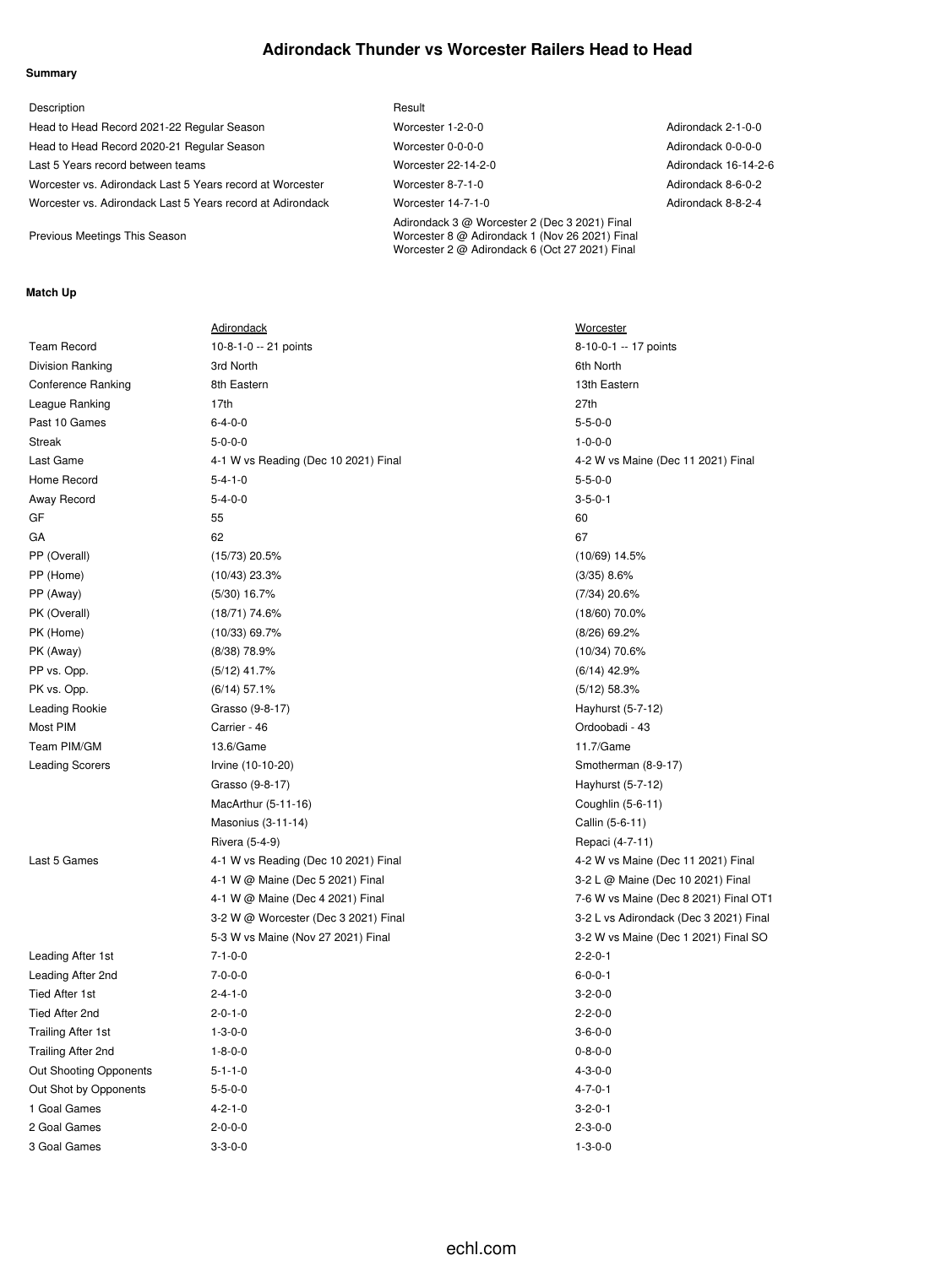## **Adirondack Thunder vs Worcester Railers Head to Head**

#### **Summary**

| Description                                                | Result                                                                                                                                            |                      |
|------------------------------------------------------------|---------------------------------------------------------------------------------------------------------------------------------------------------|----------------------|
| Head to Head Record 2021-22 Regular Season                 | Worcester 1-2-0-0                                                                                                                                 | Adirondack 2-1-0-0   |
| Head to Head Record 2020-21 Regular Season                 | Worcester 0-0-0-0                                                                                                                                 | Adirondack 0-0-0-0   |
| Last 5 Years record between teams                          | Worcester 22-14-2-0                                                                                                                               | Adirondack 16-14-2-6 |
| Worcester vs. Adirondack Last 5 Years record at Worcester  | Worcester 8-7-1-0                                                                                                                                 | Adirondack 8-6-0-2   |
| Worcester vs. Adirondack Last 5 Years record at Adirondack | Worcester 14-7-1-0                                                                                                                                | Adirondack 8-8-2-4   |
| Previous Meetings This Season                              | Adirondack 3 @ Worcester 2 (Dec 3 2021) Final<br>Worcester 8 @ Adirondack 1 (Nov 26 2021) Final<br>Worcester 2 @ Adirondack 6 (Oct 27 2021) Final |                      |

### **Match Up**

|                           | <b>Adirondack</b>                    | <b>Worcester</b>      |
|---------------------------|--------------------------------------|-----------------------|
| <b>Team Record</b>        | 10-8-1-0 -- 21 points                | $8 - 10 - 0 - 1 - 17$ |
| <b>Division Ranking</b>   | 3rd North                            | 6th North             |
| <b>Conference Ranking</b> | 8th Eastern                          | 13th Eastern          |
| League Ranking            | 17th                                 | 27th                  |
| Past 10 Games             | $6 - 4 - 0 - 0$                      | $5 - 5 - 0 - 0$       |
| <b>Streak</b>             | $5 - 0 - 0 - 0$                      | $1 - 0 - 0 - 0$       |
| Last Game                 | 4-1 W vs Reading (Dec 10 2021) Final | 4-2 W vs Maine        |
| Home Record               | $5 - 4 - 1 - 0$                      | $5 - 5 - 0 - 0$       |
| Away Record               | $5 - 4 - 0 - 0$                      | $3 - 5 - 0 - 1$       |
| GF                        | 55                                   | 60                    |
| GA                        | 62                                   | 67                    |
| PP (Overall)              | $(15/73)$ 20.5%                      | $(10/69)$ 14.5%       |
| PP (Home)                 | $(10/43)$ 23.3%                      | $(3/35)$ 8.6%         |
| PP (Away)                 | $(5/30)$ 16.7%                       | $(7/34)$ 20.6%        |
| PK (Overall)              | $(18/71)$ 74.6%                      | $(18/60)$ 70.0%       |
| PK (Home)                 | $(10/33)$ 69.7%                      | (8/26) 69.2%          |
| PK (Away)                 | $(8/38)$ 78.9%                       | (10/34) 70.6%         |
| PP vs. Opp.               | $(5/12)$ 41.7%                       | $(6/14)$ 42.9%        |
| PK vs. Opp.               | $(6/14)$ 57.1%                       | $(5/12)$ 58.3%        |
| Leading Rookie            | Grasso (9-8-17)                      | Hayhurst (5-7-        |
| Most PIM                  | Carrier - 46                         | Ordoobadi - 43        |
| Team PIM/GM               | 13.6/Game                            | 11.7/Game             |
| <b>Leading Scorers</b>    | Irvine (10-10-20)                    | Smotherman (8         |
|                           | Grasso (9-8-17)                      | Hayhurst (5-7-1       |
|                           | MacArthur (5-11-16)                  | Coughlin (5-6-1       |
|                           | Masonius (3-11-14)                   | Callin (5-6-11)       |
|                           | Rivera (5-4-9)                       | Repaci (4-7-11        |
| Last 5 Games              | 4-1 W vs Reading (Dec 10 2021) Final | 4-2 W vs Maine        |
|                           | 4-1 W @ Maine (Dec 5 2021) Final     | 3-2 L @ Maine         |
|                           | 4-1 W @ Maine (Dec 4 2021) Final     | 7-6 W vs Maine        |
|                           | 3-2 W @ Worcester (Dec 3 2021) Final | 3-2 L vs Adiron       |
|                           | 5-3 W vs Maine (Nov 27 2021) Final   | 3-2 W vs Maine        |
| Leading After 1st         | $7 - 1 - 0 - 0$                      | $2 - 2 - 0 - 1$       |
| Leading After 2nd         | $7 - 0 - 0 - 0$                      | $6 - 0 - 0 - 1$       |
| <b>Tied After 1st</b>     | $2 - 4 - 1 - 0$                      | $3 - 2 - 0 - 0$       |
| Tied After 2nd            | $2 - 0 - 1 - 0$                      | $2 - 2 - 0 - 0$       |
| <b>Trailing After 1st</b> | $1 - 3 - 0 - 0$                      | $3 - 6 - 0 - 0$       |
| Trailing After 2nd        | $1 - 8 - 0 - 0$                      | $0 - 8 - 0 - 0$       |
| Out Shooting Opponents    | $5 - 1 - 1 - 0$                      | $4 - 3 - 0 - 0$       |
| Out Shot by Opponents     | $5 - 5 - 0 - 0$                      | $4 - 7 - 0 - 1$       |
| 1 Goal Games              | $4 - 2 - 1 - 0$                      | $3 - 2 - 0 - 1$       |
| 2 Goal Games              | $2 - 0 - 0 - 0$                      | $2 - 3 - 0 - 0$       |
| 3 Goal Games              | $3 - 3 - 0 - 0$                      | $1 - 3 - 0 - 0$       |

10-0-1 -- 17 points 2 W vs Maine (Dec 11 2021) Final ayhurst (5-7-12) motherman (8-9-17) ayhurst (5-7-12)  $pughlin (5-6-11)$ allin (5-6-11) Paci (4-7-11) 2 W vs Maine (Dec 11 2021) Final 2 L @ Maine (Dec 10 2021) Final 6 W vs Maine (Dec 8 2021) Final OT1 2 L vs Adirondack (Dec 3 2021) Final 2 W vs Maine (Dec 1 2021) Final SO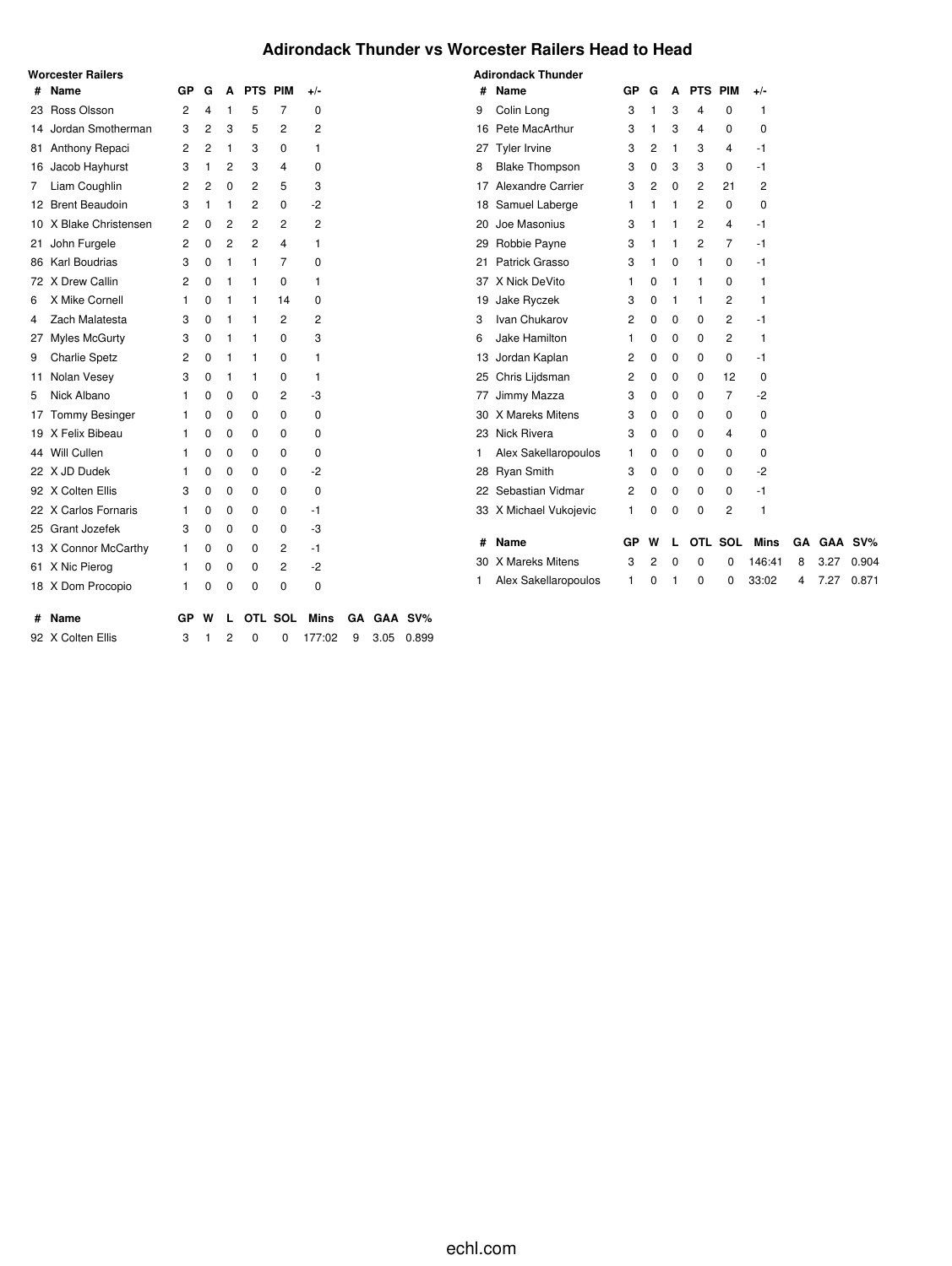# **Adirondack Thunder vs Worcester Railers Head to Head**

|    | <b>Worcester Railers</b> |                |                |   |                |             |                |    |      |         |
|----|--------------------------|----------------|----------------|---|----------------|-------------|----------------|----|------|---------|
| #  | Name                     | GP             | G              | A | PTS PIM        |             | $+/-$          |    |      |         |
| 23 | Ross Olsson              | $\overline{2}$ | 4              | 1 | 5              | 7           | 0              |    |      |         |
| 14 | Jordan Smotherman        | 3              | $\overline{2}$ | 3 | 5              | 2           | $\overline{2}$ |    |      |         |
| 81 | Anthony Repaci           | 2              | $\overline{2}$ | 1 | 3              | 0           | 1              |    |      |         |
|    | 16 Jacob Hayhurst        | 3              | 1              | 2 | 3              | 4           | 0              |    |      |         |
| 7  | Liam Coughlin            | 2              | $\overline{2}$ | 0 | $\overline{c}$ | 5           | 3              |    |      |         |
| 12 | <b>Brent Beaudoin</b>    | 3              | 1              | 1 | 2              | 0           | -2             |    |      |         |
| 10 | X Blake Christensen      | 2              | 0              | 2 | 2              | 2           | 2              |    |      |         |
| 21 | John Furgele             | 2              | 0              | 2 | 2              | 4           | 1              |    |      |         |
| 86 | Karl Boudrias            | 3              | 0              | 1 | 1              | 7           | 0              |    |      |         |
| 72 | X Drew Callin            | 2              | $\Omega$       | 1 | 1              | 0           | 1              |    |      |         |
| 6  | X Mike Cornell           | 1              | 0              | 1 | 1              | 14          | $\Omega$       |    |      |         |
| 4  | Zach Malatesta           | 3              | 0              | 1 | 1              | 2           | 2              |    |      |         |
| 27 | <b>Myles McGurty</b>     | 3              | 0              | 1 | 1              | 0           | 3              |    |      |         |
| 9  | <b>Charlie Spetz</b>     | 2              | $\Omega$       | 1 | 1              | 0           | 1              |    |      |         |
| 11 | Nolan Vesey              | 3              | 0              | 1 | 1              | 0           | 1              |    |      |         |
| 5  | Nick Albano              | 1              | 0              | 0 | 0              | 2           | -3             |    |      |         |
| 17 | <b>Tommy Besinger</b>    | 1              | 0              | 0 | 0              | 0           | 0              |    |      |         |
| 19 | X Felix Bibeau           | 1              | 0              | 0 | 0              | 0           | 0              |    |      |         |
| 44 | Will Cullen              | 1              | 0              | 0 | 0              | 0           | 0              |    |      |         |
| 22 | X JD Dudek               | 1              | 0              | 0 | 0              | 0           | $-2$           |    |      |         |
|    | 92 X Colten Ellis        | 3              | 0              | 0 | 0              | 0           | $\mathbf 0$    |    |      |         |
| 22 | X Carlos Fornaris        | 1              | 0              | 0 | 0              | 0           | $-1$           |    |      |         |
| 25 | Grant Jozefek            | 3              | 0              | 0 | 0              | 0           | -3             |    |      |         |
| 13 | X Connor McCarthy        | 1              | 0              | 0 | 0              | 2           | $-1$           |    |      |         |
| 61 | X Nic Pierog             | 1              | 0              | 0 | 0              | 2           | $-2$           |    |      |         |
| 18 | X Dom Procopio           | 1              | 0              | 0 | 0              | 0           | 0              |    |      |         |
| #  | Name                     | GР             | W              | L |                | OTL SOL     | Mins           | GΑ |      | GAA SV% |
| 92 | X Colten Ellis           | 3              | 1              | 2 | 0              | $\mathbf 0$ | 177:02         | 9  | 3.05 | 0.899   |

|    | <b>Adirondack Thunder</b> |                |          |   |                |                |             |    |      |         |
|----|---------------------------|----------------|----------|---|----------------|----------------|-------------|----|------|---------|
| #  | Name                      | GP             | G        | A | PTS PIM        |                | +/-         |    |      |         |
| 9  | Colin Long                | 3              | 1        | 3 | 4              | 0              | 1           |    |      |         |
| 16 | Pete MacArthur            | 3              | 1        | 3 | 4              | 0              | 0           |    |      |         |
| 27 | Tyler Irvine              | 3              | 2        | 1 | 3              | 4              | $-1$        |    |      |         |
| 8  | <b>Blake Thompson</b>     | 3              | $\Omega$ | 3 | 3              | $\Omega$       | $-1$        |    |      |         |
| 17 | <b>Alexandre Carrier</b>  | 3              | 2        | 0 | 2              | 21             | 2           |    |      |         |
| 18 | Samuel Laberge            | 1              | 1        | 1 | 2              | 0              | 0           |    |      |         |
| 20 | Joe Masonius              | 3              | 1        | 1 | $\overline{2}$ | 4              | -1          |    |      |         |
| 29 | Robbie Payne              | 3              | 1        | 1 | 2              | 7              | -1          |    |      |         |
| 21 | Patrick Grasso            | 3              | 1        | 0 | 1              | 0              | $-1$        |    |      |         |
| 37 | X Nick DeVito             | 1              | 0        | 1 | 1              | 0              | 1           |    |      |         |
| 19 | Jake Ryczek               | 3              | 0        | 1 | 1              | 2              | 1           |    |      |         |
| 3  | Ivan Chukarov             | $\overline{2}$ | $\Omega$ | 0 | 0              | $\overline{2}$ | -1          |    |      |         |
| 6  | Jake Hamilton             | 1              | 0        | 0 | 0              | 2              | 1           |    |      |         |
|    | 13 Jordan Kaplan          | 2              | 0        | 0 | 0              | 0              | -1          |    |      |         |
|    | 25 Chris Lijdsman         | 2              | 0        | 0 | 0              | 12             | 0           |    |      |         |
| 77 | Jimmy Mazza               | 3              | 0        | 0 | 0              | 7              | $-2$        |    |      |         |
| 30 | X Mareks Mitens           | 3              | 0        | 0 | 0              | 0              | 0           |    |      |         |
| 23 | Nick Rivera               | 3              | 0        | 0 | 0              | 4              | 0           |    |      |         |
| 1  | Alex Sakellaropoulos      | 1              | 0        | 0 | 0              | 0              | 0           |    |      |         |
|    | 28 Ryan Smith             | 3              | 0        | 0 | 0              | $\Omega$       | $-2$        |    |      |         |
| 22 | Sebastian Vidmar          | $\overline{2}$ | 0        | 0 | 0              | 0              | $-1$        |    |      |         |
|    | 33 X Michael Vukojevic    | 1              | 0        | 0 | 0              | 2              | 1           |    |      |         |
|    |                           |                |          |   |                |                |             |    |      |         |
| #  | <b>Name</b>               | GP             | W        | L |                | OTL SOL        | <b>Mins</b> | GA |      | GAA SV% |
| 30 | X Mareks Mitens           | 3              | 2        | 0 | 0              | 0              | 146:41      | 8  | 3.27 | 0.904   |
| 1  | Alex Sakellaropoulos      | 1              | 0        | 1 | 0              | 0              | 33:02       | 4  | 7.27 | 0.871   |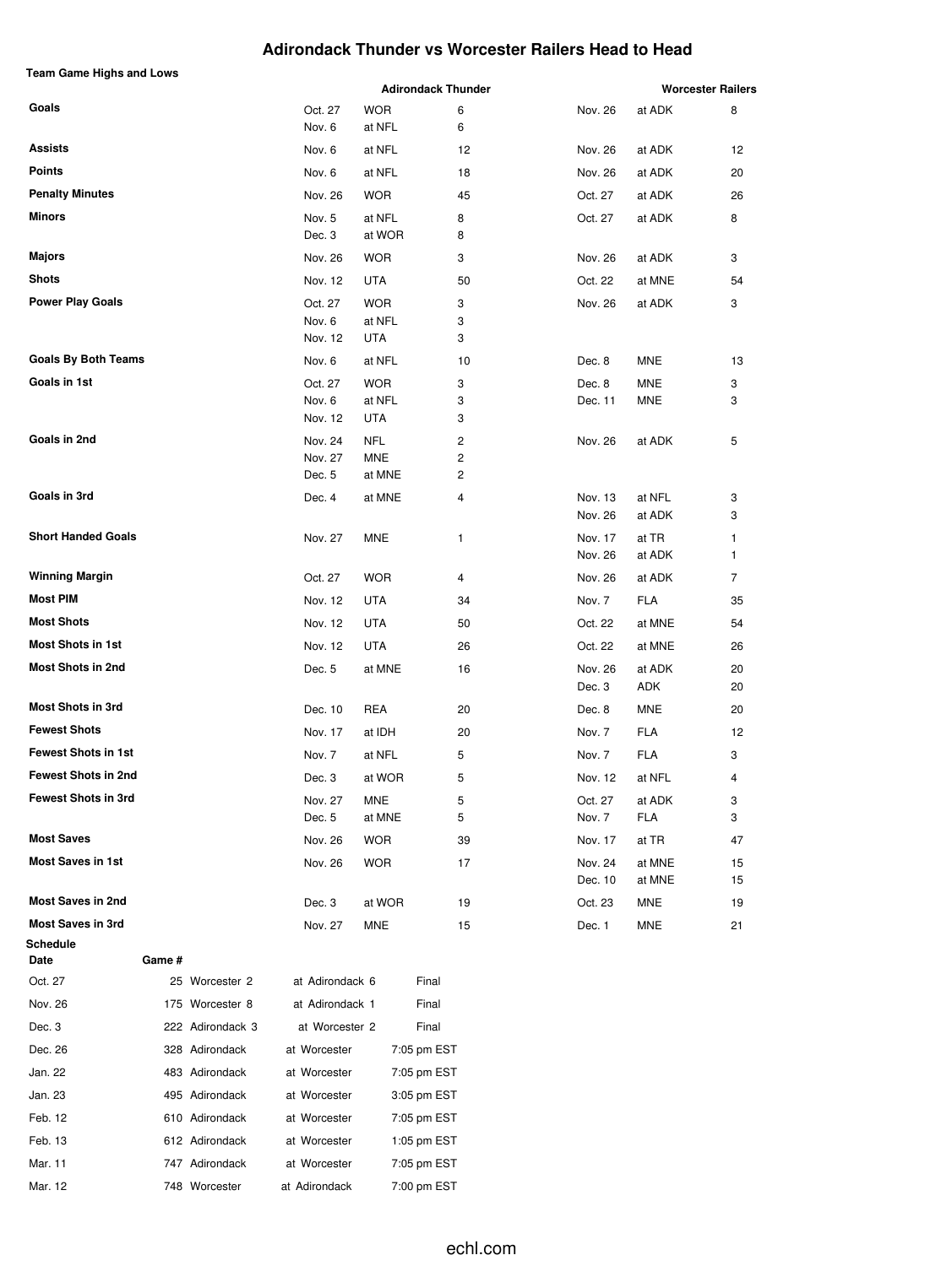## **Adirondack Thunder vs Worcester Railers Head to Head**

| <b>Team Game Highs and Lows</b> |        |                  |                 |            | <b>Adirondack Thunder</b> |                    |                  | <b>Worcester Railers</b> |
|---------------------------------|--------|------------------|-----------------|------------|---------------------------|--------------------|------------------|--------------------------|
| Goals                           |        |                  | Oct. 27         | <b>WOR</b> | 6                         | Nov. 26            | at ADK           | 8                        |
|                                 |        |                  | Nov. 6          | at NFL     | 6                         |                    |                  |                          |
| Assists                         |        |                  | Nov. 6          | at NFL     | 12                        | Nov. 26            | at ADK           | 12                       |
| <b>Points</b>                   |        |                  | Nov. 6          | at NFL     | 18                        | Nov. 26            | at ADK           | 20                       |
| <b>Penalty Minutes</b>          |        |                  | Nov. 26         | <b>WOR</b> | 45                        | Oct. 27            | at ADK           | 26                       |
| Minors                          |        |                  | Nov. 5          | at NFL     | 8                         | Oct. 27            | at ADK           | 8                        |
|                                 |        |                  | Dec. 3          | at WOR     | 8                         |                    |                  |                          |
| Majors                          |        |                  | Nov. 26         | <b>WOR</b> | 3                         | Nov. 26            | at ADK           | 3                        |
| <b>Shots</b>                    |        |                  | Nov. 12         | <b>UTA</b> | 50                        | Oct. 22            | at MNE           | 54                       |
| <b>Power Play Goals</b>         |        |                  | Oct. 27         | <b>WOR</b> | 3                         | Nov. 26            | at ADK           | 3                        |
|                                 |        |                  | Nov. 6          | at NFL     | 3                         |                    |                  |                          |
|                                 |        |                  | Nov. 12         | UTA        | 3                         |                    |                  |                          |
| <b>Goals By Both Teams</b>      |        |                  | Nov. 6          | at NFL     | 10                        | Dec. 8             | <b>MNE</b>       | 13                       |
| Goals in 1st                    |        |                  | Oct. 27         | <b>WOR</b> | 3                         | Dec. 8             | MNE              | 3                        |
|                                 |        |                  | Nov. 6          | at NFL     | 3                         | Dec. 11            | MNE              | 3                        |
|                                 |        |                  | Nov. 12         | UTA        | 3                         |                    |                  |                          |
| Goals in 2nd                    |        |                  | Nov. 24         | <b>NFL</b> | 2                         | Nov. 26            | at ADK           | 5                        |
|                                 |        |                  | Nov. 27         | MNE        | 2<br>2                    |                    |                  |                          |
|                                 |        |                  | Dec. 5          | at MNE     |                           |                    |                  |                          |
| Goals in 3rd                    |        |                  | Dec. 4          | at MNE     | 4                         | Nov. 13<br>Nov. 26 | at NFL<br>at ADK | 3<br>3                   |
| <b>Short Handed Goals</b>       |        |                  | Nov. 27         | MNE        | 1                         | Nov. 17            | at TR            | 1                        |
|                                 |        |                  |                 |            |                           | Nov. 26            | at ADK           | 1                        |
| <b>Winning Margin</b>           |        |                  | Oct. 27         | <b>WOR</b> | 4                         | Nov. 26            | at ADK           | 7                        |
| <b>Most PIM</b>                 |        |                  | Nov. 12         | UTA        | 34                        | Nov. 7             | <b>FLA</b>       | 35                       |
| <b>Most Shots</b>               |        |                  | Nov. 12         | UTA        | 50                        | Oct. 22            | at MNE           | 54                       |
| <b>Most Shots in 1st</b>        |        |                  | Nov. 12         | UTA        | 26                        | Oct. 22            | at MNE           | 26                       |
| <b>Most Shots in 2nd</b>        |        |                  | Dec. 5          | at MNE     | 16                        | Nov. 26            | at ADK           | 20                       |
|                                 |        |                  |                 |            |                           | Dec. 3             | ADK              | 20                       |
| <b>Most Shots in 3rd</b>        |        |                  | Dec. 10         | REA        | 20                        | Dec. 8             | MNE              | 20                       |
| <b>Fewest Shots</b>             |        |                  | Nov. 17         | at IDH     | 20                        | Nov. 7             | FLA              | 12                       |
| <b>Fewest Shots in 1st</b>      |        |                  | Nov. 7          | at NFL     | 5                         | Nov. 7             | FLA              | 3                        |
| <b>Fewest Shots in 2nd</b>      |        |                  | Dec. 3          | at WOR     | 5                         | Nov. 12            | at NFL           | 4                        |
| <b>Fewest Shots in 3rd</b>      |        |                  | Nov. 27         | MNE        | 5                         | Oct. 27            | at ADK           | 3                        |
|                                 |        |                  | Dec. 5          | at MNE     | 5                         | Nov. 7             | FLA              | 3                        |
| <b>Most Saves</b>               |        |                  | Nov. 26         | <b>WOR</b> | 39                        | Nov. 17            | at TR            | 47                       |
| <b>Most Saves in 1st</b>        |        |                  | Nov. 26         | <b>WOR</b> | 17                        | Nov. 24<br>Dec. 10 | at MNE<br>at MNE | 15<br>15                 |
| <b>Most Saves in 2nd</b>        |        |                  | Dec. 3          | at WOR     | 19                        | Oct. 23            | MNE              | 19                       |
| <b>Most Saves in 3rd</b>        |        |                  | Nov. 27         | MNE        | 15                        | Dec. 1             | MNE              | 21                       |
| Schedule                        |        |                  |                 |            |                           |                    |                  |                          |
| Date                            | Game # |                  |                 |            |                           |                    |                  |                          |
| Oct. 27                         |        | 25 Worcester 2   | at Adirondack 6 |            | Final                     |                    |                  |                          |
| Nov. 26                         |        | 175 Worcester 8  | at Adirondack 1 |            | Final                     |                    |                  |                          |
| Dec. 3                          |        | 222 Adirondack 3 | at Worcester 2  |            | Final                     |                    |                  |                          |
| Dec. 26                         |        | 328 Adirondack   | at Worcester    |            | 7:05 pm EST               |                    |                  |                          |
| Jan. 22                         |        | 483 Adirondack   | at Worcester    |            | 7:05 pm EST               |                    |                  |                          |
| Jan. 23                         |        | 495 Adirondack   | at Worcester    |            | 3:05 pm EST               |                    |                  |                          |
| Feb. 12                         |        | 610 Adirondack   | at Worcester    |            | 7:05 pm EST               |                    |                  |                          |
| Feb. 13                         |        | 612 Adirondack   | at Worcester    |            | 1:05 pm EST               |                    |                  |                          |

Mar. 11 747 Adirondack at Worcester 7:05 pm EST Mar. 12 748 Worcester at Adirondack 7:00 pm EST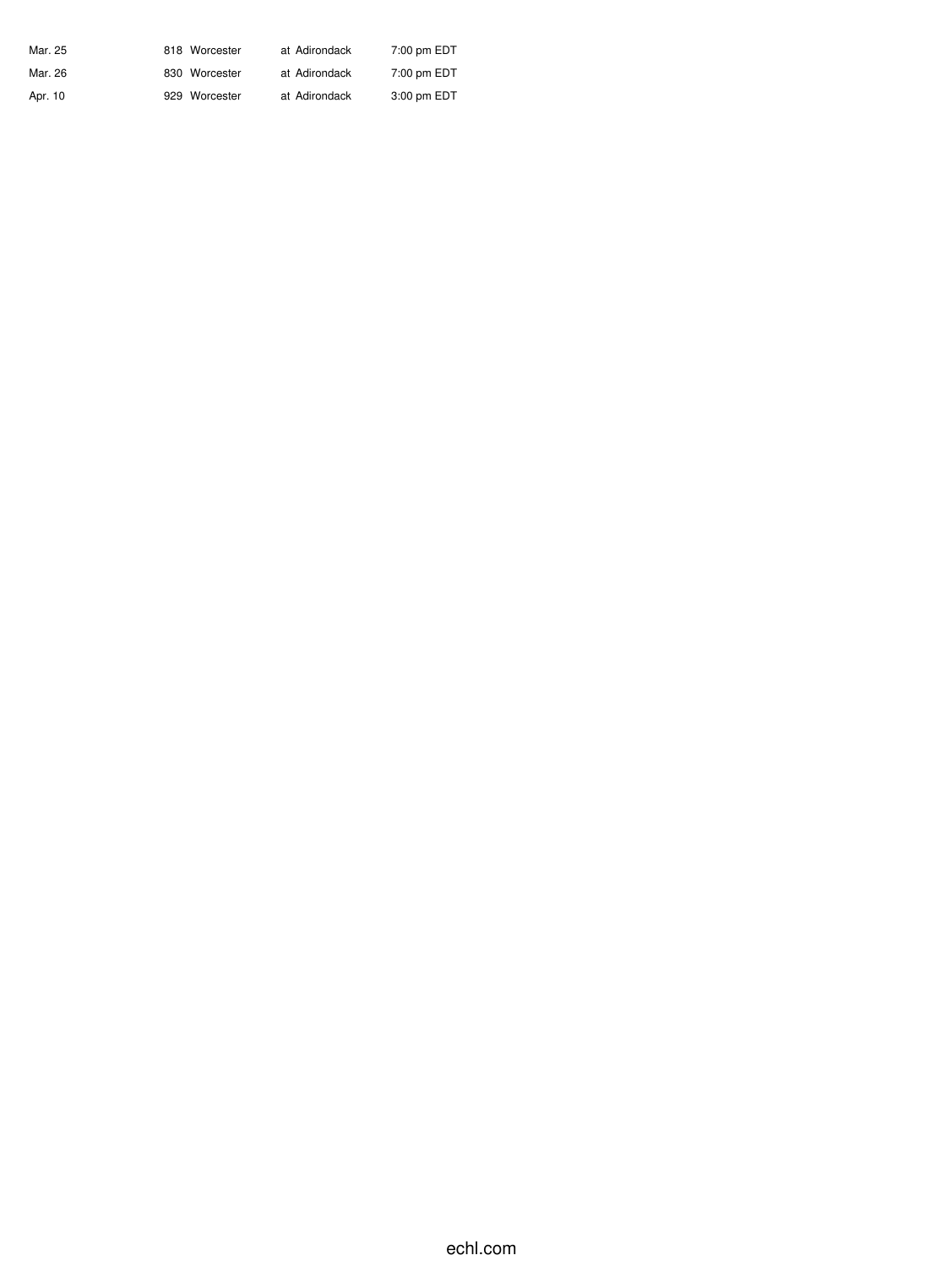| Mar. 25 | 818 Worcester | at Adirondack | 7:00 pm EDT |
|---------|---------------|---------------|-------------|
| Mar. 26 | 830 Worcester | at Adirondack | 7:00 pm EDT |
| Apr. 10 | 929 Worcester | at Adirondack | 3:00 pm EDT |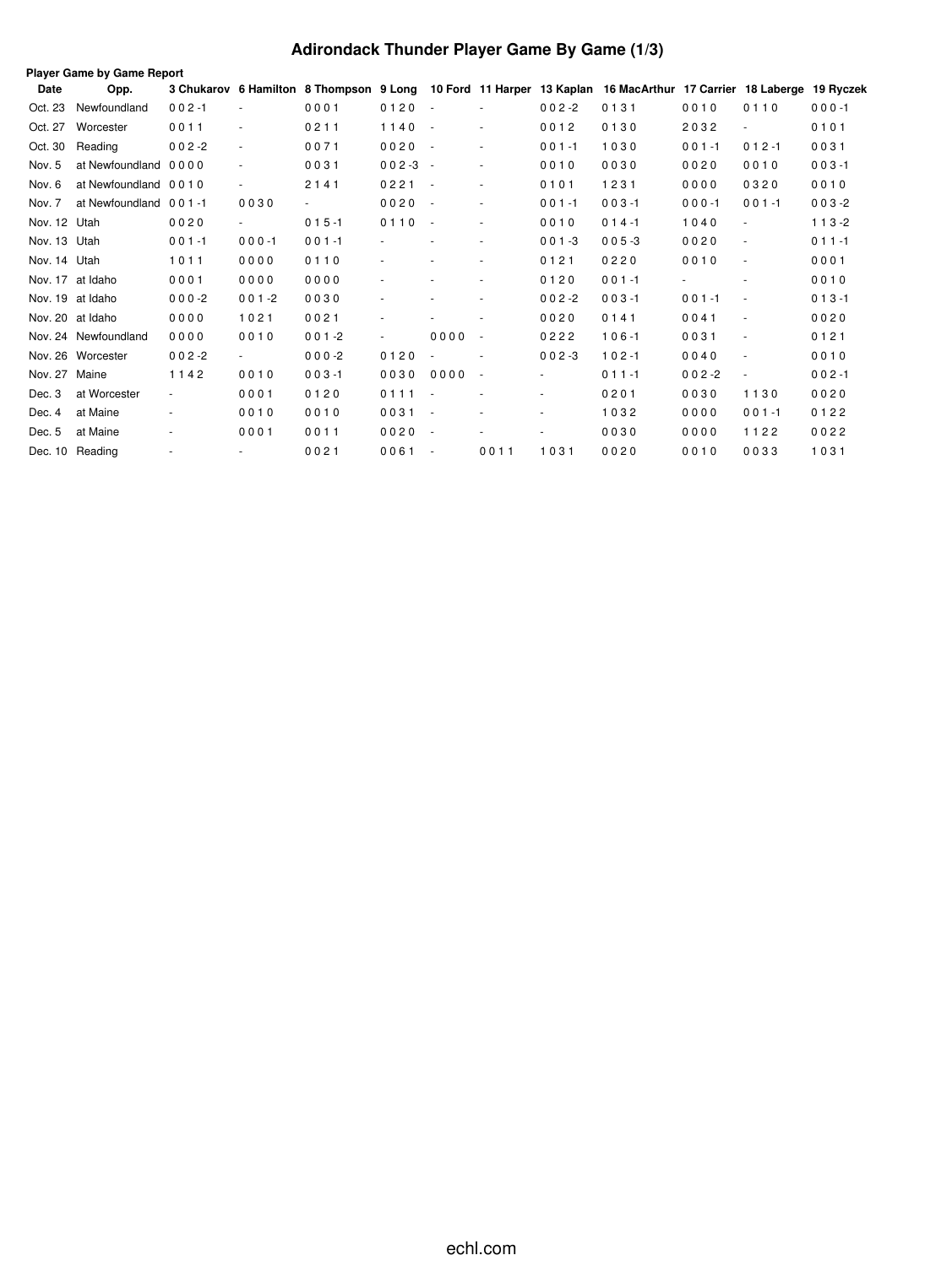# **Adirondack Thunder Player Game By Game (1/3)**

|              | Player Game by Game Report |                          |                          |           |                          |                 |                          |           |                                                                                                                  |                          |                          |           |
|--------------|----------------------------|--------------------------|--------------------------|-----------|--------------------------|-----------------|--------------------------|-----------|------------------------------------------------------------------------------------------------------------------|--------------------------|--------------------------|-----------|
| Date         | Opp.                       |                          |                          |           |                          |                 |                          |           | 3 Chukarov 6 Hamilton 8 Thompson 9 Long 10 Ford 11 Harper 13 Kaplan 16 MacArthur 17 Carrier 18 Laberge 19 Ryczek |                          |                          |           |
| Oct. 23      | Newfoundland               | $002 - 1$                | $\sim$                   | 0001      | 0120                     | $\sim$ $-$      | $\sim$                   | $002 - 2$ | 0131                                                                                                             | 0010                     | 0110                     | $000 - 1$ |
| Oct. 27      | Worcester                  | 0011                     | $\blacksquare$           | 0211      | 1140                     | $\sim$ 10 $\pm$ | $\sim$                   | 0012      | 0130                                                                                                             | 2032                     | $\overline{\phantom{a}}$ | 0101      |
| Oct. 30      | Reading                    | $002 - 2$                | $\overline{\phantom{a}}$ | 0071      | 0020                     | $\sim$ $-$      | $\sim$                   | $001 - 1$ | 1030                                                                                                             | $001 - 1$                | $012 - 1$                | 0031      |
| Nov. 5       | at Newfoundland 0000       |                          | $\overline{\phantom{a}}$ | 0031      | $002 - 3 -$              |                 | $\sim$                   | 0010      | 0030                                                                                                             | 0020                     | 0010                     | $003 - 1$ |
| Nov. 6       | at Newfoundland 0010       |                          | $\overline{\phantom{0}}$ | 2141      | 0221                     | $\sim$ $-$      | $\blacksquare$           | 0101      | 1231                                                                                                             | 0000                     | 0320                     | 0010      |
| Nov. 7       | at Newfoundland 001-1      |                          | 0030                     |           | 0020                     | $\sim$ $-$      | $\sim$                   | $001 - 1$ | $003 - 1$                                                                                                        | $000 - 1$                | $001 - 1$                | $003 - 2$ |
| Nov. 12 Utah |                            | 0020                     | $\sim 100$               | $015 - 1$ | 0110                     | $\sim$ $-$      | $\sim$                   | 0010      | $014 - 1$                                                                                                        | 1040                     | $\sim$                   | $113 - 2$ |
| Nov. 13 Utah |                            | $001 - 1$                | $000 - 1$                | $001 - 1$ | ٠                        |                 | $\overline{\phantom{a}}$ | $001 - 3$ | $005 - 3$                                                                                                        | 0020                     | $\sim$                   | $011 - 1$ |
| Nov. 14 Utah |                            | 1011                     | 0000                     | 0110      |                          |                 | $\sim$                   | 0121      | 0220                                                                                                             | 0010                     | $\sim$                   | 0001      |
|              | Nov. 17 at Idaho           | 0001                     | 0000                     | 0000      | $\overline{\phantom{a}}$ |                 | $\sim$                   | 0120      | $001 - 1$                                                                                                        | $\overline{\phantom{a}}$ | ٠                        | 0010      |
|              | Nov. 19 at Idaho           | $000 - 2$                | $001 - 2$                | 0030      |                          |                 | $\sim$                   | $002 - 2$ | $003 - 1$                                                                                                        | $001 - 1$                | $\sim$                   | $013 - 1$ |
|              | Nov. 20 at Idaho           | 0000                     | 1021                     | 0021      |                          |                 | $\blacksquare$           | 0020      | 0141                                                                                                             | 0041                     | $\overline{\phantom{a}}$ | 0020      |
|              | Nov. 24 Newfoundland       | 0000                     | 0010                     | $001 - 2$ | $\overline{\phantom{a}}$ | 0000            | $\overline{\phantom{a}}$ | 0222      | $106 - 1$                                                                                                        | 0031                     | $\sim$                   | 0121      |
|              | Nov. 26 Worcester          | $002 - 2$                | $\sim 100$               | $000-2$   | 0120                     |                 |                          | $002 - 3$ | $102 - 1$                                                                                                        | 0040                     | $\sim$                   | 0010      |
| Nov. 27      | Maine                      | 1142                     | 0010                     | $003 - 1$ | 0030                     | 0000            | $\overline{\phantom{a}}$ |           | $011 - 1$                                                                                                        | $002 - 2$                | $\overline{\phantom{a}}$ | $002 - 1$ |
| Dec. 3       | at Worcester               | $\overline{\phantom{a}}$ | 0001                     | 0120      | 0111                     | $\sim$ $-$      | $\sim$                   | ٠         | 0201                                                                                                             | 0030                     | 1130                     | 0020      |
| Dec. 4       | at Maine                   |                          | 0010                     | 0010      | 0031                     | $\sim$ $-$      | $\sim$                   |           | 1032                                                                                                             | 0000                     | $001 - 1$                | 0122      |
| Dec. 5       | at Maine                   | $\blacksquare$           | 0001                     | 0011      | 0020                     | $\sim$          | $\sim$                   |           | 0030                                                                                                             | 0000                     | 1122                     | 0022      |
|              | Dec. 10 Reading            | $\overline{\phantom{a}}$ | $\sim$                   | 0021      | 0061                     | $\sim$ $-$      | 0011                     | 1031      | 0020                                                                                                             | 0010                     | 0033                     | 1031      |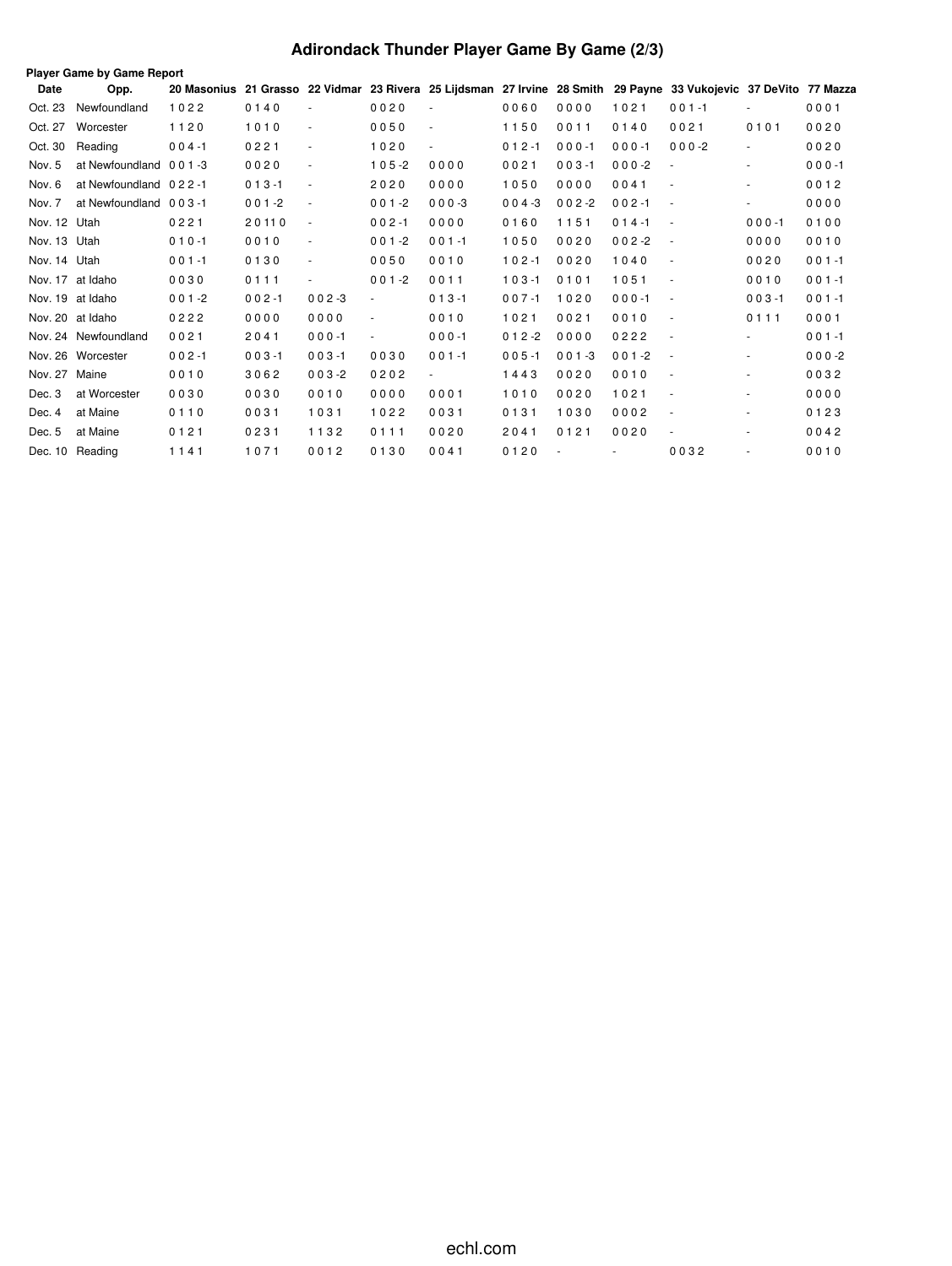# **Adirondack Thunder Player Game By Game (2/3)**

|              | Player Game by Game Report |           |           |                          |                |                          |           |           |                          |                                                                                                                   |                          |           |
|--------------|----------------------------|-----------|-----------|--------------------------|----------------|--------------------------|-----------|-----------|--------------------------|-------------------------------------------------------------------------------------------------------------------|--------------------------|-----------|
| Date         | Opp.                       |           |           |                          |                |                          |           |           |                          | 20 Masonius 21 Grasso 22 Vidmar 23 Rivera 25 Lijdsman 27 Irvine 28 Smith 29 Payne 33 Vukojevic 37 DeVito 77 Mazza |                          |           |
| Oct. 23      | Newfoundland               | 1022      | 0140      |                          | 0020           |                          | 0060      | 0000      | 1021                     | $001 - 1$                                                                                                         |                          | 0001      |
| Oct. 27      | Worcester                  | 1120      | 1010      | $\blacksquare$           | 0050           | $\overline{\phantom{a}}$ | 1150      | 0011      | 0140                     | 0021                                                                                                              | 0101                     | 0020      |
| Oct. 30      | Reading                    | $004 - 1$ | 0221      | $\overline{\phantom{a}}$ | 1020           | $\overline{\phantom{a}}$ | $012 - 1$ | $000 - 1$ | $000 - 1$                | $000 - 2$                                                                                                         | $\sim$                   | 0020      |
| Nov. 5       | at Newfoundland 001-3      |           | 0020      | ÷,                       | $105 - 2$      | 0000                     | 0021      | $003 - 1$ | $000 - 2$                | ÷,                                                                                                                | $\sim$                   | $000 - 1$ |
| Nov. 6       | at Newfoundland 022-1      |           | $013 - 1$ | $\overline{\phantom{a}}$ | 2020           | 0000                     | 1050      | 0000      | 0041                     | $\overline{\phantom{a}}$                                                                                          | ٠                        | 0012      |
| Nov. 7       | at Newfoundland 003-1      |           | $001 - 2$ | $\overline{\phantom{a}}$ | $001 - 2$      | $000 - 3$                | $004 - 3$ | $002 - 2$ | $002 - 1$                | $\overline{\phantom{a}}$                                                                                          |                          | 0000      |
| Nov. 12 Utah |                            | 0221      | 20110     | $\overline{\phantom{a}}$ | $002 - 1$      | 0000                     | 0160      | 1151      | $014 - 1$                | $\sim$                                                                                                            | $000 - 1$                | 0100      |
| Nov. 13 Utah |                            | $010 - 1$ | 0010      | $\sim$                   | $001 - 2$      | $001 - 1$                | 1050      | 0020      | $002 - 2$                | $\overline{\phantom{a}}$                                                                                          | 0000                     | 0010      |
| Nov. 14 Utah |                            | $001 - 1$ | 0130      | $\overline{\phantom{a}}$ | 0050           | 0010                     | $102 - 1$ | 0020      | 1040                     | $\overline{\phantom{a}}$                                                                                          | 0020                     | $001 - 1$ |
| Nov. 17      | at Idaho                   | 0030      | 0111      | ٠                        | $001 - 2$      | 0011                     | $103 - 1$ | 0101      | 1051                     | $\overline{\phantom{a}}$                                                                                          | 0010                     | $001 - 1$ |
|              | Nov. 19 at Idaho           | $001 - 2$ | $002 - 1$ | $002 - 3$                | $\sim$         | $013 - 1$                | $007 - 1$ | 1020      | $000 - 1$                | $\overline{\phantom{a}}$                                                                                          | $003 - 1$                | $001 - 1$ |
|              | Nov. 20 at Idaho           | 0222      | 0000      | 0000                     | $\blacksquare$ | 0010                     | 1021      | 0021      | 0010                     | $\overline{\phantom{a}}$                                                                                          | 0111                     | 0001      |
|              | Nov. 24 Newfoundland       | 0021      | 2041      | $000 - 1$                | $\blacksquare$ | $000 - 1$                | $012 - 2$ | 0000      | 0222                     | $\sim$                                                                                                            | $\sim$                   | $001 - 1$ |
|              | Nov. 26 Worcester          | $002 - 1$ | $003 - 1$ | $003 - 1$                | 0030           | $001 - 1$                | $005 - 1$ | $001 - 3$ | $001 - 2$                | $\overline{\phantom{a}}$                                                                                          | $\overline{\phantom{a}}$ | $000 - 2$ |
| Nov. 27      | Maine                      | 0010      | 3062      | $003 - 2$                | 0202           | $\overline{\phantom{a}}$ | 1443      | 0020      | 0010                     | $\overline{\phantom{a}}$                                                                                          |                          | 0032      |
| Dec. 3       | at Worcester               | 0030      | 0030      | 0010                     | 0000           | 0001                     | 1010      | 0020      | 1021                     | $\overline{\phantom{a}}$                                                                                          |                          | 0000      |
| Dec. 4       | at Maine                   | 0110      | 0031      | 1031                     | 1022           | 0031                     | 0131      | 1030      | 0002                     | $\overline{\phantom{a}}$                                                                                          | ٠                        | 0123      |
| Dec. 5       | at Maine                   | 0121      | 0231      | 1132                     | 0111           | 0020                     | 2041      | 0121      | 0020                     | $\blacksquare$                                                                                                    |                          | 0042      |
|              | Dec. 10 Reading            | 1141      | 1071      | 0012                     | 0130           | 0041                     | 0120      |           | $\overline{\phantom{a}}$ | 0032                                                                                                              |                          | 0010      |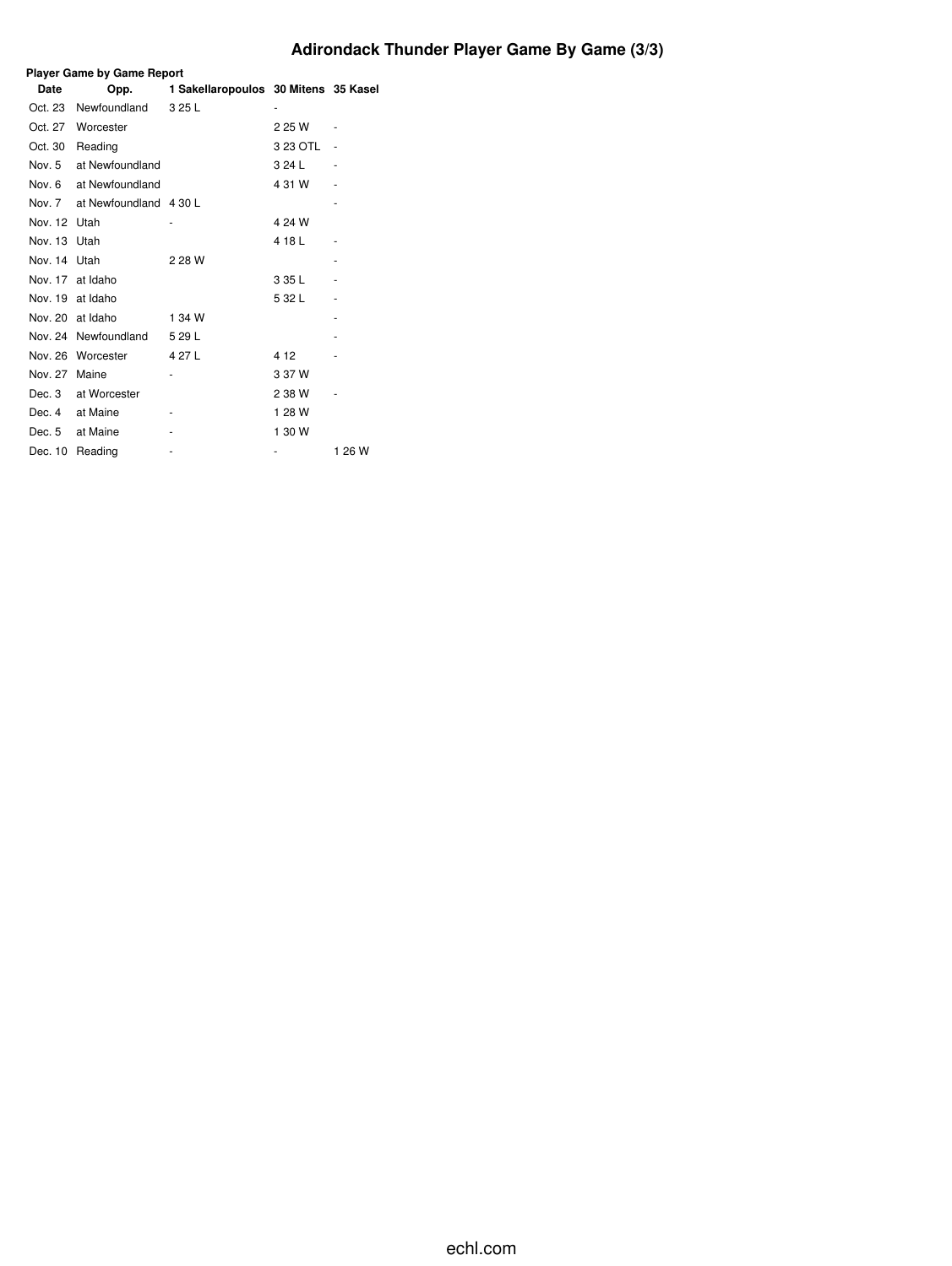# **Adirondack Thunder Player Game By Game (3/3)**

|              | <b>Player Game by Game Report</b> |                                      |          |        |  |  |  |  |  |  |  |  |  |
|--------------|-----------------------------------|--------------------------------------|----------|--------|--|--|--|--|--|--|--|--|--|
| Date         | Opp.                              | 1 Sakellaropoulos 30 Mitens 35 Kasel |          |        |  |  |  |  |  |  |  |  |  |
| Oct. 23      | Newfoundland                      | 3 25 L                               |          |        |  |  |  |  |  |  |  |  |  |
| Oct. 27      | Worcester                         |                                      | 2 25 W   |        |  |  |  |  |  |  |  |  |  |
| Oct. 30      | Reading                           |                                      | 3 23 OTL |        |  |  |  |  |  |  |  |  |  |
| Nov. 5       | at Newfoundland                   |                                      | 3 24 L   |        |  |  |  |  |  |  |  |  |  |
|              | Nov. 6 at Newfoundland            |                                      | 4 31 W   |        |  |  |  |  |  |  |  |  |  |
|              | Nov. 7 at Newfoundland 4 30 L     |                                      |          |        |  |  |  |  |  |  |  |  |  |
| Nov. 12 Utah |                                   |                                      | 4 24 W   |        |  |  |  |  |  |  |  |  |  |
| Nov. 13 Utah |                                   |                                      | 4 18 L   |        |  |  |  |  |  |  |  |  |  |
| Nov. 14 Utah |                                   | 2 28 W                               |          |        |  |  |  |  |  |  |  |  |  |
|              | Nov. 17 at Idaho                  |                                      | 3 35 L   |        |  |  |  |  |  |  |  |  |  |
|              | Nov. 19 at Idaho                  |                                      | 5 32 L   |        |  |  |  |  |  |  |  |  |  |
|              | Nov. 20 at Idaho                  | 1 34 W                               |          |        |  |  |  |  |  |  |  |  |  |
|              | Nov. 24 Newfoundland              | 5 29 L                               |          |        |  |  |  |  |  |  |  |  |  |
|              | Nov. 26 Worcester                 | 4 27 L                               | 4 1 2    |        |  |  |  |  |  |  |  |  |  |
| Nov. 27      | Maine                             |                                      | 3 37 W   |        |  |  |  |  |  |  |  |  |  |
| Dec. 3       | at Worcester                      |                                      | 2 38 W   |        |  |  |  |  |  |  |  |  |  |
|              | Dec. 4 at Maine                   |                                      | 1 28 W   |        |  |  |  |  |  |  |  |  |  |
| Dec. 5       | at Maine                          |                                      | 1 30 W   |        |  |  |  |  |  |  |  |  |  |
| Dec. 10      | Reading                           |                                      |          | 1 26 W |  |  |  |  |  |  |  |  |  |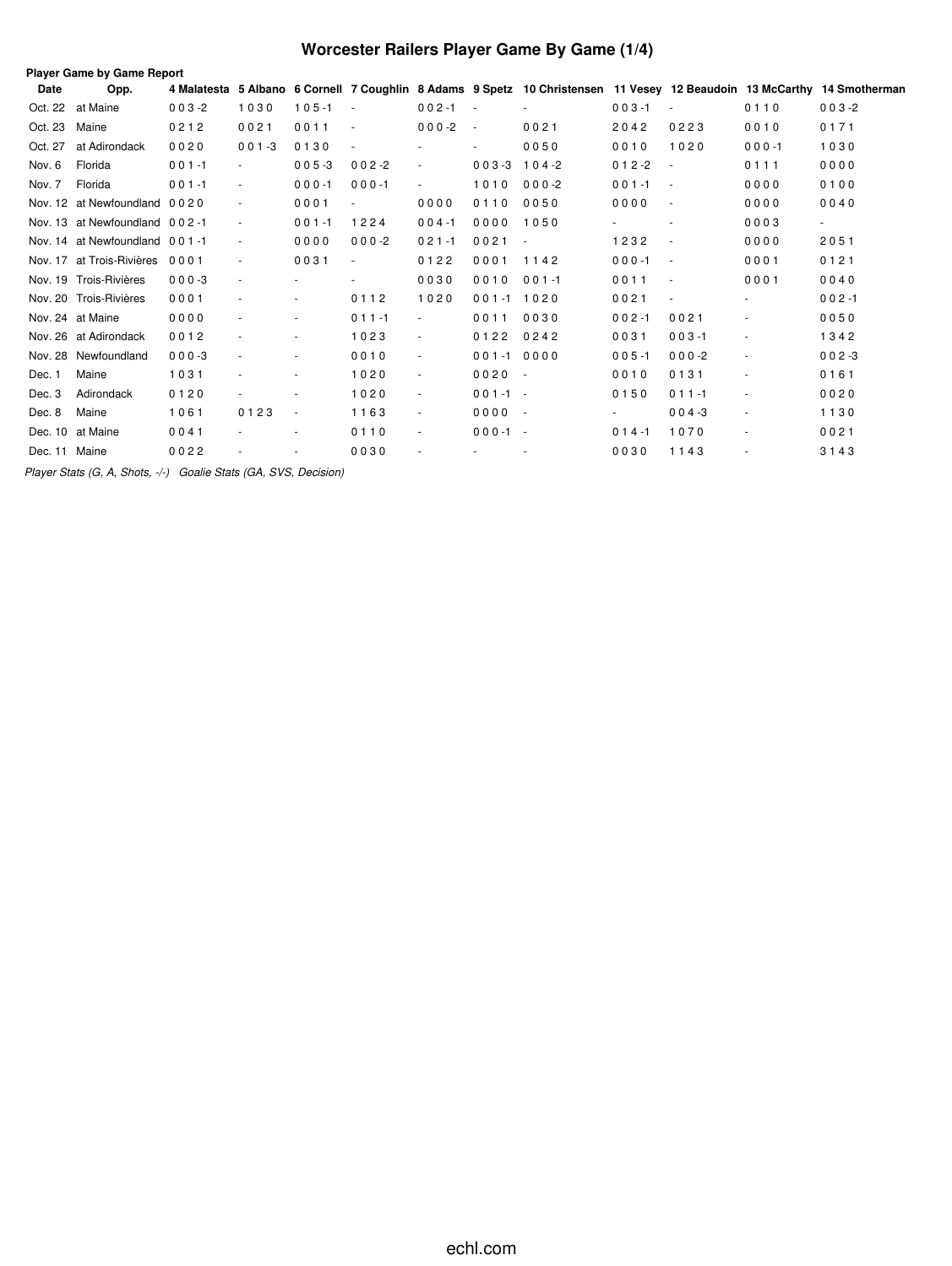# **Worcester Railers Player Game By Game (1/4)**

| Date          | <b>Player Game by Game Report</b><br>Opp. | 4 Malatesta |                          |           |                          |                          |               | 5 Albano 6 Cornell 7 Coughlin 8 Adams 9 Spetz 10 Christensen 11 Vesey 12 Beaudoin 13 McCarthy 14 Smotherman |           |                          |           |           |
|---------------|-------------------------------------------|-------------|--------------------------|-----------|--------------------------|--------------------------|---------------|-------------------------------------------------------------------------------------------------------------|-----------|--------------------------|-----------|-----------|
| Oct. 22       | at Maine                                  | $003 - 2$   | 1030                     | $105 - 1$ |                          | $002 - 1$                | $\sim$        |                                                                                                             | $003 - 1$ |                          | 0110      | $003 - 2$ |
| Oct. 23       | Maine                                     | 0212        | 0021                     | 0011      | $\sim$                   | $000-2$                  | $\sim$        | 0021                                                                                                        | 2042      | 0223                     | 0010      | 0171      |
| Oct. 27       | at Adirondack                             | 0020        | $001 - 3$                | 0130      |                          |                          | ٠             | 0050                                                                                                        | 0010      | 1020                     | $000 - 1$ | 1030      |
| Nov. 6        | Florida                                   | $001 - 1$   | $\sim$                   | $005 - 3$ | $002 - 2$                | $\blacksquare$           | $003 - 3$     | $104 - 2$                                                                                                   | $012 - 2$ | $\sim$                   | 0111      | 0000      |
| Nov. 7        | Florida                                   | $001 - 1$   | $\overline{\phantom{a}}$ | $000 - 1$ | $000 - 1$                | $\blacksquare$           | 1010          | $000 - 2$                                                                                                   | $001 - 1$ | $\sim$                   | 0000      | 0100      |
|               | Nov. 12 at Newfoundland 0020              |             |                          | 0001      |                          | 0000                     | 0110          | 0050                                                                                                        | 0000      | $\sim$                   | 0000      | 0040      |
|               | Nov. 13 at Newfoundland 002-1             |             | $\overline{\phantom{a}}$ | $001 - 1$ | 1224                     | $004 - 1$                | 0000          | 1050                                                                                                        |           | $\overline{\phantom{a}}$ | 0003      | $\sim$    |
|               | Nov. 14 at Newfoundland 001-1             |             | $\overline{\phantom{a}}$ | 0000      | $000-2$                  | $021 - 1$                | 0021          | $\sim$                                                                                                      | 1232      |                          | 0000      | 2051      |
|               | Nov. 17 at Trois-Rivières                 | 0001        | $\overline{\phantom{a}}$ | 0031      | $\overline{\phantom{a}}$ | 0122                     | 0001          | 1142                                                                                                        | $000 - 1$ | $\sim$                   | 0001      | 0121      |
|               | Nov. 19 Trois-Rivières                    | $000 - 3$   | $\overline{\phantom{a}}$ | $\sim$    |                          | 0030                     | 0010          | $001 - 1$                                                                                                   | 0011      | $\sim$                   | 0001      | 0040      |
|               | Nov. 20 Trois-Rivières                    | 0001        |                          | $\sim$    | 0112                     | 1020                     | $001 - 11020$ |                                                                                                             | 0021      | $\sim$                   | $\sim$    | $002 - 1$ |
|               | Nov. 24 at Maine                          | 0000        |                          | $\sim$    | $011 - 1$                | ÷.                       | 0011          | 0030                                                                                                        | $002 - 1$ | 0021                     | ÷         | 0050      |
|               | Nov. 26 at Adirondack                     | 0012        |                          | $\sim$    | 1023                     | $\overline{\phantom{a}}$ | 0122          | 0242                                                                                                        | 0031      | $003 - 1$                | $\sim$    | 1342      |
|               | Nov. 28 Newfoundland                      | $000 - 3$   |                          | ٠         | 0010                     | $\blacksquare$           | $001 - 1$     | 0000                                                                                                        | $005 - 1$ | $000 - 2$                | $\sim$    | $002 - 3$ |
| Dec. 1        | Maine                                     | 1031        |                          | $\sim$    | 1020                     | $\blacksquare$           | $0020 -$      |                                                                                                             | 0010      | 0131                     |           | 0161      |
| Dec. 3        | Adirondack                                | 0120        |                          |           | 1020                     | $\overline{\phantom{a}}$ | $001 - 1 -$   |                                                                                                             | 0150      | $011 - 1$                | $\sim$    | 0020      |
| Dec. 8        | Maine                                     | 1061        | 0123                     | $\sim$    | 1163                     | $\sim$                   | $0000 -$      |                                                                                                             |           | $004 - 3$                | $\sim$    | 1130      |
|               | Dec. 10 at Maine                          | 0041        |                          | ٠         | 0110                     | $\blacksquare$           | $000-1 -$     |                                                                                                             | $014 - 1$ | 1070                     | $\sim$    | 0021      |
| Dec. 11 Maine |                                           | 0022        |                          |           | 0030                     |                          |               |                                                                                                             | 0030      | 1143                     | $\sim$    | 3143      |

*Player Stats (G, A, Shots, -/-) Goalie Stats (GA, SVS, Decision)*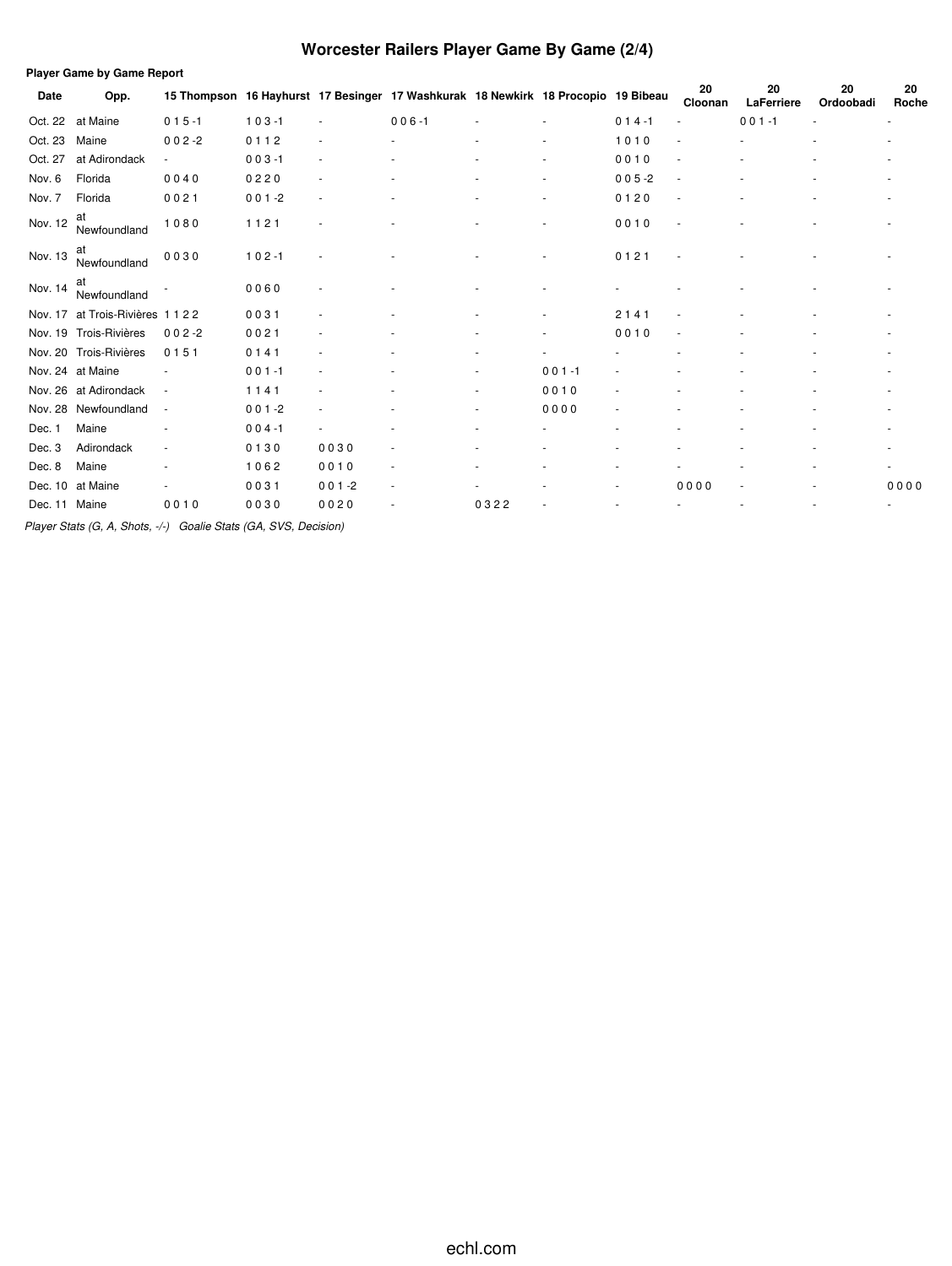# **Worcester Railers Player Game By Game (2/4)**

| <b>Player Game by Game Report</b> |                        |                          |           |                          |                                                                                   |        |                          |           |               |                  |                 |                          |
|-----------------------------------|------------------------|--------------------------|-----------|--------------------------|-----------------------------------------------------------------------------------|--------|--------------------------|-----------|---------------|------------------|-----------------|--------------------------|
| Date                              | Opp.                   |                          |           |                          | 15 Thompson 16 Hayhurst 17 Besinger 17 Washkurak 18 Newkirk 18 Procopio 19 Bibeau |        |                          |           | 20<br>Cloonan | 20<br>LaFerriere | 20<br>Ordoobadi | 20<br>Roche              |
| Oct. 22                           | at Maine               | $015 - 1$                | $103 - 1$ |                          | $006 - 1$                                                                         |        |                          | $014 - 1$ |               | $001 - 1$        |                 | ٠                        |
| Oct. 23                           | Maine                  | $002 - 2$                | 0112      | ٠                        |                                                                                   |        |                          | 1010      |               |                  |                 |                          |
| Oct. 27                           | at Adirondack          |                          | $003 - 1$ | ٠                        |                                                                                   |        |                          | 0010      |               |                  |                 |                          |
| Nov. 6                            | Florida                | 0040                     | 0220      | $\overline{\phantom{a}}$ |                                                                                   |        |                          | $005 - 2$ | $\sim$        |                  |                 |                          |
| Nov. 7                            | Florida                | 0021                     | $001 - 2$ | $\overline{a}$           |                                                                                   |        | $\overline{\phantom{a}}$ | 0120      |               |                  |                 | ٠                        |
| Nov. 12                           | at<br>Newfoundland     | 1080                     | 1121      | ٠                        |                                                                                   |        |                          | 0010      |               |                  |                 |                          |
| Nov. 13                           | at<br>Newfoundland     | 0030                     | $102 - 1$ |                          |                                                                                   |        |                          | 0121      |               |                  |                 |                          |
| Nov. 14                           | at<br>Newfoundland     |                          | 0060      |                          |                                                                                   |        |                          |           |               |                  |                 |                          |
| Nov. 17                           | at Trois-Rivières 1122 |                          | 0031      | ٠                        |                                                                                   |        |                          | 2141      |               |                  |                 |                          |
| Nov. 19                           | Trois-Rivières         | $002 - 2$                | 0021      |                          |                                                                                   |        |                          | 0010      |               |                  |                 |                          |
| Nov. 20                           | Trois-Rivières         | 0151                     | 0141      | ٠                        |                                                                                   |        |                          |           |               |                  |                 |                          |
|                                   | Nov. 24 at Maine       |                          | $001 - 1$ |                          |                                                                                   |        | $001 - 1$                |           |               |                  |                 |                          |
|                                   | Nov. 26 at Adirondack  | $\sim$                   | 1141      | $\overline{a}$           |                                                                                   |        | 0010                     |           |               |                  |                 |                          |
| Nov. 28                           | Newfoundland           | $\overline{\phantom{a}}$ | $001 - 2$ | ٠                        |                                                                                   | $\sim$ | 0000                     |           |               |                  |                 | ٠                        |
| Dec. 1                            | Maine                  |                          | $004 - 1$ | ٠                        |                                                                                   |        |                          |           |               |                  |                 | ٠                        |
| Dec. 3                            | Adirondack             | ٠                        | 0130      | 0030                     | ٠                                                                                 |        |                          |           |               |                  |                 | ٠                        |
| Dec. 8                            | Maine                  |                          | 1062      | 0010                     | $\overline{\phantom{a}}$                                                          |        |                          |           |               |                  |                 | $\overline{\phantom{a}}$ |
| Dec. 10                           | at Maine               |                          | 0031      | $001 - 2$                | ٠                                                                                 |        |                          |           | 0000          |                  |                 | 0000                     |
| Dec. 11 Maine                     |                        | 0010                     | 0030      | 0020                     |                                                                                   | 0322   |                          |           |               |                  |                 |                          |

*Player Stats (G, A, Shots, -/-) Goalie Stats (GA, SVS, Decision)*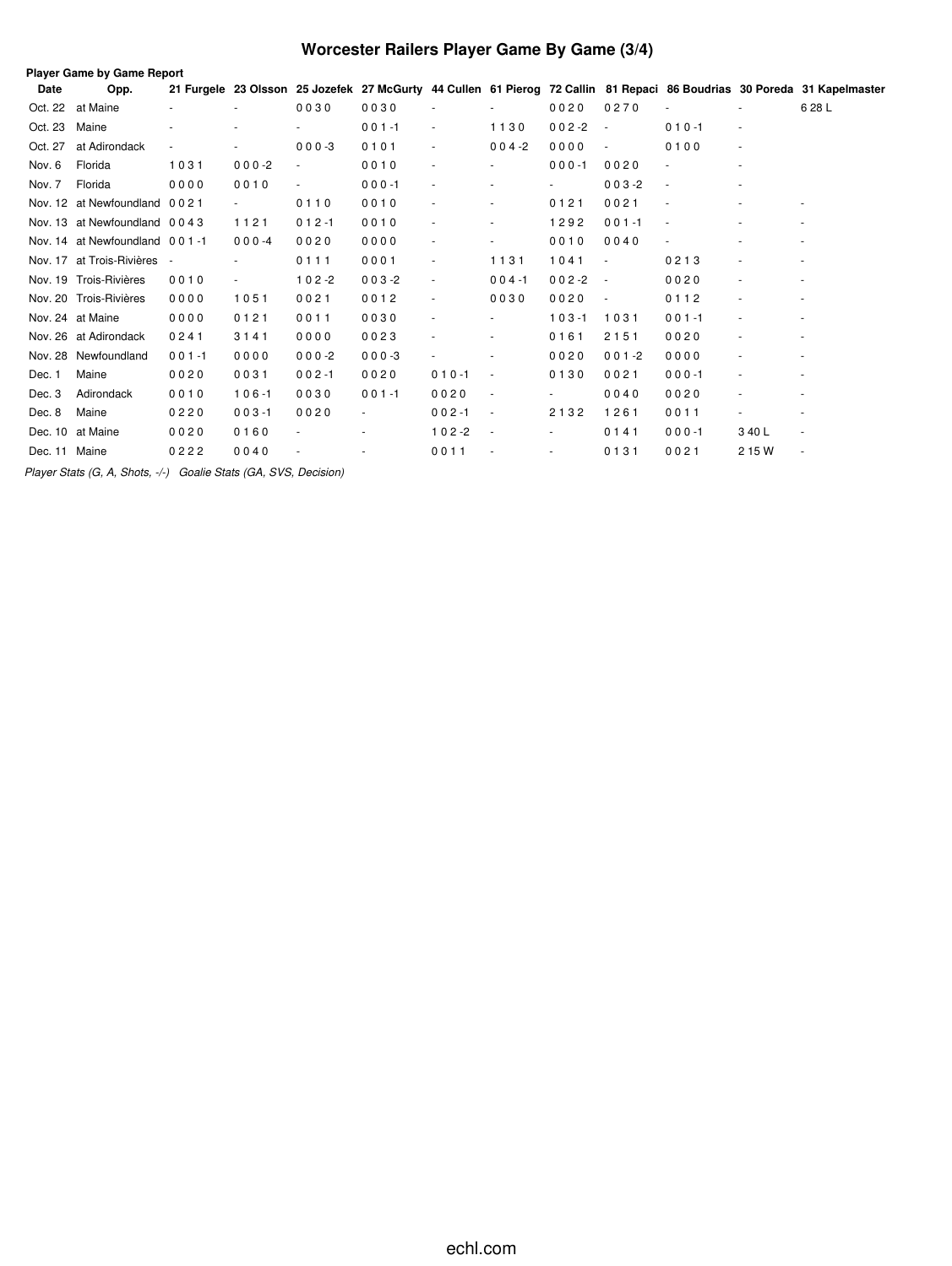# **Worcester Railers Player Game By Game (3/4)**

|               | Player Game by Game Report    |                          |                          |                          |           |                          |                          |                          |                          |                          |                          |                                                                                                                         |
|---------------|-------------------------------|--------------------------|--------------------------|--------------------------|-----------|--------------------------|--------------------------|--------------------------|--------------------------|--------------------------|--------------------------|-------------------------------------------------------------------------------------------------------------------------|
| Date          | Opp.                          |                          |                          |                          |           |                          |                          |                          |                          |                          |                          | 21 Furgele 23 Olsson 25 Jozefek 27 McGurty 44 Cullen 61 Pierog 72 Callin 81 Repaci 86 Boudrias 30 Poreda 31 Kapelmaster |
| Oct. 22       | at Maine                      | ٠                        | ٠                        | 0030                     | 0030      |                          |                          | 0020                     | 0270                     |                          |                          | 6 28 L                                                                                                                  |
| Oct. 23       | Maine                         |                          |                          |                          | $001 - 1$ | $\overline{\phantom{a}}$ | 1130                     | $002 - 2$                | $\overline{\phantom{a}}$ | $010 - 1$                | $\overline{\phantom{a}}$ |                                                                                                                         |
| Oct. 27       | at Adirondack                 | $\overline{\phantom{a}}$ |                          | $000 - 3$                | 0101      | $\overline{\phantom{a}}$ | $004 - 2$                | 0000                     | $\overline{\phantom{a}}$ | 0100                     | $\overline{\phantom{a}}$ |                                                                                                                         |
| Nov. 6        | Florida                       | 1031                     | $000 - 2$                | $\blacksquare$           | 0010      | $\sim$                   | ٠                        | $000 - 1$                | 0020                     | ٠                        | $\sim$                   |                                                                                                                         |
| Nov. 7        | Florida                       | 0000                     | 0010                     | $\overline{\phantom{a}}$ | $000 - 1$ | $\overline{\phantom{a}}$ |                          | $\overline{\phantom{a}}$ | $003 - 2$                | $\sim$                   | $\sim$                   |                                                                                                                         |
|               | Nov. 12 at Newfoundland 0021  |                          |                          | 0110                     | 0010      | $\sim$                   | ٠                        | 0121                     | 0021                     |                          |                          |                                                                                                                         |
|               | Nov. 13 at Newfoundland 0043  |                          | 1121                     | $012 - 1$                | 0010      | $\overline{\phantom{a}}$ | $\bar{\phantom{a}}$      | 1292                     | $001 - 1$                | $\overline{\phantom{a}}$ | ٠                        |                                                                                                                         |
|               | Nov. 14 at Newfoundland 001-1 |                          | $000 - 4$                | 0020                     | 0000      | $\overline{\phantom{a}}$ |                          | 0010                     | 0040                     |                          |                          |                                                                                                                         |
|               | Nov. 17 at Trois-Rivières -   |                          |                          | 0111                     | 0001      | $\overline{\phantom{a}}$ | 1131                     | 1041                     | $\overline{\phantom{a}}$ | 0213                     | ٠                        |                                                                                                                         |
|               | Nov. 19 Trois-Rivières        | 0010                     | $\overline{\phantom{a}}$ | $102 - 2$                | $003 - 2$ | $\overline{\phantom{a}}$ | $004 - 1$                | $002 - 2$                | $\sim$                   | 0020                     | $\overline{\phantom{a}}$ | $\sim$                                                                                                                  |
|               | Nov. 20 Trois-Rivières        | 0000                     | 1051                     | 0021                     | 0012      | ÷                        | 0030                     | 0020                     | $\overline{\phantom{a}}$ | 0112                     | $\overline{\phantom{a}}$ |                                                                                                                         |
|               | Nov. 24 at Maine              | 0000                     | 0121                     | 0011                     | 0030      | ÷                        | ٠                        | $103 - 1$                | 1031                     | $001 - 1$                | ä,                       |                                                                                                                         |
|               | Nov. 26 at Adirondack         | 0241                     | 3141                     | 0000                     | 0023      | $\overline{\phantom{a}}$ | $\overline{\phantom{a}}$ | 0161                     | 2151                     | 0020                     | ÷,                       |                                                                                                                         |
|               | Nov. 28 Newfoundland          | $001 - 1$                | 0000                     | $000 - 2$                | $000-3$   | $\overline{\phantom{a}}$ | $\overline{\phantom{a}}$ | 0020                     | $001 - 2$                | 0000                     | $\sim$                   |                                                                                                                         |
| Dec. 1        | Maine                         | 0020                     | 0031                     | $002 - 1$                | 0020      | $010 - 1$                | $\overline{\phantom{a}}$ | 0130                     | 0021                     | $000 - 1$                | $\overline{\phantom{a}}$ |                                                                                                                         |
| Dec. 3        | Adirondack                    | 0010                     | $106 - 1$                | 0030                     | $001 - 1$ | 0020                     | $\overline{\phantom{a}}$ |                          | 0040                     | 0020                     | ÷,                       |                                                                                                                         |
| Dec. 8        | Maine                         | 0220                     | $003 - 1$                | 0020                     |           | $002 - 1$                | $\overline{\phantom{a}}$ | 2132                     | 1261                     | 0011                     | ٠                        |                                                                                                                         |
|               | Dec. 10 at Maine              | 0020                     | 0160                     |                          |           | $102 - 2$                | $\overline{\phantom{a}}$ | ٠                        | 0141                     | $000 - 1$                | 340L                     | $\overline{\phantom{a}}$                                                                                                |
| Dec. 11 Maine |                               | 0222                     | 0040                     |                          |           | 0011                     | $\overline{\phantom{a}}$ |                          | 0131                     | 0021                     | 2 15 W                   | $\overline{\phantom{a}}$                                                                                                |

*Player Stats (G, A, Shots, -/-) Goalie Stats (GA, SVS, Decision)*